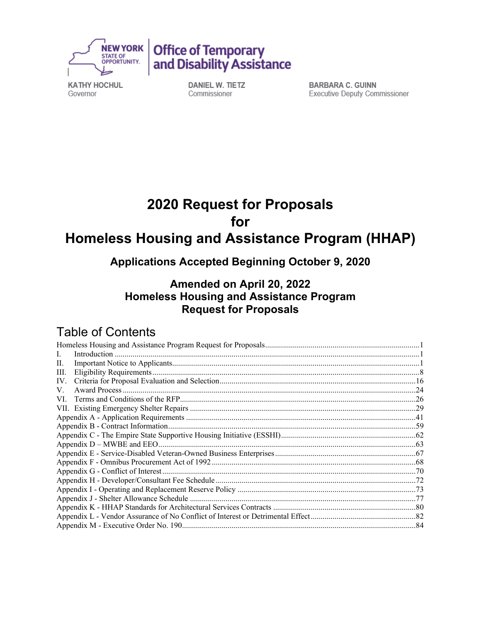



**KATHY HOCHUL** Governor

DANIEL W. TIETZ Commissioner

**BARBARA C. GUINN** Executive Deputy Commissioner

# **2020 Request for Proposals for Homeless Housing and Assistance Program (HHAP)**

**Applications Accepted Beginning October 9, 2020** 

# **Amended on April 20, 2022 Homeless Housing and Assistance Program Request for Proposals**

# Table of Contents

| $In traditional momentum function momentum function momentum function momentum function momentum function momentum function momentum function momentum function momentum function momentum function momentum function momentum function momentum function momentum function momentum function momentum function momentum function momentum function momentum function momentum function momentum function momentum function momentum function momentum function L.$ |  |
|---------------------------------------------------------------------------------------------------------------------------------------------------------------------------------------------------------------------------------------------------------------------------------------------------------------------------------------------------------------------------------------------------------------------------------------------------------------------|--|
| П.                                                                                                                                                                                                                                                                                                                                                                                                                                                                  |  |
| Ш.                                                                                                                                                                                                                                                                                                                                                                                                                                                                  |  |
| IV.                                                                                                                                                                                                                                                                                                                                                                                                                                                                 |  |
| V.                                                                                                                                                                                                                                                                                                                                                                                                                                                                  |  |
| VI.                                                                                                                                                                                                                                                                                                                                                                                                                                                                 |  |
|                                                                                                                                                                                                                                                                                                                                                                                                                                                                     |  |
|                                                                                                                                                                                                                                                                                                                                                                                                                                                                     |  |
|                                                                                                                                                                                                                                                                                                                                                                                                                                                                     |  |
|                                                                                                                                                                                                                                                                                                                                                                                                                                                                     |  |
|                                                                                                                                                                                                                                                                                                                                                                                                                                                                     |  |
|                                                                                                                                                                                                                                                                                                                                                                                                                                                                     |  |
|                                                                                                                                                                                                                                                                                                                                                                                                                                                                     |  |
|                                                                                                                                                                                                                                                                                                                                                                                                                                                                     |  |
|                                                                                                                                                                                                                                                                                                                                                                                                                                                                     |  |
|                                                                                                                                                                                                                                                                                                                                                                                                                                                                     |  |
|                                                                                                                                                                                                                                                                                                                                                                                                                                                                     |  |
|                                                                                                                                                                                                                                                                                                                                                                                                                                                                     |  |
|                                                                                                                                                                                                                                                                                                                                                                                                                                                                     |  |
|                                                                                                                                                                                                                                                                                                                                                                                                                                                                     |  |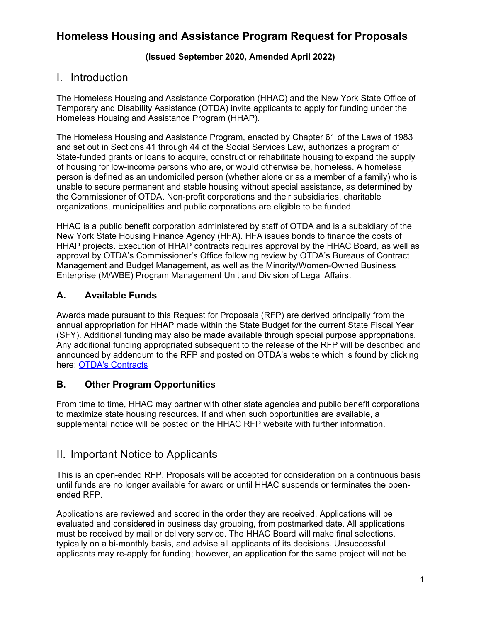# <span id="page-1-0"></span> **Homeless Housing and Assistance Program Request for Proposals**

#### **(Issued September 2020, Amended April 2022)**

# <span id="page-1-1"></span>I. Introduction

The Homeless Housing and Assistance Corporation (HHAC) and the New York State Office of Temporary and Disability Assistance (OTDA) invite applicants to apply for funding under the Homeless Housing and Assistance Program (HHAP).

The Homeless Housing and Assistance Program, enacted by Chapter 61 of the Laws of 1983 and set out in Sections 41 through 44 of the Social Services Law, authorizes a program of State-funded grants or loans to acquire, construct or rehabilitate housing to expand the supply of housing for low-income persons who are, or would otherwise be, homeless. A homeless person is defined as an undomiciled person (whether alone or as a member of a family) who is unable to secure permanent and stable housing without special assistance, as determined by the Commissioner of OTDA. Non-profit corporations and their subsidiaries, charitable organizations, municipalities and public corporations are eligible to be funded.

HHAC is a public benefit corporation administered by staff of OTDA and is a subsidiary of the New York State Housing Finance Agency (HFA). HFA issues bonds to finance the costs of HHAP projects. Execution of HHAP contracts requires approval by the HHAC Board, as well as approval by OTDA's Commissioner's Office following review by OTDA's Bureaus of Contract Management and Budget Management, as well as the Minority/Women-Owned Business Enterprise (M/WBE) Program Management Unit and Division of Legal Affairs.

## **A. Available Funds**

 annual appropriation for HHAP made within the State Budget for the current State Fiscal Year Awards made pursuant to this Request for Proposals (RFP) are derived principally from the (SFY). Additional funding may also be made available through special purpose appropriations. Any additional funding appropriated subsequent to the release of the RFP will be described and announced by addendum to the RFP and posted on OTDA's website which is found by clicking here: OTDA's Contracts

#### **B. Other Program Opportunities**

From time to time, HHAC may partner with other state agencies and public benefit corporations to maximize state housing resources. If and when such opportunities are available, a supplemental notice will be posted on the HHAC RFP website with further information.

# <span id="page-1-2"></span>II. Important Notice to Applicants

This is an open-ended RFP. Proposals will be accepted for consideration on a continuous basis until funds are no longer available for award or until HHAC suspends or terminates the openended RFP.

 must be received by mail or delivery service. The HHAC Board will make final selections, Applications are reviewed and scored in the order they are received. Applications will be evaluated and considered in business day grouping, from postmarked date. All applications typically on a bi-monthly basis, and advise all applicants of its decisions. Unsuccessful applicants may re-apply for funding; however, an application for the same project will not be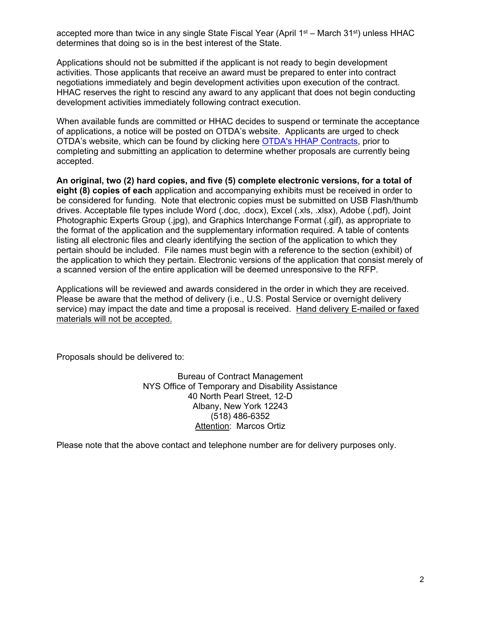accepted more than twice in any single State Fiscal Year (April 1<sup>st</sup> – March 31<sup>st</sup>) unless HHAC determines that doing so is in the best interest of the State.

Applications should not be submitted if the applicant is not ready to begin development activities. Those applicants that receive an award must be prepared to enter into contract negotiations immediately and begin development activities upon execution of the contract. HHAC reserves the right to rescind any award to any applicant that does not begin conducting development activities immediately following contract execution.

When available funds are committed or HHAC decides to suspend or terminate the acceptance of applications, a notice will be posted on OTDA's website. Applicants are urged to check OTDA's website, which can be found by clicking here [OTDA's HHAP Contracts,](http://www.otda.ny.gov/contracts/2020/HHAP) prior to completing and submitting an application to determine whether proposals are currently being accepted.

**An original, two (2) hard copies, and five (5) complete electronic versions, for a total of eight (8) copies of each** application and accompanying exhibits must be received in order to be considered for funding. Note that electronic copies must be submitted on USB Flash/thumb drives. Acceptable file types include Word (.doc, .docx), Excel (.xls, .xlsx), Adobe (.pdf), Joint Photographic Experts Group (.jpg), and Graphics Interchange Format (.gif), as appropriate to the format of the application and the supplementary information required. A table of contents listing all electronic files and clearly identifying the section of the application to which they pertain should be included. File names must begin with a reference to the section (exhibit) of the application to which they pertain. Electronic versions of the application that consist merely of a scanned version of the entire application will be deemed unresponsive to the RFP.

 Please be aware that the method of delivery (i.e., U.S. Postal Service or overnight delivery Applications will be reviewed and awards considered in the order in which they are received. service) may impact the date and time a proposal is received. Hand delivery E-mailed or faxed materials will not be accepted.

Proposals should be delivered to:

Bureau of Contract Management NYS Office of Temporary and Disability Assistance 40 North Pearl Street, 12-D Albany, New York 12243 (518) 486-6352 Attention: Marcos Ortiz

Please note that the above contact and telephone number are for delivery purposes only.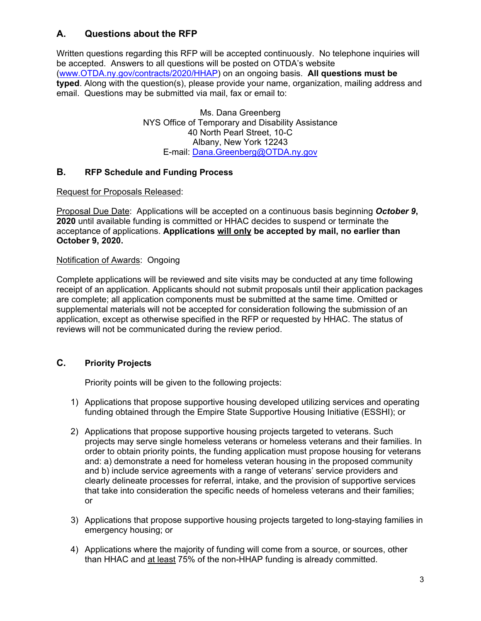## **A. Questions about the RFP**

 [\(www.OTDA.ny.gov](http://www.otda.state.ny.us/)[/contracts/2020/HHAP](www.OTDA.ny.gov/contracts/2020/HHAP)) on an ongoing basis. **All questions must be**  Written questions regarding this RFP will be accepted continuously. No telephone inquiries will be accepted. Answers to all questions will be posted on OTDA's website **typed**. Along with the question(s), please provide your name, organization, mailing address and email. Questions may be submitted via mail, fax or email to:

> Ms. Dana Greenberg NYS Office of Temporary and Disability Assistance 40 North Pearl Street, 10-C Albany, New York 12243 E-mail: [Dana.Greenberg@OTDA.ny.gov](mailto:Dana.Greenberg@OTDA.ny.gov)

#### **B. RFP Schedule and Funding Process**

Request for Proposals Released:

Proposal Due Date: Applications will be accepted on a continuous basis beginning *October 9***, 2020** until available funding is committed or HHAC decides to suspend or terminate the acceptance of applications. **Applications will only be accepted by mail, no earlier than October 9, 2020.** 

#### Notification of Awards: Ongoing

Complete applications will be reviewed and site visits may be conducted at any time following receipt of an application. Applicants should not submit proposals until their application packages are complete; all application components must be submitted at the same time. Omitted or supplemental materials will not be accepted for consideration following the submission of an application, except as otherwise specified in the RFP or requested by HHAC. The status of reviews will not be communicated during the review period.

#### **C. Priority Projects**

Priority points will be given to the following projects:

- 1) Applications that propose supportive housing developed utilizing services and operating funding obtained through the Empire State Supportive Housing Initiative (ESSHI); or
- and b) include service agreements with a range of veterans' service providers and 2) Applications that propose supportive housing projects targeted to veterans. Such projects may serve single homeless veterans or homeless veterans and their families. In order to obtain priority points, the funding application must propose housing for veterans and: a) demonstrate a need for homeless veteran housing in the proposed community clearly delineate processes for referral, intake, and the provision of supportive services that take into consideration the specific needs of homeless veterans and their families; or
- emergency housing; or 3) Applications that propose supportive housing projects targeted to long-staying families in
- than HHAC and <u>at least</u> 75% of the non-HHAP funding is already committed. 4) Applications where the majority of funding will come from a source, or sources, other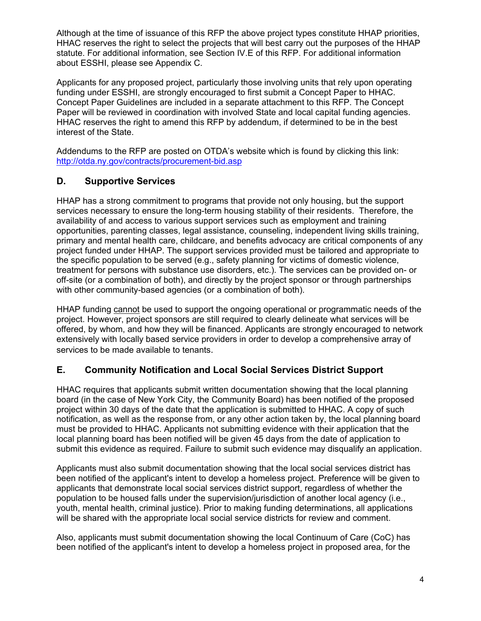Although at the time of issuance of this RFP the above project types constitute HHAP priorities, HHAC reserves the right to select the projects that will best carry out the purposes of the HHAP statute. For additional information, see Section IV.E of this RFP. For additional information about ESSHI, please see Appendix C.

Applicants for any proposed project, particularly those involving units that rely upon operating funding under ESSHI, are strongly encouraged to first submit a Concept Paper to HHAC. Concept Paper Guidelines are included in a separate attachment to this RFP. The Concept Paper will be reviewed in coordination with involved State and local capital funding agencies. HHAC reserves the right to amend this RFP by addendum, if determined to be in the best interest of the State.

Addendums to the RFP are posted on OTDA's website which is found by clicking this link: <http://otda.ny.gov/contracts/procurement-bid.asp>

#### **D. Supportive Services**

HHAP has a strong commitment to programs that provide not only housing, but the support services necessary to ensure the long-term housing stability of their residents. Therefore, the availability of and access to various support services such as employment and training opportunities, parenting classes, legal assistance, counseling, independent living skills training, primary and mental health care, childcare, and benefits advocacy are critical components of any project funded under HHAP. The support services provided must be tailored and appropriate to the specific population to be served (e.g., safety planning for victims of domestic violence, treatment for persons with substance use disorders, etc.). The services can be provided on- or off-site (or a combination of both), and directly by the project sponsor or through partnerships with other community-based agencies (or a combination of both).

HHAP funding cannot be used to support the ongoing operational or programmatic needs of the project. However, project sponsors are still required to clearly delineate what services will be offered, by whom, and how they will be financed. Applicants are strongly encouraged to network extensively with locally based service providers in order to develop a comprehensive array of services to be made available to tenants.

#### **E. Community Notification and Local Social Services District Support**

 HHAC requires that applicants submit written documentation showing that the local planning board (in the case of New York City, the Community Board) has been notified of the proposed project within 30 days of the date that the application is submitted to HHAC. A copy of such notification, as well as the response from, or any other action taken by, the local planning board must be provided to HHAC. Applicants not submitting evidence with their application that the local planning board has been notified will be given 45 days from the date of application to submit this evidence as required. Failure to submit such evidence may disqualify an application.

Applicants must also submit documentation showing that the local social services district has been notified of the applicant's intent to develop a homeless project. Preference will be given to applicants that demonstrate local social services district support, regardless of whether the population to be housed falls under the supervision/jurisdiction of another local agency (i.e., youth, mental health, criminal justice). Prior to making funding determinations, all applications will be shared with the appropriate local social service districts for review and comment.

Also, applicants must submit documentation showing the local Continuum of Care (CoC) has been notified of the applicant's intent to develop a homeless project in proposed area, for the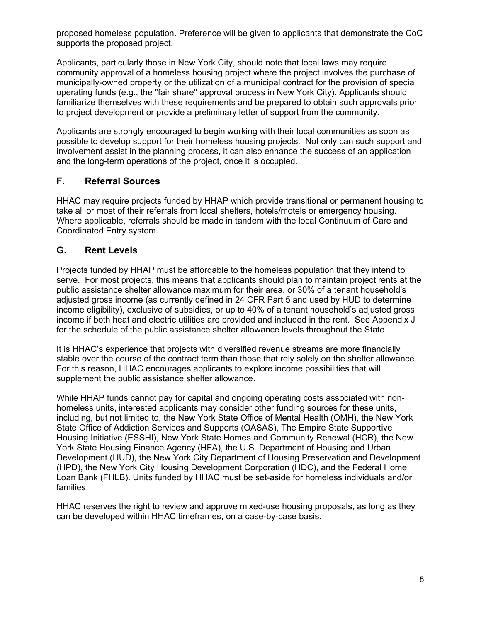proposed homeless population. Preference will be given to applicants that demonstrate the CoC supports the proposed project.

Applicants, particularly those in New York City, should note that local laws may require community approval of a homeless housing project where the project involves the purchase of municipally-owned property or the utilization of a municipal contract for the provision of special operating funds (e.g., the "fair share" approval process in New York City). Applicants should familiarize themselves with these requirements and be prepared to obtain such approvals prior to project development or provide a preliminary letter of support from the community.

 Applicants are strongly encouraged to begin working with their local communities as soon as possible to develop support for their homeless housing projects. Not only can such support and involvement assist in the planning process, it can also enhance the success of an application and the long-term operations of the project, once it is occupied.

#### **F. Referral Sources**

 HHAC may require projects funded by HHAP which provide transitional or permanent housing to take all or most of their referrals from local shelters, hotels/motels or emergency housing. Where applicable, referrals should be made in tandem with the local Continuum of Care and Coordinated Entry system.

#### **G. Rent Levels**

Projects funded by HHAP must be affordable to the homeless population that they intend to serve. For most projects, this means that applicants should plan to maintain project rents at the public assistance shelter allowance maximum for their area, or 30% of a tenant household's adjusted gross income (as currently defined in 24 CFR Part 5 and used by HUD to determine income eligibility), exclusive of subsidies, or up to 40% of a tenant household's adjusted gross income if both heat and electric utilities are provided and included in the rent. See Appendix J for the schedule of the public assistance shelter allowance levels throughout the State.

It is HHAC's experience that projects with diversified revenue streams are more financially stable over the course of the contract term than those that rely solely on the shelter allowance. For this reason, HHAC encourages applicants to explore income possibilities that will supplement the public assistance shelter allowance.

 State Office of Addiction Services and Supports (OASAS), The Empire State Supportive Loan Bank (FHLB). Units funded by HHAC must be set-aside for homeless individuals and/or While HHAP funds cannot pay for capital and ongoing operating costs associated with nonhomeless units, interested applicants may consider other funding sources for these units, including, but not limited to, the New York State Office of Mental Health (OMH), the New York Housing Initiative (ESSHI), New York State Homes and Community Renewal (HCR), the New York State Housing Finance Agency (HFA), the U.S. Department of Housing and Urban Development (HUD), the New York City Department of Housing Preservation and Development (HPD), the New York City Housing Development Corporation (HDC), and the Federal Home families.

HHAC reserves the right to review and approve mixed-use housing proposals, as long as they can be developed within HHAC timeframes, on a case-by-case basis.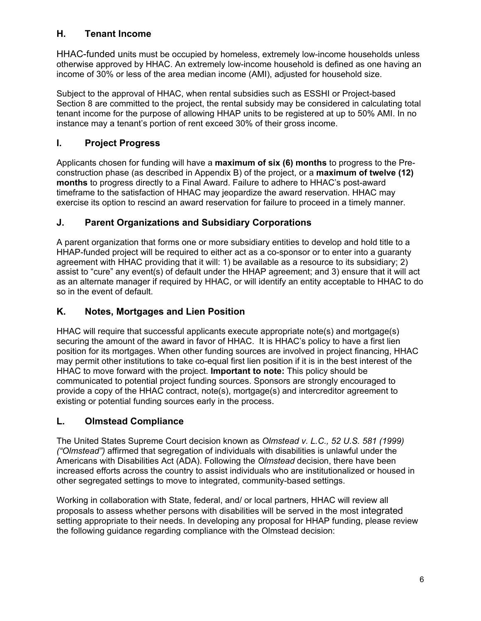## **H. Tenant Income**

HHAC-funded units must be occupied by homeless, extremely low-income households unless otherwise approved by HHAC. An extremely low-income household is defined as one having an income of 30% or less of the area median income (AMI), adjusted for household size.

Subject to the approval of HHAC, when rental subsidies such as ESSHI or Project-based Section 8 are committed to the project, the rental subsidy may be considered in calculating total tenant income for the purpose of allowing HHAP units to be registered at up to 50% AMI. In no instance may a tenant's portion of rent exceed 30% of their gross income.

# **I. Project Progress**

Applicants chosen for funding will have a **maximum of six (6) months** to progress to the Preconstruction phase (as described in Appendix B) of the project, or a **maximum of twelve (12) months** to progress directly to a Final Award. Failure to adhere to HHAC's post-award timeframe to the satisfaction of HHAC may jeopardize the award reservation. HHAC may exercise its option to rescind an award reservation for failure to proceed in a timely manner.

# **J. Parent Organizations and Subsidiary Corporations**

A parent organization that forms one or more subsidiary entities to develop and hold title to a HHAP-funded project will be required to either act as a co-sponsor or to enter into a guaranty agreement with HHAC providing that it will: 1) be available as a resource to its subsidiary; 2) assist to "cure" any event(s) of default under the HHAP agreement; and 3) ensure that it will act as an alternate manager if required by HHAC, or will identify an entity acceptable to HHAC to do so in the event of default.

## **K. Notes, Mortgages and Lien Position**

HHAC will require that successful applicants execute appropriate note(s) and mortgage(s) securing the amount of the award in favor of HHAC. It is HHAC's policy to have a first lien position for its mortgages. When other funding sources are involved in project financing, HHAC may permit other institutions to take co-equal first lien position if it is in the best interest of the HHAC to move forward with the project. **Important to note:** This policy should be communicated to potential project funding sources. Sponsors are strongly encouraged to provide a copy of the HHAC contract, note(s), mortgage(s) and intercreditor agreement to existing or potential funding sources early in the process.

# **L. Olmstead Compliance**

The United States Supreme Court decision known as *Olmstead v. L.C., 52 U.S. 581 (1999) ("Olmstead")* affirmed that segregation of individuals with disabilities is unlawful under the Americans with Disabilities Act (ADA). Following the *Olmstead* decision, there have been increased efforts across the country to assist individuals who are institutionalized or housed in other segregated settings to move to integrated, community-based settings.

 Working in collaboration with State, federal, and/ or local partners, HHAC will review all proposals to assess whether persons with disabilities will be served in the most integrated setting appropriate to their needs. In developing any proposal for HHAP funding, please review the following guidance regarding compliance with the Olmstead decision: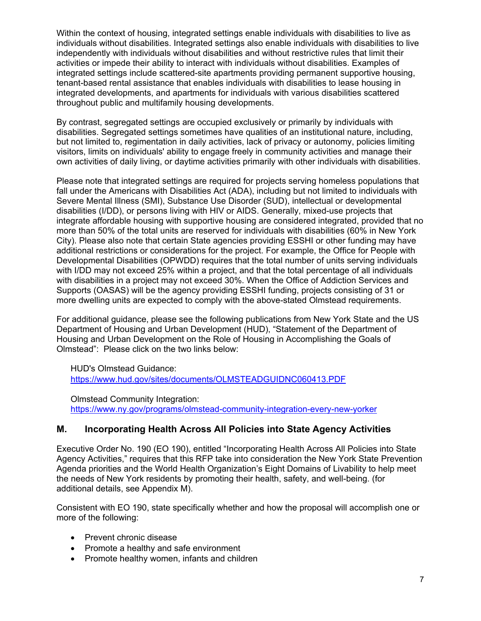Within the context of housing, integrated settings enable individuals with disabilities to live as individuals without disabilities. Integrated settings also enable individuals with disabilities to live independently with individuals without disabilities and without restrictive rules that limit their activities or impede their ability to interact with individuals without disabilities. Examples of integrated settings include scattered-site apartments providing permanent supportive housing, tenant-based rental assistance that enables individuals with disabilities to lease housing in integrated developments, and apartments for individuals with various disabilities scattered throughout public and multifamily housing developments.

 By contrast, segregated settings are occupied exclusively or primarily by individuals with disabilities. Segregated settings sometimes have qualities of an institutional nature, including, but not limited to, regimentation in daily activities, lack of privacy or autonomy, policies limiting visitors, limits on individuals' ability to engage freely in community activities and manage their own activities of daily living, or daytime activities primarily with other individuals with disabilities.

Please note that integrated settings are required for projects serving homeless populations that fall under the Americans with Disabilities Act (ADA), including but not limited to individuals with Severe Mental Illness (SMI), Substance Use Disorder (SUD), intellectual or developmental disabilities (I/DD), or persons living with HIV or AIDS. Generally, mixed-use projects that integrate affordable housing with supportive housing are considered integrated, provided that no more than 50% of the total units are reserved for individuals with disabilities (60% in New York City). Please also note that certain State agencies providing ESSHI or other funding may have additional restrictions or considerations for the project. For example, the Office for People with Developmental Disabilities (OPWDD) requires that the total number of units serving individuals with I/DD may not exceed 25% within a project, and that the total percentage of all individuals with disabilities in a project may not exceed 30%. When the Office of Addiction Services and Supports (OASAS) will be the agency providing ESSHI funding, projects consisting of 31 or more dwelling units are expected to comply with the above-stated Olmstead requirements.

 Olmstead": Please click on the two links below: For additional guidance, please see the following publications from New York State and the US Department of Housing and Urban Development (HUD), "Statement of the Department of Housing and Urban Development on the Role of Housing in Accomplishing the Goals of

HUD's Olmstead Guidance: <https://www.hud.gov/sites/documents/OLMSTEADGUIDNC060413.PDF>

Olmstead Community Integration: <https://www.ny.gov/programs/olmstead-community-integration-every-new-yorker>

#### **M. Incorporating Health Across All Policies into State Agency Activities**

Executive Order No. 190 (EO 190), entitled "Incorporating Health Across All Policies into State Agency Activities," requires that this RFP take into consideration the New York State Prevention Agenda priorities and the World Health Organization's Eight Domains of Livability to help meet the needs of New York residents by promoting their health, safety, and well-being. (for additional details, see Appendix M).

Consistent with EO 190, state specifically whether and how the proposal will accomplish one or more of the following:

- Prevent chronic disease
- Promote a healthy and safe environment
- Promote healthy women, infants and children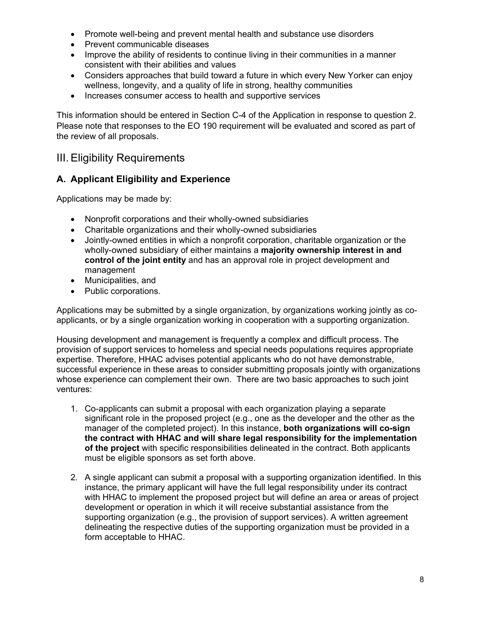- Promote well-being and prevent mental health and substance use disorders
- Prevent communicable diseases
- Improve the ability of residents to continue living in their communities in a manner consistent with their abilities and values
- Considers approaches that build toward a future in which every New Yorker can enjoy wellness, longevity, and a quality of life in strong, healthy communities
- Increases consumer access to health and supportive services

This information should be entered in Section C-4 of the Application in response to question 2. Please note that responses to the EO 190 requirement will be evaluated and scored as part of the review of all proposals.

# <span id="page-8-0"></span>III. Eligibility Requirements

#### **A. Applicant Eligibility and Experience**

Applications may be made by:

- Nonprofit corporations and their wholly-owned subsidiaries
- Charitable organizations and their wholly-owned subsidiaries
- Jointly-owned entities in which a nonprofit corporation, charitable organization or the wholly-owned subsidiary of either maintains a **majority ownership interest in and control of the joint entity** and has an approval role in project development and management
- Municipalities, and
- Public corporations.

Applications may be submitted by a single organization, by organizations working jointly as coapplicants, or by a single organization working in cooperation with a supporting organization.

Housing development and management is frequently a complex and difficult process. The provision of support services to homeless and special needs populations requires appropriate expertise. Therefore, HHAC advises potential applicants who do not have demonstrable, successful experience in these areas to consider submitting proposals jointly with organizations whose experience can complement their own. There are two basic approaches to such joint ventures:

- 1. Co-applicants can submit a proposal with each organization playing a separate significant role in the proposed project (e.g., one as the developer and the other as the manager of the completed project). In this instance, **both organizations will co-sign the contract with HHAC and will share legal responsibility for the implementation of the project** with specific responsibilities delineated in the contract. Both applicants must be eligible sponsors as set forth above.
- 2. A single applicant can submit a proposal with a supporting organization identified. In this instance, the primary applicant will have the full legal responsibility under its contract with HHAC to implement the proposed project but will define an area or areas of project development or operation in which it will receive substantial assistance from the supporting organization (e.g., the provision of support services). A written agreement delineating the respective duties of the supporting organization must be provided in a form acceptable to HHAC.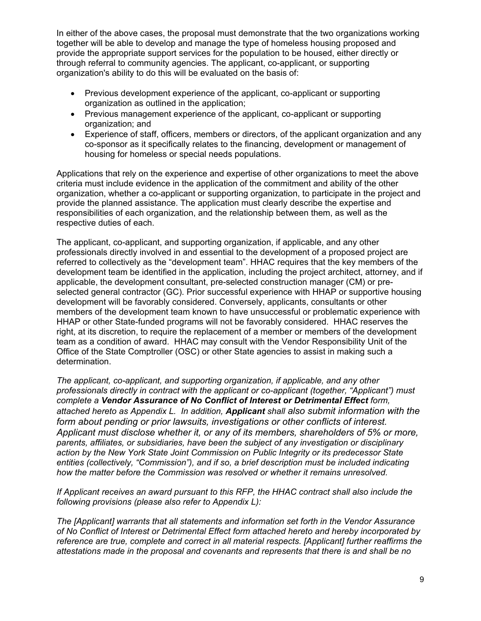In either of the above cases, the proposal must demonstrate that the two organizations working together will be able to develop and manage the type of homeless housing proposed and provide the appropriate support services for the population to be housed, either directly or through referral to community agencies. The applicant, co-applicant, or supporting organization's ability to do this will be evaluated on the basis of:

- Previous development experience of the applicant, co-applicant or supporting organization as outlined in the application;
- Previous management experience of the applicant, co-applicant or supporting organization; and
- Experience of staff, officers, members or directors, of the applicant organization and any co-sponsor as it specifically relates to the financing, development or management of housing for homeless or special needs populations.

Applications that rely on the experience and expertise of other organizations to meet the above criteria must include evidence in the application of the commitment and ability of the other organization, whether a co-applicant or supporting organization, to participate in the project and provide the planned assistance. The application must clearly describe the expertise and responsibilities of each organization, and the relationship between them, as well as the respective duties of each.

The applicant, co-applicant, and supporting organization, if applicable, and any other professionals directly involved in and essential to the development of a proposed project are referred to collectively as the "development team". HHAC requires that the key members of the development team be identified in the application, including the project architect, attorney, and if applicable, the development consultant, pre-selected construction manager (CM) or preselected general contractor (GC). Prior successful experience with HHAP or supportive housing development will be favorably considered. Conversely, applicants, consultants or other members of the development team known to have unsuccessful or problematic experience with HHAP or other State-funded programs will not be favorably considered. HHAC reserves the right, at its discretion, to require the replacement of a member or members of the development team as a condition of award. HHAC may consult with the Vendor Responsibility Unit of the Office of the State Comptroller (OSC) or other State agencies to assist in making such a determination.

form about pending or prior lawsuits, investigations or other conflicts of interest. form about pending or prior lawsuits, investigations or other conflicts of interest.<br>Applicant must disclose whether it, or any of its members, shareholders of 5% or more, *The applicant, co-applicant, and supporting organization, if applicable, and any other professionals directly in contract with the applicant or co-applicant (together, "Applicant") must complete a Vendor Assurance of No Conflict of Interest or Detrimental Effect form, attached hereto as Appendix L. In addition, Applicant shall also submit information with the parents, affiliates, or subsidiaries, have been the subject of any investigation or disciplinary action by the New York State Joint Commission on Public Integrity or its predecessor State entities (collectively, "Commission"), and if so, a brief description must be included indicating how the matter before the Commission was resolved or whether it remains unresolved.* 

 *following provisions (please also refer to Appendix L): If Applicant receives an award pursuant to this RFP, the HHAC contract shall also include the* 

*The [Applicant] warrants that all statements and information set forth in the Vendor Assurance of No Conflict of Interest or Detrimental Effect form attached hereto and hereby incorporated by reference are true, complete and correct in all material respects. [Applicant] further reaffirms the attestations made in the proposal and covenants and represents that there is and shall be no*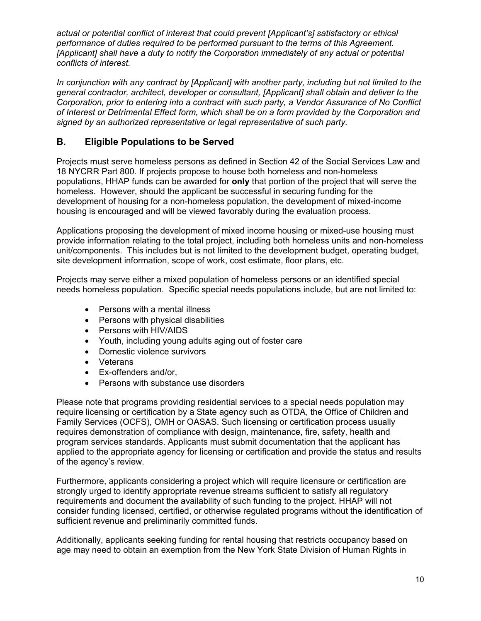*actual or potential conflict of interest that could prevent [Applicant's] satisfactory or ethical performance of duties required to be performed pursuant to the terms of this Agreement. [Applicant] shall have a duty to notify the Corporation immediately of any actual or potential conflicts of interest.* 

*In conjunction with any contract by [Applicant] with another party, including but not limited to the general contractor, architect, developer or consultant, [Applicant] shall obtain and deliver to the Corporation, prior to entering into a contract with such party, a Vendor Assurance of No Conflict of Interest or Detrimental Effect form, which shall be on a form provided by the Corporation and signed by an authorized representative or legal representative of such party.* 

#### **B. Eligible Populations to be Served**

Projects must serve homeless persons as defined in Section 42 of the Social Services Law and 18 NYCRR Part 800. If projects propose to house both homeless and non-homeless populations, HHAP funds can be awarded for **only** that portion of the project that will serve the homeless. However, should the applicant be successful in securing funding for the development of housing for a non-homeless population, the development of mixed-income housing is encouraged and will be viewed favorably during the evaluation process.

 provide information relating to the total project, including both homeless units and non-homeless Applications proposing the development of mixed income housing or mixed-use housing must unit/components. This includes but is not limited to the development budget, operating budget, site development information, scope of work, cost estimate, floor plans, etc.

Projects may serve either a mixed population of homeless persons or an identified special needs homeless population. Specific special needs populations include, but are not limited to:

- Persons with a mental illness
- Persons with physical disabilities
- Persons with HIV/AIDS
- Youth, including young adults aging out of foster care
- Domestic violence survivors
- Veterans
- Ex-offenders and/or,
- Persons with substance use disorders

Please note that programs providing residential services to a special needs population may require licensing or certification by a State agency such as OTDA, the Office of Children and Family Services (OCFS), OMH or OASAS. Such licensing or certification process usually requires demonstration of compliance with design, maintenance, fire, safety, health and program services standards. Applicants must submit documentation that the applicant has applied to the appropriate agency for licensing or certification and provide the status and results of the agency's review.

Furthermore, applicants considering a project which will require licensure or certification are strongly urged to identify appropriate revenue streams sufficient to satisfy all regulatory requirements and document the availability of such funding to the project. HHAP will not consider funding licensed, certified, or otherwise regulated programs without the identification of sufficient revenue and preliminarily committed funds.

Additionally, applicants seeking funding for rental housing that restricts occupancy based on age may need to obtain an exemption from the New York State Division of Human Rights in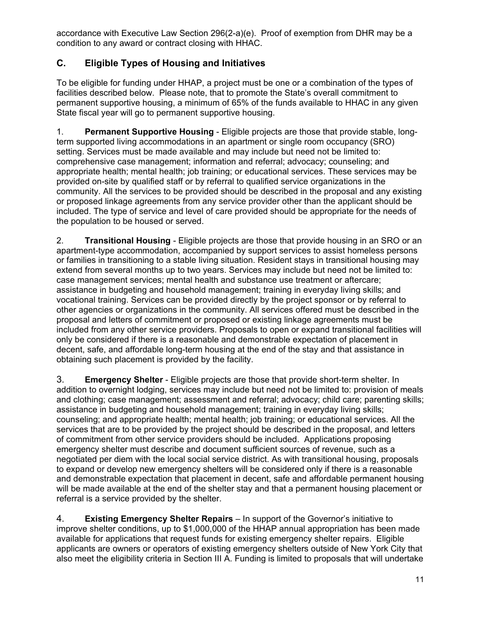accordance with Executive Law Section 296(2-a)(e). Proof of exemption from DHR may be a condition to any award or contract closing with HHAC.

# **C. Eligible Types of Housing and Initiatives**

 permanent supportive housing, a minimum of 65% of the funds available to HHAC in any given To be eligible for funding under HHAP, a project must be one or a combination of the types of facilities described below. Please note, that to promote the State's overall commitment to State fiscal year will go to permanent supportive housing.

 1. **Permanent Supportive Housing** - Eligible projects are those that provide stable, long- or proposed linkage agreements from any service provider other than the applicant should be term supported living accommodations in an apartment or single room occupancy (SRO) setting. Services must be made available and may include but need not be limited to: comprehensive case management; information and referral; advocacy; counseling; and appropriate health; mental health; job training; or educational services. These services may be provided on-site by qualified staff or by referral to qualified service organizations in the community. All the services to be provided should be described in the proposal and any existing included. The type of service and level of care provided should be appropriate for the needs of the population to be housed or served.

 2. **Transitional Housing** - Eligible projects are those that provide housing in an SRO or an apartment-type accommodation, accompanied by support services to assist homeless persons or families in transitioning to a stable living situation. Resident stays in transitional housing may extend from several months up to two years. Services may include but need not be limited to: case management services; mental health and substance use treatment or aftercare; assistance in budgeting and household management; training in everyday living skills; and vocational training. Services can be provided directly by the project sponsor or by referral to other agencies or organizations in the community. All services offered must be described in the proposal and letters of commitment or proposed or existing linkage agreements must be included from any other service providers. Proposals to open or expand transitional facilities will only be considered if there is a reasonable and demonstrable expectation of placement in decent, safe, and affordable long-term housing at the end of the stay and that assistance in obtaining such placement is provided by the facility.

 3. **Emergency Shelter** - Eligible projects are those that provide short-term shelter. In addition to overnight lodging, services may include but need not be limited to: provision of meals and clothing; case management; assessment and referral; advocacy; child care; parenting skills; assistance in budgeting and household management; training in everyday living skills; counseling; and appropriate health; mental health; job training; or educational services. All the services that are to be provided by the project should be described in the proposal, and letters of commitment from other service providers should be included. Applications proposing emergency shelter must describe and document sufficient sources of revenue, such as a negotiated per diem with the local social service district. As with transitional housing, proposals to expand or develop new emergency shelters will be considered only if there is a reasonable and demonstrable expectation that placement in decent, safe and affordable permanent housing will be made available at the end of the shelter stay and that a permanent housing placement or referral is a service provided by the shelter.

 4. **Existing Emergency Shelter Repairs** – In support of the Governor's initiative to improve shelter conditions, up to \$1,000,000 of the HHAP annual appropriation has been made available for applications that request funds for existing emergency shelter repairs. Eligible applicants are owners or operators of existing emergency shelters outside of New York City that also meet the eligibility criteria in Section III A. Funding is limited to proposals that will undertake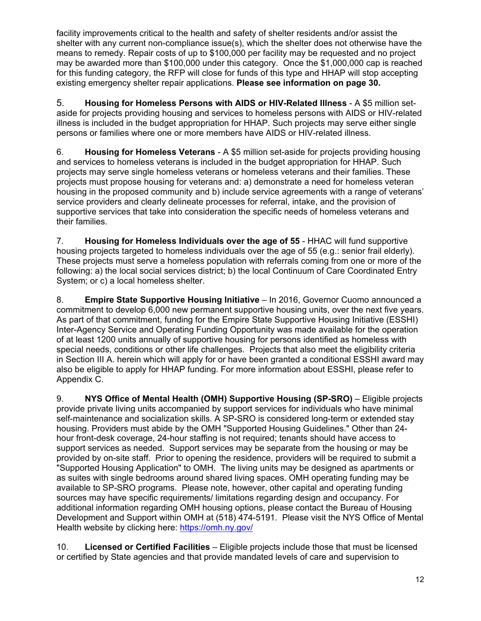shelter with any current non-compliance issue(s), which the shelter does not otherwise have the  existing emergency shelter repair applications. **Please see information on page 30.** facility improvements critical to the health and safety of shelter residents and/or assist the means to remedy. Repair costs of up to \$100,000 per facility may be requested and no project may be awarded more than \$100,000 under this category. Once the \$1,000,000 cap is reached for this funding category, the RFP will close for funds of this type and HHAP will stop accepting

 5. **Housing for Homeless Persons with AIDS or HIV-Related Illness** - A \$5 million setaside for projects providing housing and services to homeless persons with AIDS or HIV-related illness is included in the budget appropriation for HHAP. Such projects may serve either single persons or families where one or more members have AIDS or HIV-related illness.

 6. **Housing for Homeless Veterans** - A \$5 million set-aside for projects providing housing and services to homeless veterans is included in the budget appropriation for HHAP. Such projects may serve single homeless veterans or homeless veterans and their families. These projects must propose housing for veterans and: a) demonstrate a need for homeless veteran housing in the proposed community and b) include service agreements with a range of veterans' service providers and clearly delineate processes for referral, intake, and the provision of supportive services that take into consideration the specific needs of homeless veterans and their families.

 7. **Housing for Homeless Individuals over the age of 55** - HHAC will fund supportive housing projects targeted to homeless individuals over the age of 55 (e.g.: senior frail elderly). These projects must serve a homeless population with referrals coming from one or more of the following: a) the local social services district; b) the local Continuum of Care Coordinated Entry System; or c) a local homeless shelter.

 8. **Empire State Supportive Housing Initiative** – In 2016, Governor Cuomo announced a commitment to develop 6,000 new permanent supportive housing units, over the next five years. As part of that commitment, funding for the Empire State Supportive Housing Initiative (ESSHI) Inter-Agency Service and Operating Funding Opportunity was made available for the operation of at least 1200 units annually of supportive housing for persons identified as homeless with special needs, conditions or other life challenges. Projects that also meet the eligibility criteria in Section III A. herein which will apply for or have been granted a conditional ESSHI award may also be eligible to apply for HHAP funding. For more information about ESSHI, please refer to Appendix C.

 9. **NYS Office of Mental Health (OMH) Supportive Housing (SP-SRO)** – Eligible projects provide private living units accompanied by support services for individuals who have minimal self-maintenance and socialization skills. A SP-SRO is considered long-term or extended stay housing. Providers must abide by the OMH "Supported Housing Guidelines." Other than 24 hour front-desk coverage, 24-hour staffing is not required; tenants should have access to support services as needed. Support services may be separate from the housing or may be provided by on-site staff. Prior to opening the residence, providers will be required to submit a "Supported Housing Application" to OMH. The living units may be designed as apartments or as suites with single bedrooms around shared living spaces. OMH operating funding may be available to SP-SRO programs. Please note, however, other capital and operating funding sources may have specific requirements/ limitations regarding design and occupancy. For additional information regarding OMH housing options, please contact the Bureau of Housing Development and Support within OMH at (518) 474-5191. Please visit the NYS Office of Mental Health website by clicking here: https://omh.ny.gov/

 10. **Licensed or Certified Facilities** – Eligible projects include those that must be licensed or certified by State agencies and that provide mandated levels of care and supervision to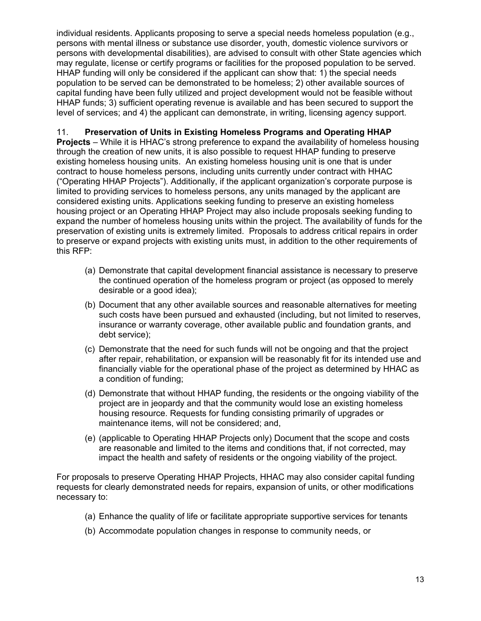individual residents. Applicants proposing to serve a special needs homeless population (e.g., persons with mental illness or substance use disorder, youth, domestic violence survivors or persons with developmental disabilities), are advised to consult with other State agencies which may regulate, license or certify programs or facilities for the proposed population to be served. HHAP funding will only be considered if the applicant can show that: 1) the special needs population to be served can be demonstrated to be homeless; 2) other available sources of capital funding have been fully utilized and project development would not be feasible without HHAP funds; 3) sufficient operating revenue is available and has been secured to support the level of services; and 4) the applicant can demonstrate, in writing, licensing agency support.

11. **Preservation of Units in Existing Homeless Programs and Operating HHAP**

 **Projects** – While it is HHAC's strong preference to expand the availability of homeless housing through the creation of new units, it is also possible to request HHAP funding to preserve existing homeless housing units. An existing homeless housing unit is one that is under contract to house homeless persons, including units currently under contract with HHAC ("Operating HHAP Projects"). Additionally, if the applicant organization's corporate purpose is limited to providing services to homeless persons, any units managed by the applicant are considered existing units. Applications seeking funding to preserve an existing homeless housing project or an Operating HHAP Project may also include proposals seeking funding to expand the number of homeless housing units within the project. The availability of funds for the preservation of existing units is extremely limited. Proposals to address critical repairs in order to preserve or expand projects with existing units must, in addition to the other requirements of this RFP:

- (a) Demonstrate that capital development financial assistance is necessary to preserve the continued operation of the homeless program or project (as opposed to merely desirable or a good idea);
- (b) Document that any other available sources and reasonable alternatives for meeting such costs have been pursued and exhausted (including, but not limited to reserves, insurance or warranty coverage, other available public and foundation grants, and debt service);
- (c) Demonstrate that the need for such funds will not be ongoing and that the project after repair, rehabilitation, or expansion will be reasonably fit for its intended use and financially viable for the operational phase of the project as determined by HHAC as a condition of funding;
- (d) Demonstrate that without HHAP funding, the residents or the ongoing viability of the project are in jeopardy and that the community would lose an existing homeless housing resource. Requests for funding consisting primarily of upgrades or maintenance items, will not be considered; and,
- impact the health and safety of residents or the ongoing viability of the project. (e) (applicable to Operating HHAP Projects only) Document that the scope and costs are reasonable and limited to the items and conditions that, if not corrected, may

For proposals to preserve Operating HHAP Projects. HHAC may also consider capital funding requests for clearly demonstrated needs for repairs, expansion of units, or other modifications necessary to:

- (a) Enhance the quality of life or facilitate appropriate supportive services for tenants
- (b) Accommodate population changes in response to community needs, or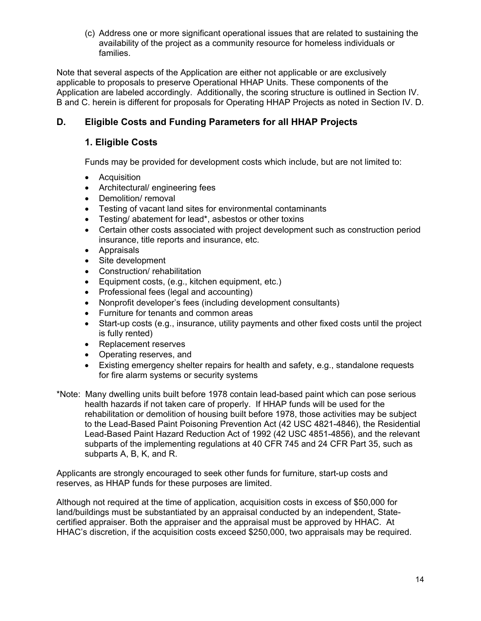(c) Address one or more significant operational issues that are related to sustaining the availability of the project as a community resource for homeless individuals or families.

Note that several aspects of the Application are either not applicable or are exclusively applicable to proposals to preserve Operational HHAP Units. These components of the Application are labeled accordingly. Additionally, the scoring structure is outlined in Section IV. B and C. herein is different for proposals for Operating HHAP Projects as noted in Section IV. D.

## **D. Eligible Costs and Funding Parameters for all HHAP Projects**

#### **1. Eligible Costs**

Funds may be provided for development costs which include, but are not limited to:

- Acquisition
- Architectural/ engineering fees
- Demolition/ removal
- Testing of vacant land sites for environmental contaminants
- Testing/ abatement for lead\*, asbestos or other toxins
- insurance, title reports and insurance, etc. • Certain other costs associated with project development such as construction period
- Appraisals
- Site development
- Construction/ rehabilitation
- Equipment costs, (e.g., kitchen equipment, etc.)
- Professional fees (legal and accounting)
- Nonprofit developer's fees (including development consultants)
- Furniture for tenants and common areas
- Start-up costs (e.g., insurance, utility payments and other fixed costs until the project is fully rented)
- Replacement reserves
- Operating reserves, and
- Existing emergency shelter repairs for health and safety, e.g., standalone requests for fire alarm systems or security systems
- \*Note: Many dwelling units built before 1978 contain lead-based paint which can pose serious health hazards if not taken care of properly. If HHAP funds will be used for the rehabilitation or demolition of housing built before 1978, those activities may be subject to the Lead-Based Paint Poisoning Prevention Act (42 USC 4821-4846), the Residential Lead-Based Paint Hazard Reduction Act of 1992 (42 USC 4851-4856), and the relevant subparts of the implementing regulations at 40 CFR 745 and 24 CFR Part 35, such as subparts A, B, K, and R.

Applicants are strongly encouraged to seek other funds for furniture, start-up costs and reserves, as HHAP funds for these purposes are limited.

Although not required at the time of application, acquisition costs in excess of \$50,000 for land/buildings must be substantiated by an appraisal conducted by an independent, Statecertified appraiser. Both the appraiser and the appraisal must be approved by HHAC. At HHAC's discretion, if the acquisition costs exceed \$250,000, two appraisals may be required.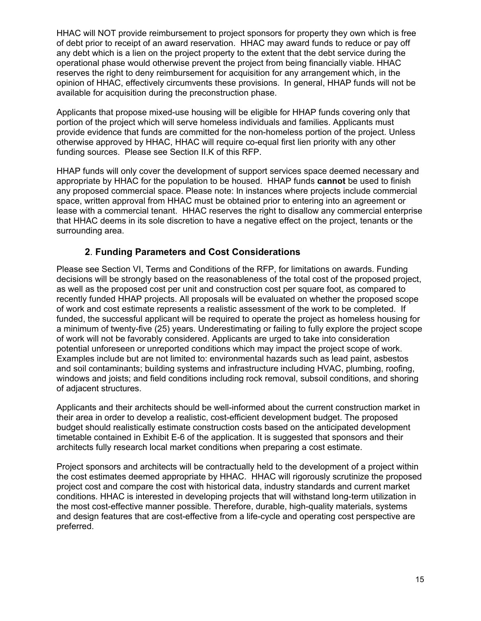of debt prior to receipt of an award reservation. HHAC may award funds to reduce or pay off any debt which is a lien on the project property to the extent that the debt service during the opinion of HHAC, effectively circumvents these provisions. In general, HHAP funds will not be HHAC will NOT provide reimbursement to project sponsors for property they own which is free operational phase would otherwise prevent the project from being financially viable. HHAC reserves the right to deny reimbursement for acquisition for any arrangement which, in the available for acquisition during the preconstruction phase.

Applicants that propose mixed-use housing will be eligible for HHAP funds covering only that portion of the project which will serve homeless individuals and families. Applicants must provide evidence that funds are committed for the non-homeless portion of the project. Unless otherwise approved by HHAC, HHAC will require co-equal first lien priority with any other funding sources. Please see Section II.K of this RFP.

HHAP funds will only cover the development of support services space deemed necessary and appropriate by HHAC for the population to be housed. HHAP funds **cannot** be used to finish any proposed commercial space. Please note: In instances where projects include commercial space, written approval from HHAC must be obtained prior to entering into an agreement or lease with a commercial tenant. HHAC reserves the right to disallow any commercial enterprise that HHAC deems in its sole discretion to have a negative effect on the project, tenants or the surrounding area.

#### **2**. **Funding Parameters and Cost Considerations**

 funded, the successful applicant will be required to operate the project as homeless housing for Please see Section VI, Terms and Conditions of the RFP, for limitations on awards. Funding decisions will be strongly based on the reasonableness of the total cost of the proposed project, as well as the proposed cost per unit and construction cost per square foot, as compared to recently funded HHAP projects. All proposals will be evaluated on whether the proposed scope of work and cost estimate represents a realistic assessment of the work to be completed. If a minimum of twenty-five (25) years. Underestimating or failing to fully explore the project scope of work will not be favorably considered. Applicants are urged to take into consideration potential unforeseen or unreported conditions which may impact the project scope of work. Examples include but are not limited to: environmental hazards such as lead paint, asbestos and soil contaminants; building systems and infrastructure including HVAC, plumbing, roofing, windows and joists; and field conditions including rock removal, subsoil conditions, and shoring of adjacent structures.

Applicants and their architects should be well-informed about the current construction market in their area in order to develop a realistic, cost-efficient development budget. The proposed budget should realistically estimate construction costs based on the anticipated development timetable contained in Exhibit E-6 of the application. It is suggested that sponsors and their architects fully research local market conditions when preparing a cost estimate.

Project sponsors and architects will be contractually held to the development of a project within the cost estimates deemed appropriate by HHAC. HHAC will rigorously scrutinize the proposed project cost and compare the cost with historical data, industry standards and current market conditions. HHAC is interested in developing projects that will withstand long-term utilization in the most cost-effective manner possible. Therefore, durable, high-quality materials, systems and design features that are cost-effective from a life-cycle and operating cost perspective are preferred.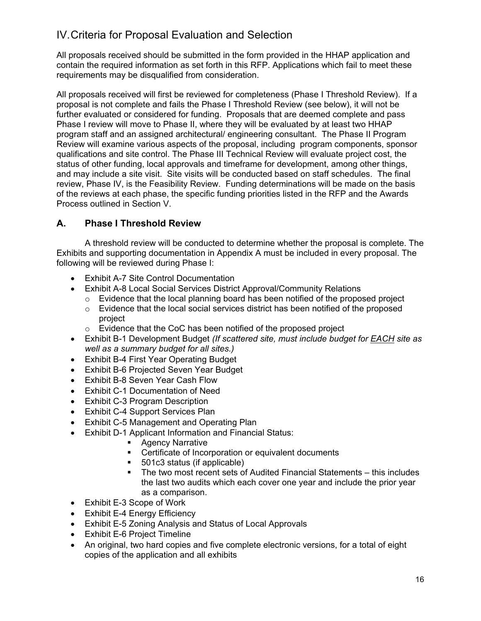# <span id="page-16-0"></span>IV.Criteria for Proposal Evaluation and Selection

All proposals received should be submitted in the form provided in the HHAP application and contain the required information as set forth in this RFP. Applications which fail to meet these requirements may be disqualified from consideration.

 proposal is not complete and fails the Phase I Threshold Review (see below), it will not be further evaluated or considered for funding. Proposals that are deemed complete and pass and may include a site visit. Site visits will be conducted based on staff schedules. The final All proposals received will first be reviewed for completeness (Phase I Threshold Review). If a Phase I review will move to Phase II, where they will be evaluated by at least two HHAP program staff and an assigned architectural/ engineering consultant. The Phase II Program Review will examine various aspects of the proposal, including program components, sponsor qualifications and site control. The Phase III Technical Review will evaluate project cost, the status of other funding, local approvals and timeframe for development, among other things, review, Phase IV, is the Feasibility Review. Funding determinations will be made on the basis of the reviews at each phase, the specific funding priorities listed in the RFP and the Awards Process outlined in Section V.

#### **A. Phase I Threshold Review**

A threshold review will be conducted to determine whether the proposal is complete. The Exhibits and supporting documentation in Appendix A must be included in every proposal. The following will be reviewed during Phase I:

- Exhibit A-7 Site Control Documentation
- Exhibit A-8 Local Social Services District Approval/Community Relations
	- $\circ$  Evidence that the local planning board has been notified of the proposed project
	- $\circ$  Evidence that the local social services district has been notified of the proposed project
	- o Evidence that the CoC has been notified of the proposed project
- Exhibit B-1 Development Budget *(If scattered site, must include budget for EACH site as well as a summary budget for all sites.)*
- Exhibit B-4 First Year Operating Budget
- Exhibit B-6 Projected Seven Year Budget
- Exhibit B-8 Seven Year Cash Flow
- Exhibit C-1 Documentation of Need
- Exhibit C-3 Program Description
- Exhibit C-4 Support Services Plan
- Exhibit C-5 Management and Operating Plan
- Exhibit D-1 Applicant Information and Financial Status:
	- Agency Narrative
	- **EXEC** Certificate of Incorporation or equivalent documents
	- 501c3 status (if applicable)
	- The two most recent sets of Audited Financial Statements this includes the last two audits which each cover one year and include the prior year as a comparison.
- Exhibit E-3 Scope of Work
- Exhibit E-4 Energy Efficiency
- Exhibit E-5 Zoning Analysis and Status of Local Approvals
- Exhibit E-6 Project Timeline
- An original, two hard copies and five complete electronic versions, for a total of eight copies of the application and all exhibits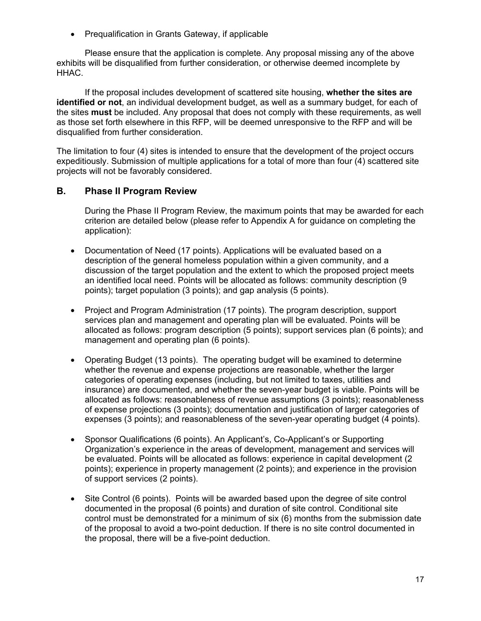• Prequalification in Grants Gateway, if applicable

Please ensure that the application is complete. Any proposal missing any of the above exhibits will be disqualified from further consideration, or otherwise deemed incomplete by HHAC.

If the proposal includes development of scattered site housing, **whether the sites are identified or not**, an individual development budget, as well as a summary budget, for each of the sites **must** be included. Any proposal that does not comply with these requirements, as well as those set forth elsewhere in this RFP, will be deemed unresponsive to the RFP and will be disqualified from further consideration.

The limitation to four (4) sites is intended to ensure that the development of the project occurs expeditiously. Submission of multiple applications for a total of more than four (4) scattered site projects will not be favorably considered.

#### **B. Phase II Program Review**

During the Phase II Program Review, the maximum points that may be awarded for each criterion are detailed below (please refer to Appendix A for guidance on completing the application):

- Documentation of Need (17 points). Applications will be evaluated based on a description of the general homeless population within a given community, and a discussion of the target population and the extent to which the proposed project meets an identified local need. Points will be allocated as follows: community description (9 points); target population (3 points); and gap analysis (5 points).
- Project and Program Administration (17 points). The program description, support services plan and management and operating plan will be evaluated. Points will be allocated as follows: program description (5 points); support services plan (6 points); and management and operating plan (6 points).
- Operating Budget (13 points). The operating budget will be examined to determine whether the revenue and expense projections are reasonable, whether the larger categories of operating expenses (including, but not limited to taxes, utilities and insurance) are documented, and whether the seven-year budget is viable. Points will be allocated as follows: reasonableness of revenue assumptions (3 points); reasonableness of expense projections (3 points); documentation and justification of larger categories of expenses (3 points); and reasonableness of the seven-year operating budget (4 points).
- Sponsor Qualifications (6 points). An Applicant's, Co-Applicant's or Supporting Organization's experience in the areas of development, management and services will be evaluated. Points will be allocated as follows: experience in capital development (2 points); experience in property management (2 points); and experience in the provision of support services (2 points).
- Site Control (6 points). Points will be awarded based upon the degree of site control documented in the proposal (6 points) and duration of site control. Conditional site control must be demonstrated for a minimum of six (6) months from the submission date of the proposal to avoid a two-point deduction. If there is no site control documented in the proposal, there will be a five-point deduction.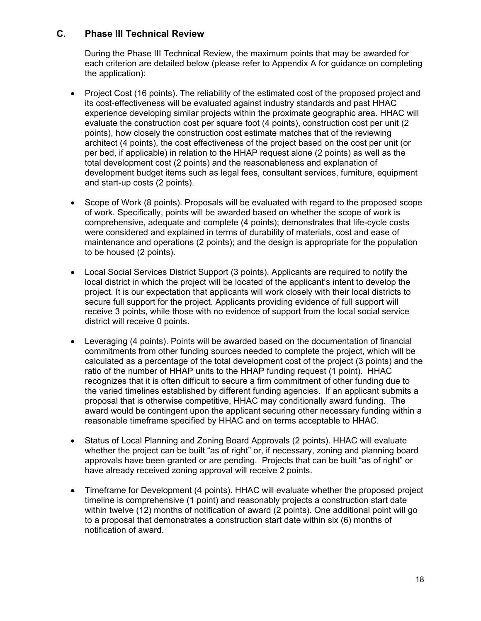#### **C. Phase III Technical Review**

During the Phase III Technical Review, the maximum points that may be awarded for each criterion are detailed below (please refer to Appendix A for guidance on completing the application):

- per bed, if applicable) in relation to the HHAP request alone (2 points) as well as the • Project Cost (16 points). The reliability of the estimated cost of the proposed project and its cost-effectiveness will be evaluated against industry standards and past HHAC experience developing similar projects within the proximate geographic area. HHAC will evaluate the construction cost per square foot (4 points), construction cost per unit (2 points), how closely the construction cost estimate matches that of the reviewing architect (4 points), the cost effectiveness of the project based on the cost per unit (or total development cost (2 points) and the reasonableness and explanation of development budget items such as legal fees, consultant services, furniture, equipment and start-up costs (2 points).
- Scope of Work (8 points). Proposals will be evaluated with regard to the proposed scope of work. Specifically, points will be awarded based on whether the scope of work is comprehensive, adequate and complete (4 points); demonstrates that life-cycle costs were considered and explained in terms of durability of materials, cost and ease of maintenance and operations (2 points); and the design is appropriate for the population to be housed (2 points).
- receive 3 points, while those with no evidence of support from the local social service district will receive 0 points. • Local Social Services District Support (3 points). Applicants are required to notify the local district in which the project will be located of the applicant's intent to develop the project. It is our expectation that applicants will work closely with their local districts to secure full support for the project. Applicants providing evidence of full support will
- ratio of the number of HHAP units to the HHAP funding request (1 point). HHAC • Leveraging (4 points). Points will be awarded based on the documentation of financial commitments from other funding sources needed to complete the project, which will be calculated as a percentage of the total development cost of the project (3 points) and the recognizes that it is often difficult to secure a firm commitment of other funding due to the varied timelines established by different funding agencies. If an applicant submits a proposal that is otherwise competitive, HHAC may conditionally award funding. The award would be contingent upon the applicant securing other necessary funding within a reasonable timeframe specified by HHAC and on terms acceptable to HHAC.
- approvals have been granted or are pending. Projects that can be built "as of right" or • Status of Local Planning and Zoning Board Approvals (2 points). HHAC will evaluate whether the project can be built "as of right" or, if necessary, zoning and planning board have already received zoning approval will receive 2 points.
- within twelve (12) months of notification of award (2 points). One additional point will go • Timeframe for Development (4 points). HHAC will evaluate whether the proposed project timeline is comprehensive (1 point) and reasonably projects a construction start date to a proposal that demonstrates a construction start date within six (6) months of notification of award.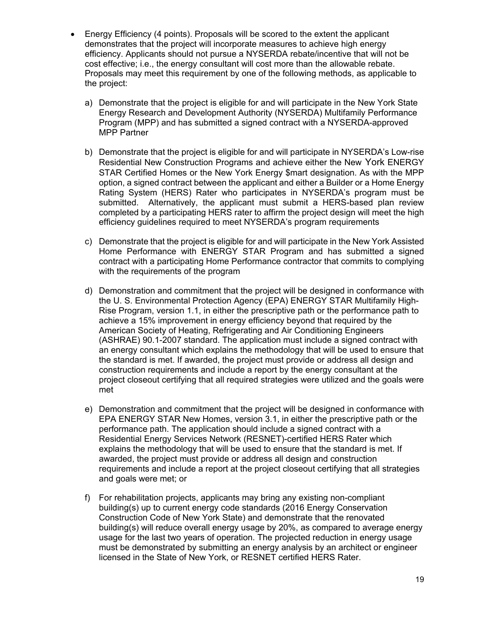- Energy Efficiency (4 points). Proposals will be scored to the extent the applicant demonstrates that the project will incorporate measures to achieve high energy efficiency. Applicants should not pursue a NYSERDA rebate/incentive that will not be cost effective; i.e., the energy consultant will cost more than the allowable rebate. Proposals may meet this requirement by one of the following methods, as applicable to the project:
	- a) Demonstrate that the project is eligible for and will participate in the New York State Energy Research and Development Authority (NYSERDA) Multifamily Performance Program (MPP) and has submitted a signed contract with a NYSERDA-approved MPP Partner
	- STAR Certified Homes or the New York Energy \$mart designation. As with the MPP b) Demonstrate that the project is eligible for and will participate in NYSERDA's Low-rise Residential New Construction Programs and achieve either the New York ENERGY option, a signed contract between the applicant and either a Builder or a Home Energy Rating System (HERS) Rater who participates in NYSERDA's program must be submitted. Alternatively, the applicant must submit a HERS-based plan review completed by a participating HERS rater to affirm the project design will meet the high efficiency guidelines required to meet NYSERDA's program requirements
	- c) Demonstrate that the project is eligible for and will participate in the New York Assisted Home Performance with ENERGY STAR Program and has submitted a signed contract with a participating Home Performance contractor that commits to complying with the requirements of the program
	- the U. S. Environmental Protection Agency (EPA) ENERGY STAR Multifamily Highd) Demonstration and commitment that the project will be designed in conformance with Rise Program, version 1.1, in either the prescriptive path or the performance path to achieve a 15% improvement in energy efficiency beyond that required by the American Society of Heating, Refrigerating and Air Conditioning Engineers (ASHRAE) 90.1-2007 standard. The application must include a signed contract with an energy consultant which explains the methodology that will be used to ensure that the standard is met. If awarded, the project must provide or address all design and construction requirements and include a report by the energy consultant at the project closeout certifying that all required strategies were utilized and the goals were met
	- e) Demonstration and commitment that the project will be designed in conformance with EPA ENERGY STAR New Homes, version 3.1, in either the prescriptive path or the performance path. The application should include a signed contract with a Residential Energy Services Network (RESNET)-certified HERS Rater which explains the methodology that will be used to ensure that the standard is met. If awarded, the project must provide or address all design and construction requirements and include a report at the project closeout certifying that all strategies and goals were met; or
	- must be demonstrated by submitting an energy analysis by an architect or engineer f) For rehabilitation projects, applicants may bring any existing non-compliant building(s) up to current energy code standards (2016 Energy Conservation Construction Code of New York State) and demonstrate that the renovated building(s) will reduce overall energy usage by 20%, as compared to average energy usage for the last two years of operation. The projected reduction in energy usage licensed in the State of New York, or RESNET certified HERS Rater.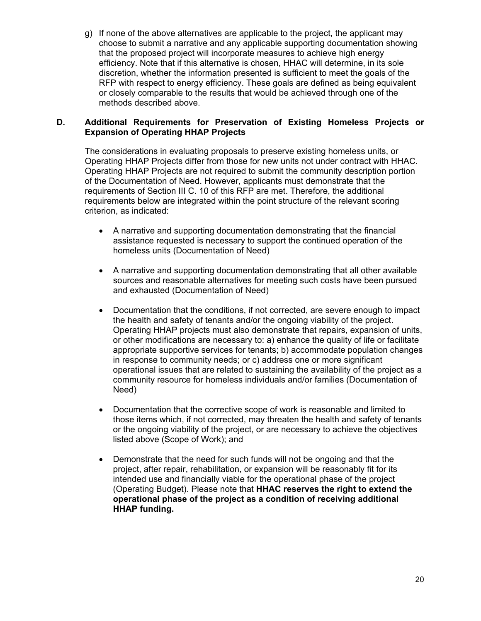g) If none of the above alternatives are applicable to the project, the applicant may choose to submit a narrative and any applicable supporting documentation showing that the proposed project will incorporate measures to achieve high energy efficiency. Note that if this alternative is chosen, HHAC will determine, in its sole discretion, whether the information presented is sufficient to meet the goals of the RFP with respect to energy efficiency. These goals are defined as being equivalent or closely comparable to the results that would be achieved through one of the methods described above.

#### **D. Additional Requirements for Preservation of Existing Homeless Projects or Expansion of Operating HHAP Projects**

 requirements of Section III C. 10 of this RFP are met. Therefore, the additional The considerations in evaluating proposals to preserve existing homeless units, or Operating HHAP Projects differ from those for new units not under contract with HHAC. Operating HHAP Projects are not required to submit the community description portion of the Documentation of Need. However, applicants must demonstrate that the requirements below are integrated within the point structure of the relevant scoring criterion, as indicated:

- A narrative and supporting documentation demonstrating that the financial assistance requested is necessary to support the continued operation of the homeless units (Documentation of Need)
- A narrative and supporting documentation demonstrating that all other available sources and reasonable alternatives for meeting such costs have been pursued and exhausted (Documentation of Need)
- the health and safety of tenants and/or the ongoing viability of the project. • Documentation that the conditions, if not corrected, are severe enough to impact Operating HHAP projects must also demonstrate that repairs, expansion of units, or other modifications are necessary to: a) enhance the quality of life or facilitate appropriate supportive services for tenants; b) accommodate population changes in response to community needs; or c) address one or more significant operational issues that are related to sustaining the availability of the project as a community resource for homeless individuals and/or families (Documentation of Need)
- Documentation that the corrective scope of work is reasonable and limited to those items which, if not corrected, may threaten the health and safety of tenants or the ongoing viability of the project, or are necessary to achieve the objectives listed above (Scope of Work); and
- project, after repair, rehabilitation, or expansion will be reasonably fit for its • Demonstrate that the need for such funds will not be ongoing and that the intended use and financially viable for the operational phase of the project (Operating Budget). Please note that **HHAC reserves the right to extend the operational phase of the project as a condition of receiving additional HHAP funding.**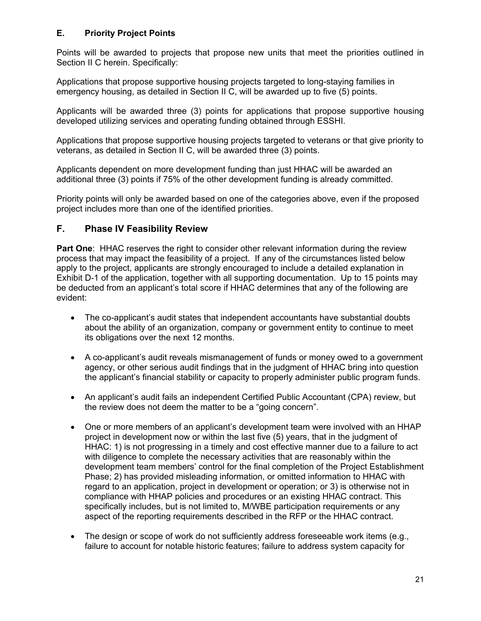#### **E. Priority Project Points**

Points will be awarded to projects that propose new units that meet the priorities outlined in Section II C herein. Specifically:

Applications that propose supportive housing projects targeted to long-staying families in emergency housing, as detailed in Section II C, will be awarded up to five (5) points.

 Applicants will be awarded three (3) points for applications that propose supportive housing developed utilizing services and operating funding obtained through ESSHI.

 veterans, as detailed in Section II C, will be awarded three (3) points. Applications that propose supportive housing projects targeted to veterans or that give priority to

Applicants dependent on more development funding than just HHAC will be awarded an additional three (3) points if 75% of the other development funding is already committed.

Priority points will only be awarded based on one of the categories above, even if the proposed project includes more than one of the identified priorities.

#### **F. Phase IV Feasibility Review**

 **Part One**: HHAC reserves the right to consider other relevant information during the review process that may impact the feasibility of a project. If any of the circumstances listed below apply to the project, applicants are strongly encouraged to include a detailed explanation in Exhibit D-1 of the application, together with all supporting documentation. Up to 15 points may be deducted from an applicant's total score if HHAC determines that any of the following are evident:

- The co-applicant's audit states that independent accountants have substantial doubts about the ability of an organization, company or government entity to continue to meet its obligations over the next 12 months.
- A co-applicant's audit reveals mismanagement of funds or money owed to a government agency, or other serious audit findings that in the judgment of HHAC bring into question the applicant's financial stability or capacity to properly administer public program funds.
- • An applicant's audit fails an independent Certified Public Accountant (CPA) review, but the review does not deem the matter to be a "going concern".
- compliance with HHAP policies and procedures or an existing HHAC contract. This • One or more members of an applicant's development team were involved with an HHAP project in development now or within the last five (5) years, that in the judgment of HHAC: 1) is not progressing in a timely and cost effective manner due to a failure to act with diligence to complete the necessary activities that are reasonably within the development team members' control for the final completion of the Project Establishment Phase; 2) has provided misleading information, or omitted information to HHAC with regard to an application, project in development or operation; or 3) is otherwise not in specifically includes, but is not limited to, M/WBE participation requirements or any aspect of the reporting requirements described in the RFP or the HHAC contract.
- The design or scope of work do not sufficiently address foreseeable work items (e.g., failure to account for notable historic features; failure to address system capacity for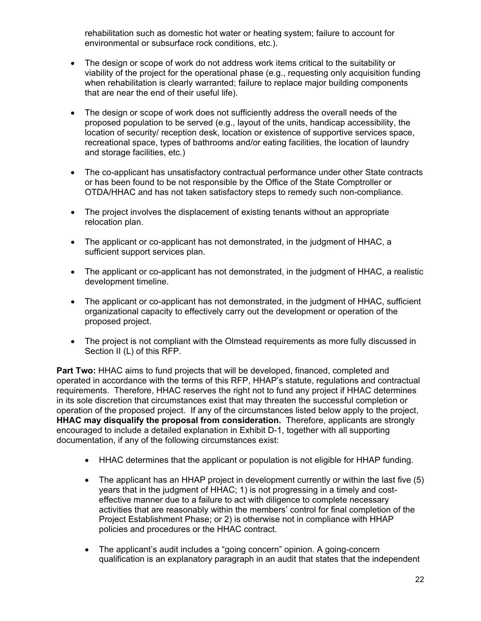rehabilitation such as domestic hot water or heating system; failure to account for environmental or subsurface rock conditions, etc.).

- The design or scope of work do not address work items critical to the suitability or viability of the project for the operational phase (e.g., requesting only acquisition funding when rehabilitation is clearly warranted; failure to replace major building components that are near the end of their useful life).
- The design or scope of work does not sufficiently address the overall needs of the proposed population to be served (e.g., layout of the units, handicap accessibility, the location of security/ reception desk, location or existence of supportive services space, recreational space, types of bathrooms and/or eating facilities, the location of laundry and storage facilities, etc.)
- • The co-applicant has unsatisfactory contractual performance under other State contracts or has been found to be not responsible by the Office of the State Comptroller or OTDA/HHAC and has not taken satisfactory steps to remedy such non-compliance.
- The project involves the displacement of existing tenants without an appropriate relocation plan.
- The applicant or co-applicant has not demonstrated, in the judgment of HHAC, a sufficient support services plan.
- The applicant or co-applicant has not demonstrated, in the judgment of HHAC, a realistic development timeline.
- The applicant or co-applicant has not demonstrated, in the judgment of HHAC, sufficient organizational capacity to effectively carry out the development or operation of the proposed project.
- The project is not compliant with the Olmstead requirements as more fully discussed in Section II (L) of this RFP.

 **HHAC may disqualify the proposal from consideration.** Therefore, applicants are strongly **Part Two:** HHAC aims to fund projects that will be developed, financed, completed and operated in accordance with the terms of this RFP, HHAP's statute, regulations and contractual requirements. Therefore, HHAC reserves the right not to fund any project if HHAC determines in its sole discretion that circumstances exist that may threaten the successful completion or operation of the proposed project. If any of the circumstances listed below apply to the project, encouraged to include a detailed explanation in Exhibit D-1, together with all supporting documentation, if any of the following circumstances exist:

- HHAC determines that the applicant or population is not eligible for HHAP funding.
- The applicant has an HHAP project in development currently or within the last five (5) years that in the judgment of HHAC; 1) is not progressing in a timely and costeffective manner due to a failure to act with diligence to complete necessary activities that are reasonably within the members' control for final completion of the Project Establishment Phase; or 2) is otherwise not in compliance with HHAP policies and procedures or the HHAC contract.
- The applicant's audit includes a "going concern" opinion. A going-concern qualification is an explanatory paragraph in an audit that states that the independent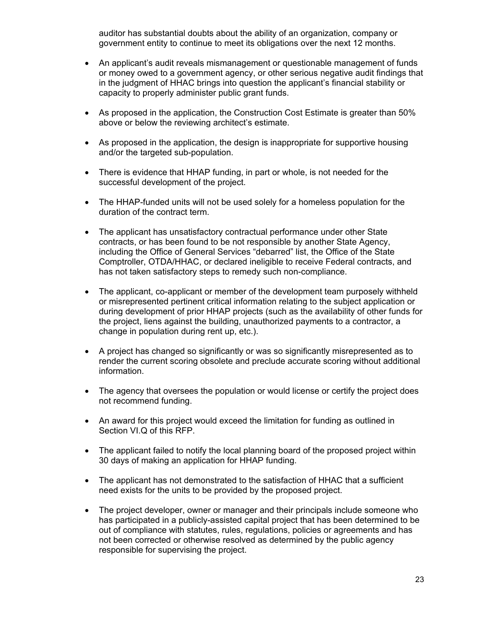auditor has substantial doubts about the ability of an organization, company or government entity to continue to meet its obligations over the next 12 months.

- An applicant's audit reveals mismanagement or questionable management of funds or money owed to a government agency, or other serious negative audit findings that in the judgment of HHAC brings into question the applicant's financial stability or capacity to properly administer public grant funds.
- As proposed in the application, the Construction Cost Estimate is greater than 50% above or below the reviewing architect's estimate.
- and/or the targeted sub-population. • As proposed in the application, the design is inappropriate for supportive housing
- There is evidence that HHAP funding, in part or whole, is not needed for the successful development of the project.
- The HHAP-funded units will not be used solely for a homeless population for the duration of the contract term.
- The applicant has unsatisfactory contractual performance under other State contracts, or has been found to be not responsible by another State Agency, including the Office of General Services "debarred" list, the Office of the State Comptroller, OTDA/HHAC, or declared ineligible to receive Federal contracts, and has not taken satisfactory steps to remedy such non-compliance.
- The applicant, co-applicant or member of the development team purposely withheld or misrepresented pertinent critical information relating to the subject application or during development of prior HHAP projects (such as the availability of other funds for the project, liens against the building, unauthorized payments to a contractor, a change in population during rent up, etc.).
- A project has changed so significantly or was so significantly misrepresented as to render the current scoring obsolete and preclude accurate scoring without additional information.
- The agency that oversees the population or would license or certify the project does not recommend funding.
- An award for this project would exceed the limitation for funding as outlined in Section VI.Q of this RFP.
- The applicant failed to notify the local planning board of the proposed project within 30 days of making an application for HHAP funding.
- The applicant has not demonstrated to the satisfaction of HHAC that a sufficient need exists for the units to be provided by the proposed project.
- The project developer, owner or manager and their principals include someone who has participated in a publicly-assisted capital project that has been determined to be out of compliance with statutes, rules, regulations, policies or agreements and has not been corrected or otherwise resolved as determined by the public agency responsible for supervising the project.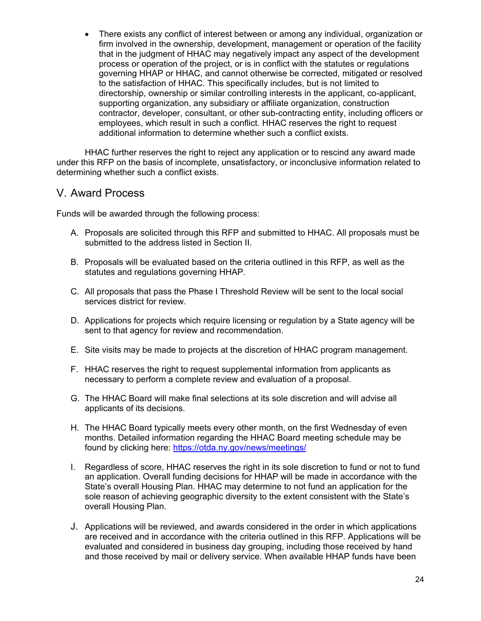• There exists any conflict of interest between or among any individual, organization or firm involved in the ownership, development, management or operation of the facility that in the judgment of HHAC may negatively impact any aspect of the development process or operation of the project, or is in conflict with the statutes or regulations governing HHAP or HHAC, and cannot otherwise be corrected, mitigated or resolved to the satisfaction of HHAC. This specifically includes, but is not limited to directorship, ownership or similar controlling interests in the applicant, co-applicant, supporting organization, any subsidiary or affiliate organization, construction contractor, developer, consultant, or other sub-contracting entity, including officers or employees, which result in such a conflict. HHAC reserves the right to request additional information to determine whether such a conflict exists.

HHAC further reserves the right to reject any application or to rescind any award made under this RFP on the basis of incomplete, unsatisfactory, or inconclusive information related to determining whether such a conflict exists.

#### <span id="page-24-0"></span>V. Award Process

Funds will be awarded through the following process:

- A. Proposals are solicited through this RFP and submitted to HHAC. All proposals must be submitted to the address listed in Section II.
- B. Proposals will be evaluated based on the criteria outlined in this RFP, as well as the statutes and regulations governing HHAP.
- C. All proposals that pass the Phase I Threshold Review will be sent to the local social services district for review.
- D. Applications for projects which require licensing or regulation by a State agency will be sent to that agency for review and recommendation.
- E. Site visits may be made to projects at the discretion of HHAC program management.
- F. HHAC reserves the right to request supplemental information from applicants as necessary to perform a complete review and evaluation of a proposal.
- G. The HHAC Board will make final selections at its sole discretion and will advise all applicants of its decisions.
- H. The HHAC Board typically meets every other month, on the first Wednesday of even months. Detailed information regarding the HHAC Board meeting schedule may be found by clicking here:<https://otda.ny.gov/news/meetings/>
- I. Regardless of score, HHAC reserves the right in its sole discretion to fund or not to fund an application. Overall funding decisions for HHAP will be made in accordance with the State's overall Housing Plan. HHAC may determine to not fund an application for the sole reason of achieving geographic diversity to the extent consistent with the State's overall Housing Plan.
- J. Applications will be reviewed, and awards considered in the order in which applications are received and in accordance with the criteria outlined in this RFP. Applications will be evaluated and considered in business day grouping, including those received by hand and those received by mail or delivery service. When available HHAP funds have been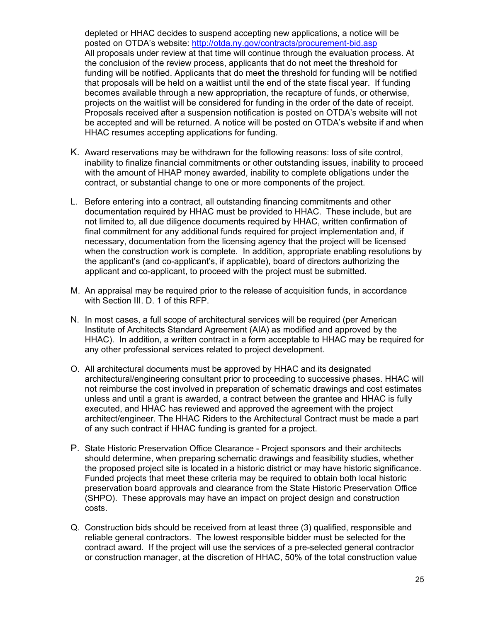depleted or HHAC decides to suspend accepting new applications, a notice will be posted on OTDA's website:<http://otda.ny.gov/contracts/procurement-bid.asp> All proposals under review at that time will continue through the evaluation process. At the conclusion of the review process, applicants that do not meet the threshold for funding will be notified. Applicants that do meet the threshold for funding will be notified that proposals will be held on a waitlist until the end of the state fiscal year. If funding becomes available through a new appropriation, the recapture of funds, or otherwise, projects on the waitlist will be considered for funding in the order of the date of receipt. Proposals received after a suspension notification is posted on OTDA's website will not be accepted and will be returned. A notice will be posted on OTDA's website if and when HHAC resumes accepting applications for funding.

- K. Award reservations may be withdrawn for the following reasons: loss of site control, inability to finalize financial commitments or other outstanding issues, inability to proceed with the amount of HHAP money awarded, inability to complete obligations under the contract, or substantial change to one or more components of the project.
- when the construction work is complete. In addition, appropriate enabling resolutions by applicant and co-applicant, to proceed with the project must be submitted. L. Before entering into a contract, all outstanding financing commitments and other documentation required by HHAC must be provided to HHAC. These include, but are not limited to, all due diligence documents required by HHAC, written confirmation of final commitment for any additional funds required for project implementation and, if necessary, documentation from the licensing agency that the project will be licensed the applicant's (and co-applicant's, if applicable), board of directors authorizing the
- M. An appraisal may be required prior to the release of acquisition funds, in accordance with Section III. D. 1 of this RFP.
- N. In most cases, a full scope of architectural services will be required (per American Institute of Architects Standard Agreement (AIA) as modified and approved by the HHAC). In addition, a written contract in a form acceptable to HHAC may be required for any other professional services related to project development.
- O. All architectural documents must be approved by HHAC and its designated architectural/engineering consultant prior to proceeding to successive phases. HHAC will not reimburse the cost involved in preparation of schematic drawings and cost estimates unless and until a grant is awarded, a contract between the grantee and HHAC is fully executed, and HHAC has reviewed and approved the agreement with the project architect/engineer. The HHAC Riders to the Architectural Contract must be made a part of any such contract if HHAC funding is granted for a project.
- P. State Historic Preservation Office Clearance Project sponsors and their architects should determine, when preparing schematic drawings and feasibility studies, whether the proposed project site is located in a historic district or may have historic significance. Funded projects that meet these criteria may be required to obtain both local historic preservation board approvals and clearance from the State Historic Preservation Office (SHPO). These approvals may have an impact on project design and construction costs.
- Q. Construction bids should be received from at least three (3) qualified, responsible and reliable general contractors. The lowest responsible bidder must be selected for the contract award. If the project will use the services of a pre-selected general contractor or construction manager, at the discretion of HHAC, 50% of the total construction value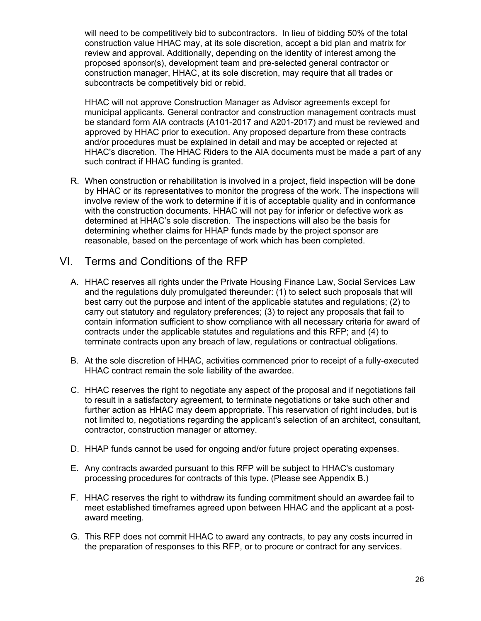will need to be competitively bid to subcontractors. In lieu of bidding 50% of the total construction value HHAC may, at its sole discretion, accept a bid plan and matrix for review and approval. Additionally, depending on the identity of interest among the proposed sponsor(s), development team and pre-selected general contractor or construction manager, HHAC, at its sole discretion, may require that all trades or subcontracts be competitively bid or rebid.

HHAC will not approve Construction Manager as Advisor agreements except for municipal applicants. General contractor and construction management contracts must be standard form AIA contracts (A101-2017 and A201-2017) and must be reviewed and approved by HHAC prior to execution. Any proposed departure from these contracts and/or procedures must be explained in detail and may be accepted or rejected at HHAC's discretion. The HHAC Riders to the AIA documents must be made a part of any such contract if HHAC funding is granted.

 by HHAC or its representatives to monitor the progress of the work. The inspections will R. When construction or rehabilitation is involved in a project, field inspection will be done involve review of the work to determine if it is of acceptable quality and in conformance with the construction documents. HHAC will not pay for inferior or defective work as determined at HHAC's sole discretion. The inspections will also be the basis for determining whether claims for HHAP funds made by the project sponsor are reasonable, based on the percentage of work which has been completed.

#### <span id="page-26-0"></span>VI. Terms and Conditions of the RFP

- A. HHAC reserves all rights under the Private Housing Finance Law, Social Services Law and the regulations duly promulgated thereunder: (1) to select such proposals that will best carry out the purpose and intent of the applicable statutes and regulations; (2) to carry out statutory and regulatory preferences; (3) to reject any proposals that fail to contain information sufficient to show compliance with all necessary criteria for award of contracts under the applicable statutes and regulations and this RFP; and (4) to terminate contracts upon any breach of law, regulations or contractual obligations.
- B. At the sole discretion of HHAC, activities commenced prior to receipt of a fully-executed HHAC contract remain the sole liability of the awardee.
- C. HHAC reserves the right to negotiate any aspect of the proposal and if negotiations fail to result in a satisfactory agreement, to terminate negotiations or take such other and further action as HHAC may deem appropriate. This reservation of right includes, but is not limited to, negotiations regarding the applicant's selection of an architect, consultant, contractor, construction manager or attorney.
- D. HHAP funds cannot be used for ongoing and/or future project operating expenses.
- E. Any contracts awarded pursuant to this RFP will be subject to HHAC's customary processing procedures for contracts of this type. (Please see Appendix B.)
- F. HHAC reserves the right to withdraw its funding commitment should an awardee fail to meet established timeframes agreed upon between HHAC and the applicant at a postaward meeting.
- G. This RFP does not commit HHAC to award any contracts, to pay any costs incurred in the preparation of responses to this RFP, or to procure or contract for any services.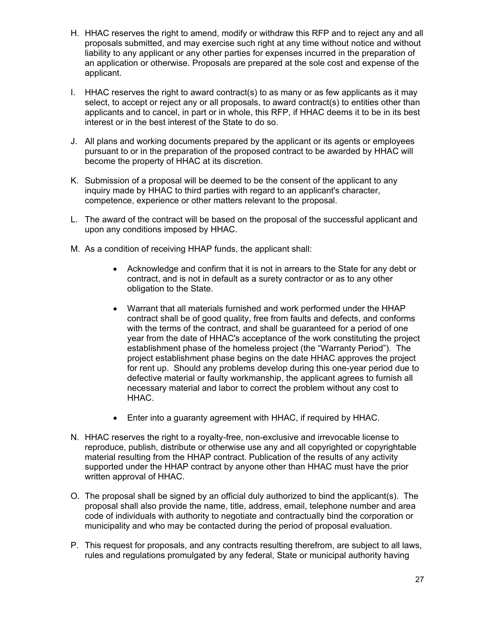- H. HHAC reserves the right to amend, modify or withdraw this RFP and to reject any and all proposals submitted, and may exercise such right at any time without notice and without liability to any applicant or any other parties for expenses incurred in the preparation of an application or otherwise. Proposals are prepared at the sole cost and expense of the applicant.
- I. HHAC reserves the right to award contract(s) to as many or as few applicants as it may select, to accept or reject any or all proposals, to award contract(s) to entities other than applicants and to cancel, in part or in whole, this RFP, if HHAC deems it to be in its best interest or in the best interest of the State to do so.
- J. All plans and working documents prepared by the applicant or its agents or employees pursuant to or in the preparation of the proposed contract to be awarded by HHAC will become the property of HHAC at its discretion.
- K. Submission of a proposal will be deemed to be the consent of the applicant to any inquiry made by HHAC to third parties with regard to an applicant's character, competence, experience or other matters relevant to the proposal.
- L. The award of the contract will be based on the proposal of the successful applicant and upon any conditions imposed by HHAC.
- M. As a condition of receiving HHAP funds, the applicant shall:
	- Acknowledge and confirm that it is not in arrears to the State for any debt or contract, and is not in default as a surety contractor or as to any other obligation to the State.
	- Warrant that all materials furnished and work performed under the HHAP contract shall be of good quality, free from faults and defects, and conforms with the terms of the contract, and shall be guaranteed for a period of one year from the date of HHAC's acceptance of the work constituting the project establishment phase of the homeless project (the "Warranty Period"). The project establishment phase begins on the date HHAC approves the project for rent up. Should any problems develop during this one-year period due to defective material or faulty workmanship, the applicant agrees to furnish all necessary material and labor to correct the problem without any cost to HHAC.
	- Enter into a guaranty agreement with HHAC, if required by HHAC.
- N. HHAC reserves the right to a royalty-free, non-exclusive and irrevocable license to reproduce, publish, distribute or otherwise use any and all copyrighted or copyrightable material resulting from the HHAP contract. Publication of the results of any activity supported under the HHAP contract by anyone other than HHAC must have the prior written approval of HHAC.
- O. The proposal shall be signed by an official duly authorized to bind the applicant(s). The proposal shall also provide the name, title, address, email, telephone number and area code of individuals with authority to negotiate and contractually bind the corporation or municipality and who may be contacted during the period of proposal evaluation.
- P. This request for proposals, and any contracts resulting therefrom, are subject to all laws, rules and regulations promulgated by any federal, State or municipal authority having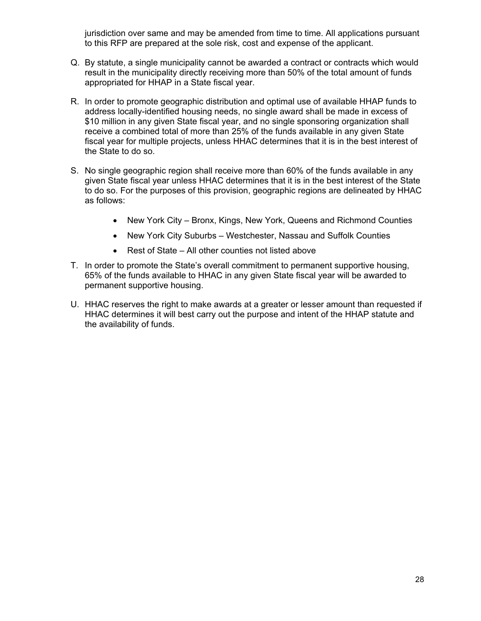jurisdiction over same and may be amended from time to time. All applications pursuant to this RFP are prepared at the sole risk, cost and expense of the applicant.

- Q. By statute, a single municipality cannot be awarded a contract or contracts which would result in the municipality directly receiving more than 50% of the total amount of funds appropriated for HHAP in a State fiscal year.
- R. In order to promote geographic distribution and optimal use of available HHAP funds to address locally-identified housing needs, no single award shall be made in excess of \$10 million in any given State fiscal year, and no single sponsoring organization shall receive a combined total of more than 25% of the funds available in any given State fiscal year for multiple projects, unless HHAC determines that it is in the best interest of the State to do so.
- S. No single geographic region shall receive more than 60% of the funds available in any given State fiscal year unless HHAC determines that it is in the best interest of the State to do so. For the purposes of this provision, geographic regions are delineated by HHAC as follows:
	- New York City Bronx, Kings, New York, Queens and Richmond Counties
	- New York City Suburbs Westchester, Nassau and Suffolk Counties
	- Rest of State All other counties not listed above
- 65% of the funds available to HHAC in any given State fiscal year will be awarded to T. In order to promote the State's overall commitment to permanent supportive housing, permanent supportive housing.
- U. HHAC reserves the right to make awards at a greater or lesser amount than requested if HHAC determines it will best carry out the purpose and intent of the HHAP statute and the availability of funds.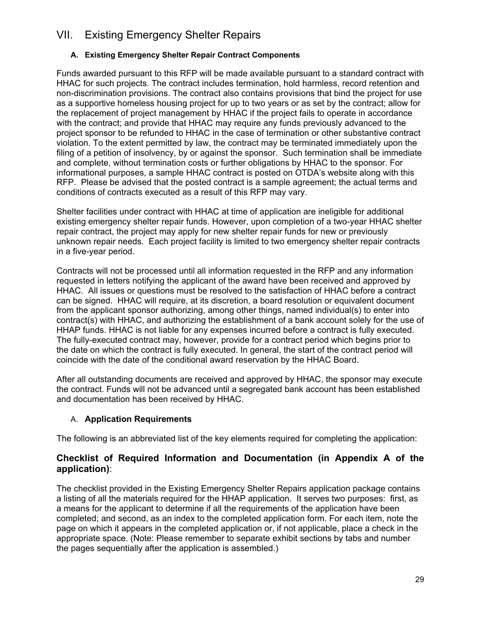# <span id="page-29-0"></span>VII. Existing Emergency Shelter Repairs

#### **A. Existing Emergency Shelter Repair Contract Components**

Funds awarded pursuant to this RFP will be made available pursuant to a standard contract with HHAC for such projects. The contract includes termination, hold harmless, record retention and non-discrimination provisions. The contract also contains provisions that bind the project for use as a supportive homeless housing project for up to two years or as set by the contract; allow for the replacement of project management by HHAC if the project fails to operate in accordance with the contract; and provide that HHAC may require any funds previously advanced to the project sponsor to be refunded to HHAC in the case of termination or other substantive contract violation. To the extent permitted by law, the contract may be terminated immediately upon the filing of a petition of insolvency, by or against the sponsor. Such termination shall be immediate and complete, without termination costs or further obligations by HHAC to the sponsor. For informational purposes, a sample HHAC contract is posted on OTDA's website along with this RFP. Please be advised that the posted contract is a sample agreement; the actual terms and conditions of contracts executed as a result of this RFP may vary.

Shelter facilities under contract with HHAC at time of application are ineligible for additional existing emergency shelter repair funds. However, upon completion of a two-year HHAC shelter repair contract, the project may apply for new shelter repair funds for new or previously unknown repair needs. Each project facility is limited to two emergency shelter repair contracts in a five-year period.

Contracts will not be processed until all information requested in the RFP and any information requested in letters notifying the applicant of the award have been received and approved by HHAC. All issues or questions must be resolved to the satisfaction of HHAC before a contract can be signed. HHAC will require, at its discretion, a board resolution or equivalent document from the applicant sponsor authorizing, among other things, named individual(s) to enter into contract(s) with HHAC, and authorizing the establishment of a bank account solely for the use of HHAP funds. HHAC is not liable for any expenses incurred before a contract is fully executed. The fully-executed contract may, however, provide for a contract period which begins prior to the date on which the contract is fully executed. In general, the start of the contract period will coincide with the date of the conditional award reservation by the HHAC Board.

After all outstanding documents are received and approved by HHAC, the sponsor may execute the contract. Funds will not be advanced until a segregated bank account has been established and documentation has been received by HHAC.

#### A. **Application Requirements**

The following is an abbreviated list of the key elements required for completing the application:

#### **Checklist of Required Information and Documentation (in Appendix A of the application)**:

The checklist provided in the Existing Emergency Shelter Repairs application package contains a listing of all the materials required for the HHAP application. It serves two purposes: first, as a means for the applicant to determine if all the requirements of the application have been completed; and second, as an index to the completed application form. For each item, note the page on which it appears in the completed application or, if not applicable, place a check in the appropriate space. (Note: Please remember to separate exhibit sections by tabs and number the pages sequentially after the application is assembled.)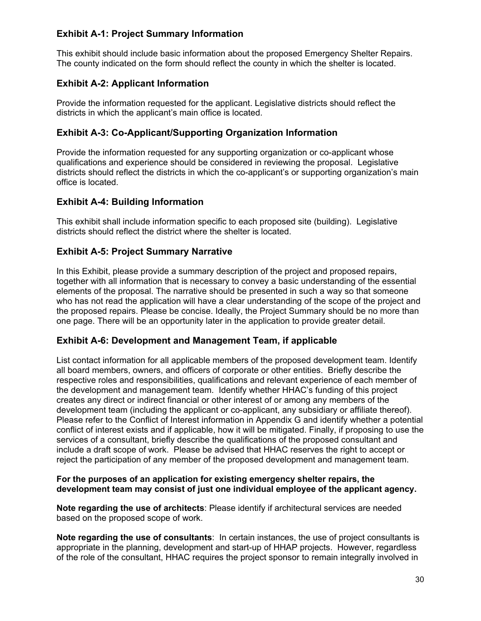#### **Exhibit A-1: Project Summary Information**

This exhibit should include basic information about the proposed Emergency Shelter Repairs. The county indicated on the form should reflect the county in which the shelter is located.

## **Exhibit A-2: Applicant Information**

 districts in which the applicant's main office is located. Provide the information requested for the applicant. Legislative districts should reflect the

#### **Exhibit A-3: Co-Applicant/Supporting Organization Information**

 office is located. Provide the information requested for any supporting organization or co-applicant whose qualifications and experience should be considered in reviewing the proposal. Legislative districts should reflect the districts in which the co-applicant's or supporting organization's main

#### **Exhibit A-4: Building Information**

This exhibit shall include information specific to each proposed site (building). Legislative districts should reflect the district where the shelter is located.

## **Exhibit A-5: Project Summary Narrative**

In this Exhibit, please provide a summary description of the project and proposed repairs, together with all information that is necessary to convey a basic understanding of the essential elements of the proposal. The narrative should be presented in such a way so that someone who has not read the application will have a clear understanding of the scope of the project and the proposed repairs. Please be concise. Ideally, the Project Summary should be no more than one page. There will be an opportunity later in the application to provide greater detail.

#### **Exhibit A-6: Development and Management Team, if applicable**

List contact information for all applicable members of the proposed development team. Identify all board members, owners, and officers of corporate or other entities. Briefly describe the respective roles and responsibilities, qualifications and relevant experience of each member of the development and management team. Identify whether HHAC's funding of this project creates any direct or indirect financial or other interest of or among any members of the development team (including the applicant or co-applicant, any subsidiary or affiliate thereof). Please refer to the Conflict of Interest information in Appendix G and identify whether a potential conflict of interest exists and if applicable, how it will be mitigated. Finally, if proposing to use the services of a consultant, briefly describe the qualifications of the proposed consultant and include a draft scope of work. Please be advised that HHAC reserves the right to accept or reject the participation of any member of the proposed development and management team.

#### **For the purposes of an application for existing emergency shelter repairs, the development team may consist of just one individual employee of the applicant agency.**

**Note regarding the use of architects**: Please identify if architectural services are needed based on the proposed scope of work.

**Note regarding the use of consultants**: In certain instances, the use of project consultants is appropriate in the planning, development and start-up of HHAP projects. However, regardless of the role of the consultant, HHAC requires the project sponsor to remain integrally involved in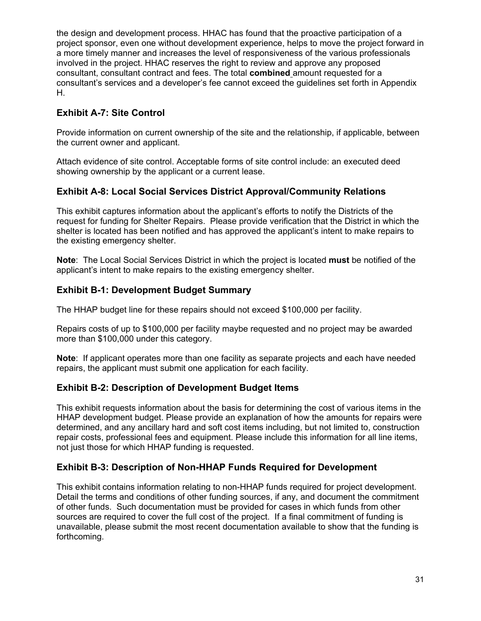the design and development process. HHAC has found that the proactive participation of a project sponsor, even one without development experience, helps to move the project forward in a more timely manner and increases the level of responsiveness of the various professionals involved in the project. HHAC reserves the right to review and approve any proposed consultant, consultant contract and fees. The total **combined** amount requested for a consultant's services and a developer's fee cannot exceed the guidelines set forth in Appendix H.

## **Exhibit A-7: Site Control**

Provide information on current ownership of the site and the relationship, if applicable, between the current owner and applicant.

Attach evidence of site control. Acceptable forms of site control include: an executed deed showing ownership by the applicant or a current lease.

#### **Exhibit A-8: Local Social Services District Approval/Community Relations**

This exhibit captures information about the applicant's efforts to notify the Districts of the request for funding for Shelter Repairs. Please provide verification that the District in which the shelter is located has been notified and has approved the applicant's intent to make repairs to the existing emergency shelter.

**Note**: The Local Social Services District in which the project is located **must** be notified of the applicant's intent to make repairs to the existing emergency shelter.

#### **Exhibit B-1: Development Budget Summary**

The HHAP budget line for these repairs should not exceed \$100,000 per facility.

Repairs costs of up to \$100,000 per facility maybe requested and no project may be awarded more than \$100,000 under this category.

**Note**: If applicant operates more than one facility as separate projects and each have needed repairs, the applicant must submit one application for each facility.

#### **Exhibit B-2: Description of Development Budget Items**

This exhibit requests information about the basis for determining the cost of various items in the HHAP development budget. Please provide an explanation of how the amounts for repairs were determined, and any ancillary hard and soft cost items including, but not limited to, construction repair costs, professional fees and equipment. Please include this information for all line items, not just those for which HHAP funding is requested.

#### **Exhibit B-3: Description of Non-HHAP Funds Required for Development**

 This exhibit contains information relating to non-HHAP funds required for project development. sources are required to cover the full cost of the project. If a final commitment of funding is Detail the terms and conditions of other funding sources, if any, and document the commitment of other funds. Such documentation must be provided for cases in which funds from other unavailable, please submit the most recent documentation available to show that the funding is forthcoming.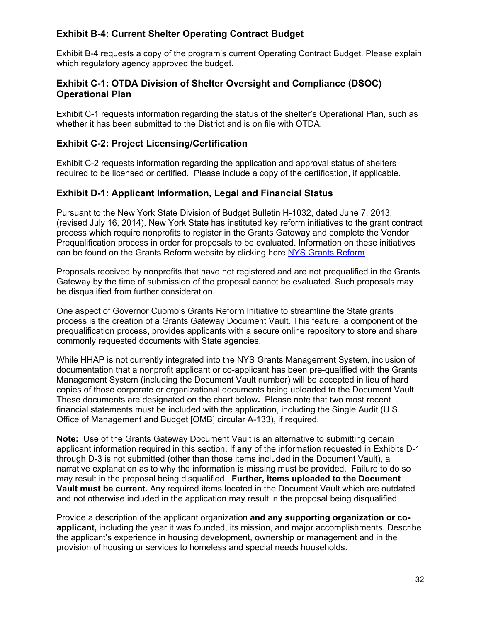#### **Exhibit B-4: Current Shelter Operating Contract Budget**

Exhibit B-4 requests a copy of the program's current Operating Contract Budget. Please explain which regulatory agency approved the budget.

#### **Exhibit C-1: OTDA Division of Shelter Oversight and Compliance (DSOC) Operational Plan**

Exhibit C-1 requests information regarding the status of the shelter's Operational Plan, such as whether it has been submitted to the District and is on file with OTDA.

#### **Exhibit C-2: Project Licensing/Certification**

 required to be licensed or certified. Please include a copy of the certification, if applicable. Exhibit C-2 requests information regarding the application and approval status of shelters

#### **Exhibit D-1: Applicant Information, Legal and Financial Status**

Pursuant to the New York State Division of Budget Bulletin H-1032, dated June 7, 2013, (revised July 16, 2014), New York State has instituted key reform initiatives to the grant contract process which require nonprofits to register in the Grants Gateway and complete the Vendor Prequalification process in order for proposals to be evaluated. Information on these initiatives can be found on the Grants Reform website by clicking here [NYS Grants Reform](http://grantsreform.ny.gov/) 

Proposals received by nonprofits that have not registered and are not prequalified in the Grants Gateway by the time of submission of the proposal cannot be evaluated. Such proposals may be disqualified from further consideration.

One aspect of Governor Cuomo's Grants Reform Initiative to streamline the State grants process is the creation of a Grants Gateway Document Vault. This feature, a component of the prequalification process, provides applicants with a secure online repository to store and share commonly requested documents with State agencies.

While HHAP is not currently integrated into the NYS Grants Management System, inclusion of documentation that a nonprofit applicant or co-applicant has been pre-qualified with the Grants Management System (including the Document Vault number) will be accepted in lieu of hard copies of those corporate or organizational documents being uploaded to the Document Vault. These documents are designated on the chart below**.** Please note that two most recent financial statements must be included with the application, including the Single Audit (U.S. Office of Management and Budget [OMB] circular A-133), if required.

 **Note:** Use of the Grants Gateway Document Vault is an alternative to submitting certain applicant information required in this section. If **any** of the information requested in Exhibits D-1 through D-3 is not submitted (other than those items included in the Document Vault), a narrative explanation as to why the information is missing must be provided. Failure to do so may result in the proposal being disqualified. **Further, items uploaded to the Document Vault must be current.** Any required items located in the Document Vault which are outdated and not otherwise included in the application may result in the proposal being disqualified.

Provide a description of the applicant organization **and any supporting organization or coapplicant,** including the year it was founded, its mission, and major accomplishments. Describe the applicant's experience in housing development, ownership or management and in the provision of housing or services to homeless and special needs households.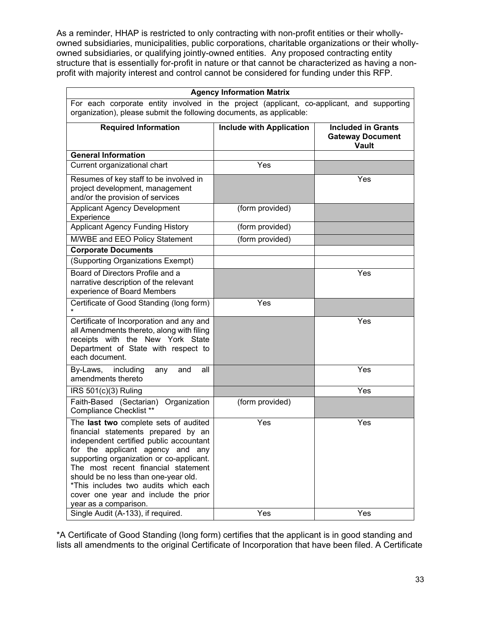As a reminder, HHAP is restricted to only contracting with non-profit entities or their whollyowned subsidiaries, municipalities, public corporations, charitable organizations or their whollyowned subsidiaries, or qualifying jointly-owned entities. Any proposed contracting entity structure that is essentially for-profit in nature or that cannot be characterized as having a nonprofit with majority interest and control cannot be considered for funding under this RFP.

| <b>Agency Information Matrix</b>                                                                                                                                                                                                                                                                                                                                                                |                                 |                                                               |
|-------------------------------------------------------------------------------------------------------------------------------------------------------------------------------------------------------------------------------------------------------------------------------------------------------------------------------------------------------------------------------------------------|---------------------------------|---------------------------------------------------------------|
| For each corporate entity involved in the project (applicant, co-applicant, and supporting                                                                                                                                                                                                                                                                                                      |                                 |                                                               |
| organization), please submit the following documents, as applicable:                                                                                                                                                                                                                                                                                                                            |                                 |                                                               |
| <b>Required Information</b>                                                                                                                                                                                                                                                                                                                                                                     | <b>Include with Application</b> | <b>Included in Grants</b><br><b>Gateway Document</b><br>Vault |
| <b>General Information</b>                                                                                                                                                                                                                                                                                                                                                                      |                                 |                                                               |
| Current organizational chart                                                                                                                                                                                                                                                                                                                                                                    | Yes                             |                                                               |
| Resumes of key staff to be involved in<br>project development, management<br>and/or the provision of services                                                                                                                                                                                                                                                                                   |                                 | Yes                                                           |
| <b>Applicant Agency Development</b><br>Experience                                                                                                                                                                                                                                                                                                                                               | (form provided)                 |                                                               |
| <b>Applicant Agency Funding History</b>                                                                                                                                                                                                                                                                                                                                                         | (form provided)                 |                                                               |
| M/WBE and EEO Policy Statement                                                                                                                                                                                                                                                                                                                                                                  | (form provided)                 |                                                               |
| <b>Corporate Documents</b>                                                                                                                                                                                                                                                                                                                                                                      |                                 |                                                               |
| (Supporting Organizations Exempt)                                                                                                                                                                                                                                                                                                                                                               |                                 |                                                               |
| Board of Directors Profile and a<br>narrative description of the relevant<br>experience of Board Members                                                                                                                                                                                                                                                                                        |                                 | Yes                                                           |
| Certificate of Good Standing (long form)                                                                                                                                                                                                                                                                                                                                                        | Yes                             |                                                               |
| Certificate of Incorporation and any and<br>all Amendments thereto, along with filing<br>receipts with the New York State<br>Department of State with respect to<br>each document.                                                                                                                                                                                                              |                                 | Yes                                                           |
| By-Laws,<br>including<br>all<br>and<br>any<br>amendments thereto                                                                                                                                                                                                                                                                                                                                |                                 | Yes                                                           |
| IRS 501(c)(3) Ruling                                                                                                                                                                                                                                                                                                                                                                            |                                 | Yes                                                           |
| Faith-Based (Sectarian) Organization<br>Compliance Checklist **                                                                                                                                                                                                                                                                                                                                 | (form provided)                 |                                                               |
| The last two complete sets of audited<br>financial statements prepared by an<br>independent certified public accountant<br>for the applicant agency and any<br>supporting organization or co-applicant.<br>The most recent financial statement<br>should be no less than one-year old.<br>*This includes two audits which each<br>cover one year and include the prior<br>year as a comparison. | Yes                             | Yes                                                           |
| Single Audit (A-133), if required.                                                                                                                                                                                                                                                                                                                                                              | Yes                             | Yes                                                           |

\*A Certificate of Good Standing (long form) certifies that the applicant is in good standing and lists all amendments to the original Certificate of Incorporation that have been filed. A Certificate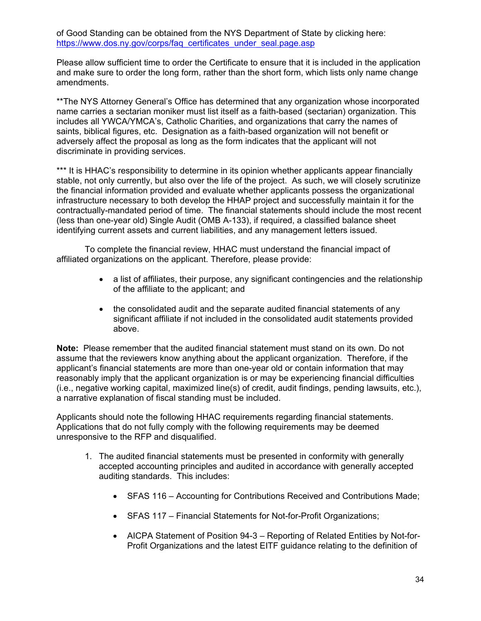of Good Standing can be obtained from the NYS Department of State by clicking here: https://www.dos.ny.gov/corps/faq\_certificates\_under\_seal.page.asp

Please allow sufficient time to order the Certificate to ensure that it is included in the application and make sure to order the long form, rather than the short form, which lists only name change amendments.

\*\*The NYS Attorney General's Office has determined that any organization whose incorporated name carries a sectarian moniker must list itself as a faith-based (sectarian) organization. This includes all YWCA/YMCA's, Catholic Charities, and organizations that carry the names of saints, biblical figures, etc. Designation as a faith-based organization will not benefit or adversely affect the proposal as long as the form indicates that the applicant will not discriminate in providing services.

\*\*\* It is HHAC's responsibility to determine in its opinion whether applicants appear financially stable, not only currently, but also over the life of the project. As such, we will closely scrutinize the financial information provided and evaluate whether applicants possess the organizational infrastructure necessary to both develop the HHAP project and successfully maintain it for the contractually-mandated period of time. The financial statements should include the most recent (less than one-year old) Single Audit (OMB A-133), if required, a classified balance sheet identifying current assets and current liabilities, and any management letters issued.

To complete the financial review, HHAC must understand the financial impact of affiliated organizations on the applicant. Therefore, please provide:

- a list of affiliates, their purpose, any significant contingencies and the relationship of the affiliate to the applicant; and
- the consolidated audit and the separate audited financial statements of any significant affiliate if not included in the consolidated audit statements provided above.

 **Note:** Please remember that the audited financial statement must stand on its own. Do not reasonably imply that the applicant organization is or may be experiencing financial difficulties assume that the reviewers know anything about the applicant organization. Therefore, if the applicant's financial statements are more than one-year old or contain information that may (i.e., negative working capital, maximized line(s) of credit, audit findings, pending lawsuits, etc.), a narrative explanation of fiscal standing must be included.

Applicants should note the following HHAC requirements regarding financial statements. Applications that do not fully comply with the following requirements may be deemed unresponsive to the RFP and disqualified.

- 1. The audited financial statements must be presented in conformity with generally accepted accounting principles and audited in accordance with generally accepted auditing standards. This includes:
	- SFAS 116 Accounting for Contributions Received and Contributions Made;
	- SFAS 117 Financial Statements for Not-for-Profit Organizations;
	- AICPA Statement of Position 94-3 Reporting of Related Entities by Not-for-Profit Organizations and the latest EITF guidance relating to the definition of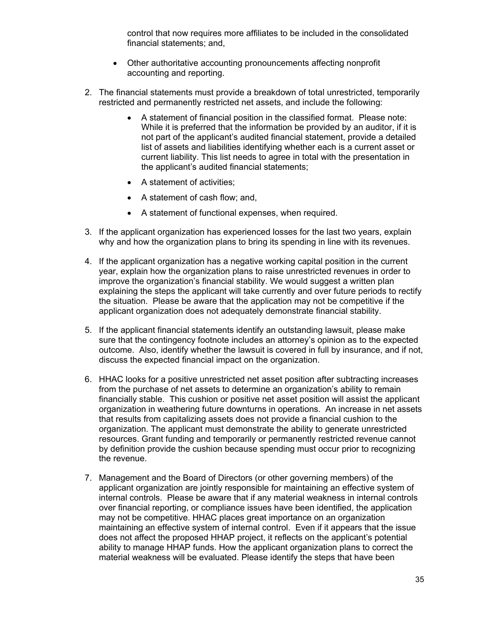control that now requires more affiliates to be included in the consolidated financial statements; and,

- Other authoritative accounting pronouncements affecting nonprofit accounting and reporting.
- 2. The financial statements must provide a breakdown of total unrestricted, temporarily restricted and permanently restricted net assets, and include the following:
	- A statement of financial position in the classified format. Please note: While it is preferred that the information be provided by an auditor, if it is not part of the applicant's audited financial statement, provide a detailed list of assets and liabilities identifying whether each is a current asset or current liability. This list needs to agree in total with the presentation in the applicant's audited financial statements;
	- A statement of activities;
	- A statement of cash flow; and,
	- A statement of functional expenses, when required.
- 3. If the applicant organization has experienced losses for the last two years, explain why and how the organization plans to bring its spending in line with its revenues.
- 4. If the applicant organization has a negative working capital position in the current year, explain how the organization plans to raise unrestricted revenues in order to improve the organization's financial stability. We would suggest a written plan explaining the steps the applicant will take currently and over future periods to rectify the situation. Please be aware that the application may not be competitive if the applicant organization does not adequately demonstrate financial stability.
- 5. If the applicant financial statements identify an outstanding lawsuit, please make sure that the contingency footnote includes an attorney's opinion as to the expected outcome. Also, identify whether the lawsuit is covered in full by insurance, and if not, discuss the expected financial impact on the organization.
- 6. HHAC looks for a positive unrestricted net asset position after subtracting increases from the purchase of net assets to determine an organization's ability to remain financially stable. This cushion or positive net asset position will assist the applicant organization in weathering future downturns in operations. An increase in net assets that results from capitalizing assets does not provide a financial cushion to the organization. The applicant must demonstrate the ability to generate unrestricted resources. Grant funding and temporarily or permanently restricted revenue cannot by definition provide the cushion because spending must occur prior to recognizing the revenue.
- 7. Management and the Board of Directors (or other governing members) of the applicant organization are jointly responsible for maintaining an effective system of internal controls. Please be aware that if any material weakness in internal controls over financial reporting, or compliance issues have been identified, the application may not be competitive. HHAC places great importance on an organization maintaining an effective system of internal control. Even if it appears that the issue does not affect the proposed HHAP project, it reflects on the applicant's potential ability to manage HHAP funds. How the applicant organization plans to correct the material weakness will be evaluated. Please identify the steps that have been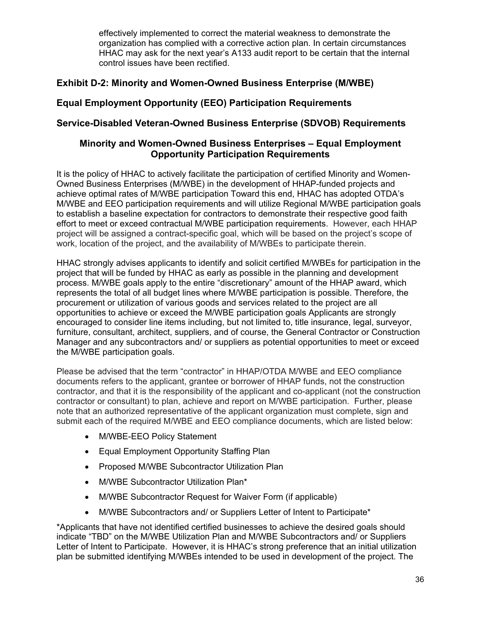HHAC may ask for the next year's A133 audit report to be certain that the internal effectively implemented to correct the material weakness to demonstrate the organization has complied with a corrective action plan. In certain circumstances control issues have been rectified.

## **Exhibit D-2: Minority and Women-Owned Business Enterprise (M/WBE)**

## **Equal Employment Opportunity (EEO) Participation Requirements**

## **Service-Disabled Veteran-Owned Business Enterprise (SDVOB) Requirements**

#### **Minority and Women-Owned Business Enterprises – Equal Employment Opportunity Participation Requirements**

It is the policy of HHAC to actively facilitate the participation of certified Minority and Women-Owned Business Enterprises (M/WBE) in the development of HHAP-funded projects and achieve optimal rates of M/WBE participation Toward this end, HHAC has adopted OTDA's M/WBE and EEO participation requirements and will utilize Regional M/WBE participation goals to establish a baseline expectation for contractors to demonstrate their respective good faith effort to meet or exceed contractual M/WBE participation requirements. However, each HHAP project will be assigned a contract-specific goal, which will be based on the project's scope of work, location of the project, and the availability of M/WBEs to participate therein.

 project that will be funded by HHAC as early as possible in the planning and development HHAC strongly advises applicants to identify and solicit certified M/WBEs for participation in the process. M/WBE goals apply to the entire "discretionary" amount of the HHAP award, which represents the total of all budget lines where M/WBE participation is possible. Therefore, the procurement or utilization of various goods and services related to the project are all opportunities to achieve or exceed the M/WBE participation goals Applicants are strongly encouraged to consider line items including, but not limited to, title insurance, legal, surveyor, furniture, consultant, architect, suppliers, and of course, the General Contractor or Construction Manager and any subcontractors and/ or suppliers as potential opportunities to meet or exceed the M/WBE participation goals.

Please be advised that the term "contractor" in HHAP/OTDA M/WBE and EEO compliance documents refers to the applicant, grantee or borrower of HHAP funds, not the construction contractor, and that it is the responsibility of the applicant and co-applicant (not the construction contractor or consultant) to plan, achieve and report on M/WBE participation. Further, please note that an authorized representative of the applicant organization must complete, sign and submit each of the required M/WBE and EEO compliance documents, which are listed below:

- M/WBE-EEO Policy Statement
- Equal Employment Opportunity Staffing Plan
- Proposed M/WBE Subcontractor Utilization Plan
- M/WBE Subcontractor Utilization Plan\*
- M/WBE Subcontractor Request for Waiver Form (if applicable)
- M/WBE Subcontractors and/ or Suppliers Letter of Intent to Participate\*

\*Applicants that have not identified certified businesses to achieve the desired goals should indicate "TBD" on the M/WBE Utilization Plan and M/WBE Subcontractors and/ or Suppliers Letter of Intent to Participate. However, it is HHAC's strong preference that an initial utilization plan be submitted identifying M/WBEs intended to be used in development of the project. The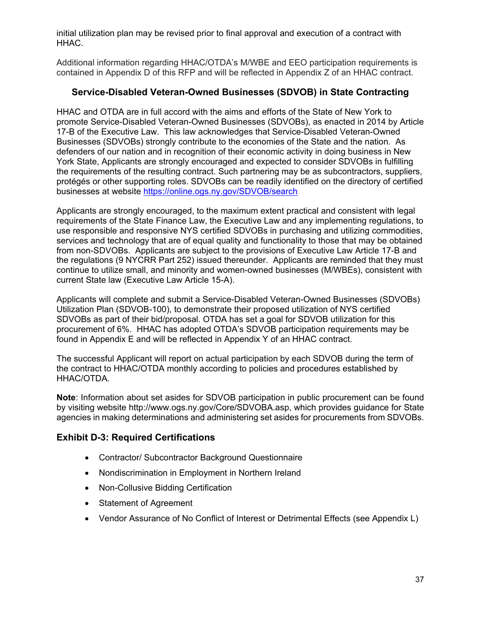initial utilization plan may be revised prior to final approval and execution of a contract with HHAC.

Additional information regarding HHAC/OTDA's M/WBE and EEO participation requirements is contained in Appendix D of this RFP and will be reflected in Appendix Z of an HHAC contract.

#### **Service-Disabled Veteran-Owned Businesses (SDVOB) in State Contracting**

HHAC and OTDA are in full accord with the aims and efforts of the State of New York to promote Service-Disabled Veteran-Owned Businesses (SDVOBs), as enacted in 2014 by Article 17-B of the Executive Law. This law acknowledges that Service-Disabled Veteran-Owned Businesses (SDVOBs) strongly contribute to the economies of the State and the nation. As defenders of our nation and in recognition of their economic activity in doing business in New York State, Applicants are strongly encouraged and expected to consider SDVOBs in fulfilling the requirements of the resulting contract. Such partnering may be as subcontractors, suppliers, protégés or other supporting roles. SDVOBs can be readily identified on the directory of certified businesses at website<https://online.ogs.ny.gov/SDVOB/search>

Applicants are strongly encouraged, to the maximum extent practical and consistent with legal requirements of the State Finance Law, the Executive Law and any implementing regulations, to use responsible and responsive NYS certified SDVOBs in purchasing and utilizing commodities, services and technology that are of equal quality and functionality to those that may be obtained from non-SDVOBs. Applicants are subject to the provisions of Executive Law Article 17-B and the regulations (9 NYCRR Part 252) issued thereunder. Applicants are reminded that they must continue to utilize small, and minority and women-owned businesses (M/WBEs), consistent with current State law (Executive Law Article 15-A).

 SDVOBs as part of their bid/proposal. OTDA has set a goal for SDVOB utilization for this Applicants will complete and submit a Service-Disabled Veteran-Owned Businesses (SDVOBs) Utilization Plan (SDVOB-100), to demonstrate their proposed utilization of NYS certified procurement of 6%. HHAC has adopted OTDA's SDVOB participation requirements may be found in Appendix E and will be reflected in Appendix Y of an HHAC contract.

The successful Applicant will report on actual participation by each SDVOB during the term of the contract to HHAC/OTDA monthly according to policies and procedures established by HHAC/OTDA.

 **Note**: Information about set asides for SDVOB participation in public procurement can be found by visiting website [http://www.ogs.ny.gov/Core/SDVOBA.asp,](http://www.ogs.ny.gov/Core/SDVOBA.asp) which provides guidance for State agencies in making determinations and administering set asides for procurements from SDVOBs.

#### **Exhibit D-3: Required Certifications**

- Contractor/ Subcontractor Background Questionnaire
- Nondiscrimination in Employment in Northern Ireland
- Non-Collusive Bidding Certification
- Statement of Agreement
- Vendor Assurance of No Conflict of Interest or Detrimental Effects (see Appendix L)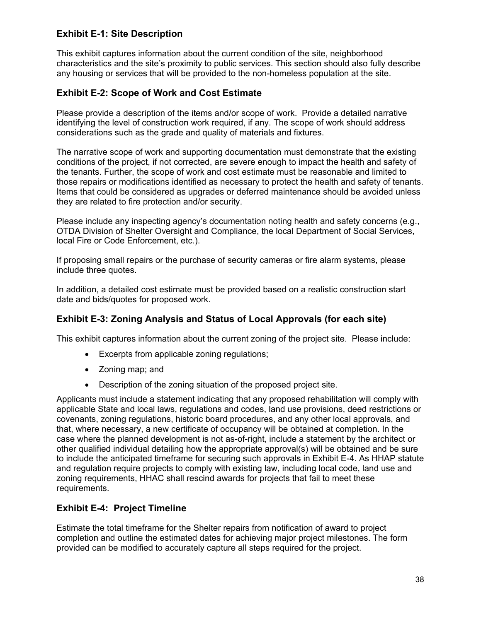## **Exhibit E-1: Site Description**

This exhibit captures information about the current condition of the site, neighborhood characteristics and the site's proximity to public services. This section should also fully describe any housing or services that will be provided to the non-homeless population at the site.

#### **Exhibit E-2: Scope of Work and Cost Estimate**

Please provide a description of the items and/or scope of work. Provide a detailed narrative identifying the level of construction work required, if any. The scope of work should address considerations such as the grade and quality of materials and fixtures.

The narrative scope of work and supporting documentation must demonstrate that the existing conditions of the project, if not corrected, are severe enough to impact the health and safety of the tenants. Further, the scope of work and cost estimate must be reasonable and limited to those repairs or modifications identified as necessary to protect the health and safety of tenants. Items that could be considered as upgrades or deferred maintenance should be avoided unless they are related to fire protection and/or security.

Please include any inspecting agency's documentation noting health and safety concerns (e.g., OTDA Division of Shelter Oversight and Compliance, the local Department of Social Services, local Fire or Code Enforcement, etc.).

If proposing small repairs or the purchase of security cameras or fire alarm systems, please include three quotes.

In addition, a detailed cost estimate must be provided based on a realistic construction start date and bids/quotes for proposed work.

#### **Exhibit E-3: Zoning Analysis and Status of Local Approvals (for each site)**

This exhibit captures information about the current zoning of the project site. Please include:

- Excerpts from applicable zoning regulations;
- Zoning map; and
- Description of the zoning situation of the proposed project site.

Applicants must include a statement indicating that any proposed rehabilitation will comply with applicable State and local laws, regulations and codes, land use provisions, deed restrictions or covenants, zoning regulations, historic board procedures, and any other local approvals, and that, where necessary, a new certificate of occupancy will be obtained at completion. In the case where the planned development is not as-of-right, include a statement by the architect or other qualified individual detailing how the appropriate approval(s) will be obtained and be sure to include the anticipated timeframe for securing such approvals in Exhibit E-4. As HHAP statute and regulation require projects to comply with existing law, including local code, land use and zoning requirements, HHAC shall rescind awards for projects that fail to meet these requirements.

#### **Exhibit E-4: Project Timeline**

Estimate the total timeframe for the Shelter repairs from notification of award to project completion and outline the estimated dates for achieving major project milestones. The form provided can be modified to accurately capture all steps required for the project.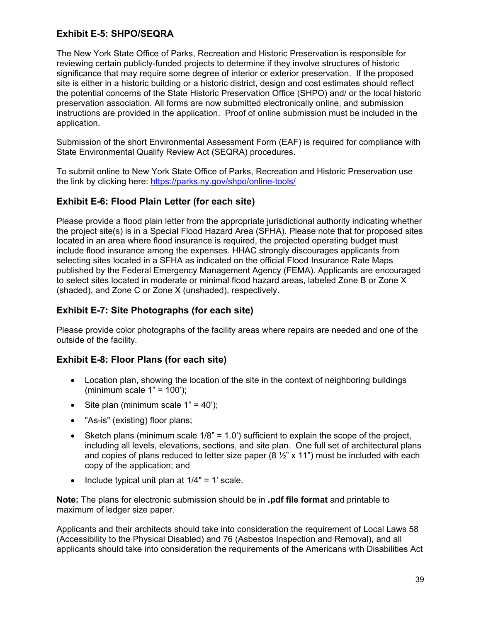## **Exhibit E-5: SHPO/SEQRA**

 site is either in a historic building or a historic district, design and cost estimates should reflect The New York State Office of Parks, Recreation and Historic Preservation is responsible for reviewing certain publicly-funded projects to determine if they involve structures of historic significance that may require some degree of interior or exterior preservation. If the proposed the potential concerns of the State Historic Preservation Office (SHPO) and/ or the local historic preservation association. All forms are now submitted electronically online, and submission instructions are provided in the application. Proof of online submission must be included in the application.

Submission of the short Environmental Assessment Form (EAF) is required for compliance with State Environmental Qualify Review Act (SEQRA) procedures.

To submit online to New York State Office of Parks, Recreation and Historic Preservation use the link by clicking here:<https://parks.ny.gov/shpo/online-tools/>

#### **Exhibit E-6: Flood Plain Letter (for each site)**

Please provide a flood plain letter from the appropriate jurisdictional authority indicating whether the project site(s) is in a Special Flood Hazard Area (SFHA). Please note that for proposed sites located in an area where flood insurance is required, the projected operating budget must include flood insurance among the expenses. HHAC strongly discourages applicants from selecting sites located in a SFHA as indicated on the official Flood Insurance Rate Maps published by the Federal Emergency Management Agency (FEMA). Applicants are encouraged to select sites located in moderate or minimal flood hazard areas, labeled Zone B or Zone X (shaded), and Zone C or Zone X (unshaded), respectively.

#### **Exhibit E-7: Site Photographs (for each site)**

Please provide color photographs of the facility areas where repairs are needed and one of the outside of the facility.

#### **Exhibit E-8: Floor Plans (for each site)**

- Location plan, showing the location of the site in the context of neighboring buildings (minimum scale  $1" = 100$ );
- Site plan (minimum scale  $1" = 40$ );
- "As-is" (existing) floor plans;
- Sketch plans (minimum scale  $1/8$ " = 1.0') sufficient to explain the scope of the project, including all levels, elevations, sections, and site plan. One full set of architectural plans and copies of plans reduced to letter size paper (8  $\frac{1}{2}$ " x 11") must be included with each copy of the application; and
- Include typical unit plan at  $1/4" = 1'$  scale.

**Note:** The plans for electronic submission should be in **.pdf file format** and printable to maximum of ledger size paper.

Applicants and their architects should take into consideration the requirement of Local Laws 58 (Accessibility to the Physical Disabled) and 76 (Asbestos Inspection and Removal), and all applicants should take into consideration the requirements of the Americans with Disabilities Act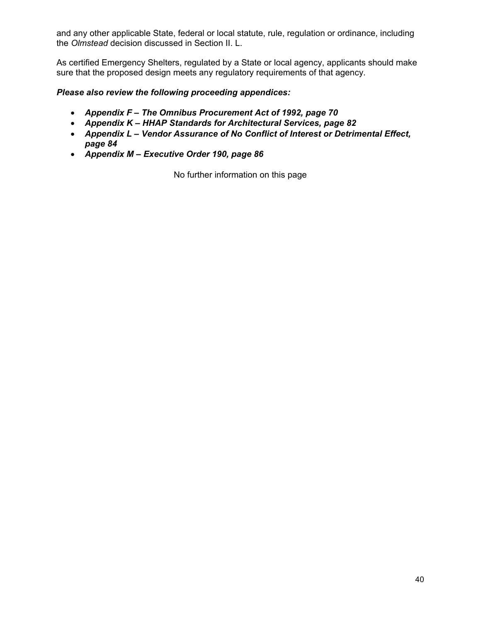and any other applicable State, federal or local statute, rule, regulation or ordinance, including the *Olmstead* decision discussed in Section II. L.

As certified Emergency Shelters, regulated by a State or local agency, applicants should make sure that the proposed design meets any regulatory requirements of that agency.

#### *Please also review the following proceeding appendices:*

- *Appendix F The Omnibus Procurement Act of 1992, page 70*
- *Appendix K HHAP Standards for Architectural Services, page 82*
- *Appendix L Vendor Assurance of No Conflict of Interest or Detrimental Effect, page 84*
- *Appendix M Executive Order 190, page 86*

No further information on this page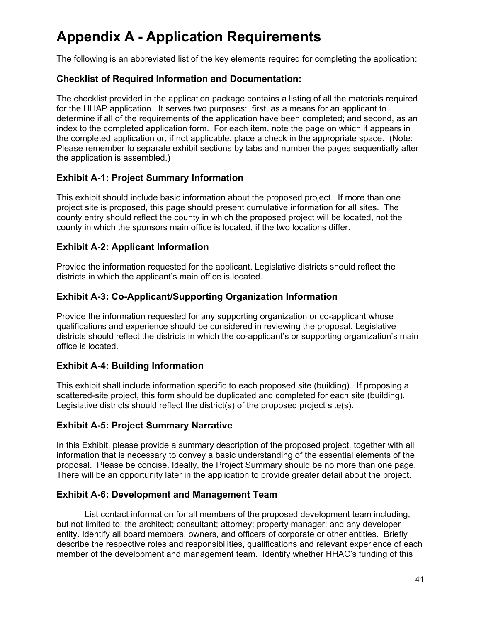# **Appendix A - Application Requirements**

The following is an abbreviated list of the key elements required for completing the application:

#### **Checklist of Required Information and Documentation:**

The checklist provided in the application package contains a listing of all the materials required for the HHAP application. It serves two purposes: first, as a means for an applicant to determine if all of the requirements of the application have been completed; and second, as an index to the completed application form. For each item, note the page on which it appears in the completed application or, if not applicable, place a check in the appropriate space. (Note: Please remember to separate exhibit sections by tabs and number the pages sequentially after the application is assembled.)

## **Exhibit A-1: Project Summary Information**

This exhibit should include basic information about the proposed project. If more than one project site is proposed, this page should present cumulative information for all sites. The county entry should reflect the county in which the proposed project will be located, not the county in which the sponsors main office is located, if the two locations differ.

## **Exhibit A-2: Applicant Information**

Provide the information requested for the applicant. Legislative districts should reflect the districts in which the applicant's main office is located.

## **Exhibit A-3: Co-Applicant/Supporting Organization Information**

Provide the information requested for any supporting organization or co-applicant whose qualifications and experience should be considered in reviewing the proposal. Legislative districts should reflect the districts in which the co-applicant's or supporting organization's main office is located.

## **Exhibit A-4: Building Information**

This exhibit shall include information specific to each proposed site (building). If proposing a scattered-site project, this form should be duplicated and completed for each site (building). Legislative districts should reflect the district(s) of the proposed project site(s).

#### **Exhibit A-5: Project Summary Narrative**

In this Exhibit, please provide a summary description of the proposed project, together with all information that is necessary to convey a basic understanding of the essential elements of the proposal. Please be concise. Ideally, the Project Summary should be no more than one page. There will be an opportunity later in the application to provide greater detail about the project.

#### **Exhibit A-6: Development and Management Team**

List contact information for all members of the proposed development team including, but not limited to: the architect; consultant; attorney; property manager; and any developer entity. Identify all board members, owners, and officers of corporate or other entities. Briefly describe the respective roles and responsibilities, qualifications and relevant experience of each member of the development and management team. Identify whether HHAC's funding of this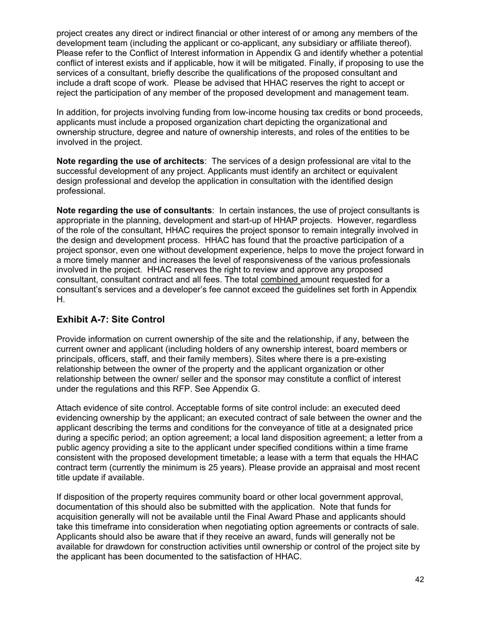Please refer to the Conflict of Interest information in Appendix G and identify whether a potential project creates any direct or indirect financial or other interest of or among any members of the development team (including the applicant or co-applicant, any subsidiary or affiliate thereof). conflict of interest exists and if applicable, how it will be mitigated. Finally, if proposing to use the services of a consultant, briefly describe the qualifications of the proposed consultant and include a draft scope of work. Please be advised that HHAC reserves the right to accept or reject the participation of any member of the proposed development and management team.

In addition, for projects involving funding from low-income housing tax credits or bond proceeds, applicants must include a proposed organization chart depicting the organizational and ownership structure, degree and nature of ownership interests, and roles of the entities to be involved in the project.

**Note regarding the use of architects**: The services of a design professional are vital to the successful development of any project. Applicants must identify an architect or equivalent design professional and develop the application in consultation with the identified design professional.

 **Note regarding the use of consultants**: In certain instances, the use of project consultants is appropriate in the planning, development and start-up of HHAP projects. However, regardless of the role of the consultant, HHAC requires the project sponsor to remain integrally involved in the design and development process. HHAC has found that the proactive participation of a project sponsor, even one without development experience, helps to move the project forward in a more timely manner and increases the level of responsiveness of the various professionals involved in the project. HHAC reserves the right to review and approve any proposed consultant, consultant contract and all fees. The total combined amount requested for a consultant's services and a developer's fee cannot exceed the guidelines set forth in Appendix H.

## **Exhibit A-7: Site Control**

Provide information on current ownership of the site and the relationship, if any, between the current owner and applicant (including holders of any ownership interest, board members or principals, officers, staff, and their family members). Sites where there is a pre-existing relationship between the owner of the property and the applicant organization or other relationship between the owner/ seller and the sponsor may constitute a conflict of interest under the regulations and this RFP. See Appendix G.

Attach evidence of site control. Acceptable forms of site control include: an executed deed evidencing ownership by the applicant; an executed contract of sale between the owner and the applicant describing the terms and conditions for the conveyance of title at a designated price during a specific period; an option agreement; a local land disposition agreement; a letter from a public agency providing a site to the applicant under specified conditions within a time frame consistent with the proposed development timetable; a lease with a term that equals the HHAC contract term (currently the minimum is 25 years). Please provide an appraisal and most recent title update if available.

 documentation of this should also be submitted with the application. Note that funds for If disposition of the property requires community board or other local government approval, acquisition generally will not be available until the Final Award Phase and applicants should take this timeframe into consideration when negotiating option agreements or contracts of sale. Applicants should also be aware that if they receive an award, funds will generally not be available for drawdown for construction activities until ownership or control of the project site by the applicant has been documented to the satisfaction of HHAC.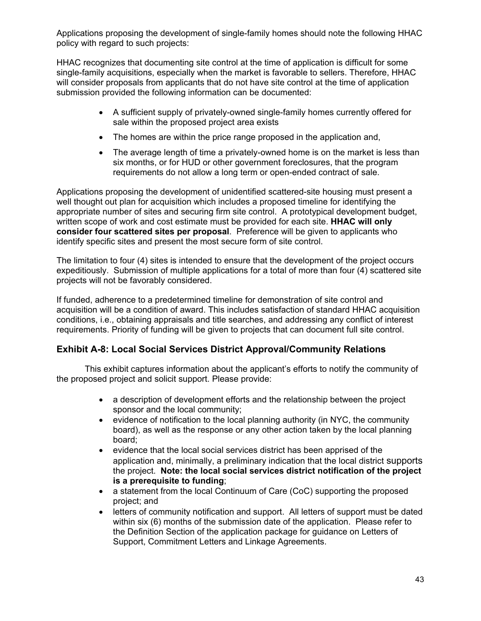Applications proposing the development of single-family homes should note the following HHAC policy with regard to such projects:

HHAC recognizes that documenting site control at the time of application is difficult for some single-family acquisitions, especially when the market is favorable to sellers. Therefore, HHAC will consider proposals from applicants that do not have site control at the time of application submission provided the following information can be documented:

- • A sufficient supply of privately-owned single-family homes currently offered for sale within the proposed project area exists
- The homes are within the price range proposed in the application and,
- The average length of time a privately-owned home is on the market is less than six months, or for HUD or other government foreclosures, that the program requirements do not allow a long term or open-ended contract of sale.

Applications proposing the development of unidentified scattered-site housing must present a well thought out plan for acquisition which includes a proposed timeline for identifying the appropriate number of sites and securing firm site control. A prototypical development budget, written scope of work and cost estimate must be provided for each site. **HHAC will only consider four scattered sites per proposal**. Preference will be given to applicants who identify specific sites and present the most secure form of site control.

The limitation to four (4) sites is intended to ensure that the development of the project occurs expeditiously. Submission of multiple applications for a total of more than four (4) scattered site projects will not be favorably considered.

If funded, adherence to a predetermined timeline for demonstration of site control and acquisition will be a condition of award. This includes satisfaction of standard HHAC acquisition conditions, i.e., obtaining appraisals and title searches, and addressing any conflict of interest requirements. Priority of funding will be given to projects that can document full site control.

## **Exhibit A-8: Local Social Services District Approval/Community Relations**

 the proposed project and solicit support. Please provide: This exhibit captures information about the applicant's efforts to notify the community of

- a description of development efforts and the relationship between the project sponsor and the local community;
- evidence of notification to the local planning authority (in NYC, the community board), as well as the response or any other action taken by the local planning board;
- • evidence that the local social services district has been apprised of the application and, minimally, a preliminary indication that the local district supports the project. **Note: the local social services district notification of the project is a prerequisite to funding**;
- a statement from the local Continuum of Care (CoC) supporting the proposed project; and
- letters of community notification and support. All letters of support must be dated within six (6) months of the submission date of the application. Please refer to the Definition Section of the application package for guidance on Letters of Support, Commitment Letters and Linkage Agreements.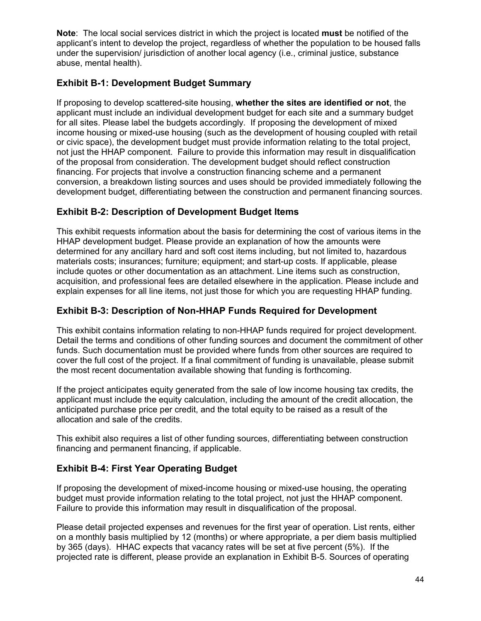**Note**: The local social services district in which the project is located **must** be notified of the applicant's intent to develop the project, regardless of whether the population to be housed falls under the supervision/ jurisdiction of another local agency (i.e., criminal justice, substance abuse, mental health).

## **Exhibit B-1: Development Budget Summary**

If proposing to develop scattered-site housing, **whether the sites are identified or not**, the applicant must include an individual development budget for each site and a summary budget for all sites. Please label the budgets accordingly. If proposing the development of mixed income housing or mixed-use housing (such as the development of housing coupled with retail or civic space), the development budget must provide information relating to the total project, not just the HHAP component. Failure to provide this information may result in disqualification of the proposal from consideration. The development budget should reflect construction financing. For projects that involve a construction financing scheme and a permanent conversion, a breakdown listing sources and uses should be provided immediately following the development budget, differentiating between the construction and permanent financing sources.

## **Exhibit B-2: Description of Development Budget Items**

This exhibit requests information about the basis for determining the cost of various items in the HHAP development budget. Please provide an explanation of how the amounts were determined for any ancillary hard and soft cost items including, but not limited to, hazardous materials costs; insurances; furniture; equipment; and start-up costs. If applicable, please include quotes or other documentation as an attachment. Line items such as construction, acquisition, and professional fees are detailed elsewhere in the application. Please include and explain expenses for all line items, not just those for which you are requesting HHAP funding.

## **Exhibit B-3: Description of Non-HHAP Funds Required for Development**

 This exhibit contains information relating to non-HHAP funds required for project development. Detail the terms and conditions of other funding sources and document the commitment of other funds. Such documentation must be provided where funds from other sources are required to cover the full cost of the project. If a final commitment of funding is unavailable, please submit the most recent documentation available showing that funding is forthcoming.

If the project anticipates equity generated from the sale of low income housing tax credits, the applicant must include the equity calculation, including the amount of the credit allocation, the anticipated purchase price per credit, and the total equity to be raised as a result of the allocation and sale of the credits.

This exhibit also requires a list of other funding sources, differentiating between construction financing and permanent financing, if applicable.

## **Exhibit B-4: First Year Operating Budget**

If proposing the development of mixed-income housing or mixed-use housing, the operating budget must provide information relating to the total project, not just the HHAP component. Failure to provide this information may result in disqualification of the proposal.

 on a monthly basis multiplied by 12 (months) or where appropriate, a per diem basis multiplied Please detail projected expenses and revenues for the first year of operation. List rents, either by 365 (days). HHAC expects that vacancy rates will be set at five percent (5%). If the projected rate is different, please provide an explanation in Exhibit B-5. Sources of operating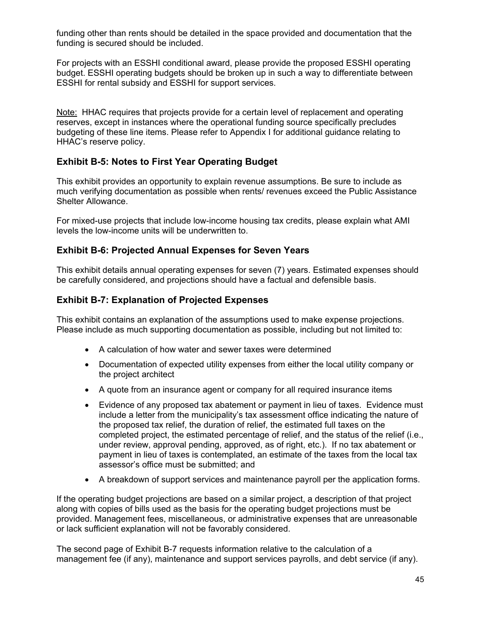funding other than rents should be detailed in the space provided and documentation that the funding is secured should be included.

 ESSHI for rental subsidy and ESSHI for support services. For projects with an ESSHI conditional award, please provide the proposed ESSHI operating budget. ESSHI operating budgets should be broken up in such a way to differentiate between

Note: HHAC requires that projects provide for a certain level of replacement and operating reserves, except in instances where the operational funding source specifically precludes budgeting of these line items. Please refer to Appendix I for additional guidance relating to HHAC's reserve policy.

#### **Exhibit B-5: Notes to First Year Operating Budget**

This exhibit provides an opportunity to explain revenue assumptions. Be sure to include as much verifying documentation as possible when rents/ revenues exceed the Public Assistance Shelter Allowance.

For mixed-use projects that include low-income housing tax credits, please explain what AMI levels the low-income units will be underwritten to.

#### **Exhibit B-6: Projected Annual Expenses for Seven Years**

This exhibit details annual operating expenses for seven (7) years. Estimated expenses should be carefully considered, and projections should have a factual and defensible basis.

#### **Exhibit B-7: Explanation of Projected Expenses**

This exhibit contains an explanation of the assumptions used to make expense projections. Please include as much supporting documentation as possible, including but not limited to:

- A calculation of how water and sewer taxes were determined
- Documentation of expected utility expenses from either the local utility company or the project architect
- A quote from an insurance agent or company for all required insurance items
- Evidence of any proposed tax abatement or payment in lieu of taxes. Evidence must include a letter from the municipality's tax assessment office indicating the nature of the proposed tax relief, the duration of relief, the estimated full taxes on the completed project, the estimated percentage of relief, and the status of the relief (i.e., under review, approval pending, approved, as of right, etc.). If no tax abatement or payment in lieu of taxes is contemplated, an estimate of the taxes from the local tax assessor's office must be submitted; and
- A breakdown of support services and maintenance payroll per the application forms.

If the operating budget projections are based on a similar project, a description of that project along with copies of bills used as the basis for the operating budget projections must be provided. Management fees, miscellaneous, or administrative expenses that are unreasonable or lack sufficient explanation will not be favorably considered.

The second page of Exhibit B-7 requests information relative to the calculation of a management fee (if any), maintenance and support services payrolls, and debt service (if any).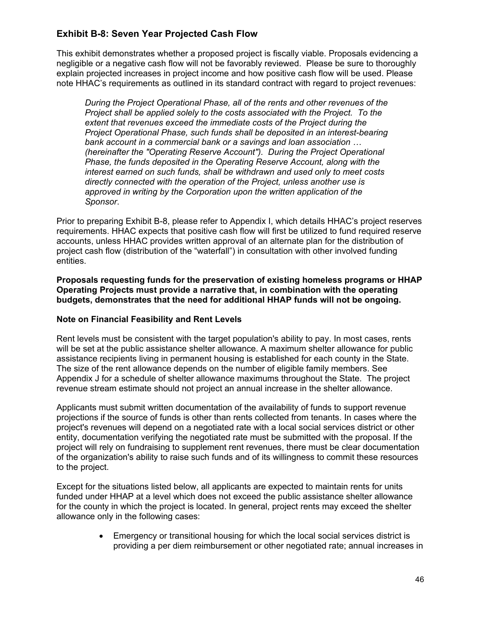## **Exhibit B-8: Seven Year Projected Cash Flow**

This exhibit demonstrates whether a proposed project is fiscally viable. Proposals evidencing a negligible or a negative cash flow will not be favorably reviewed. Please be sure to thoroughly explain projected increases in project income and how positive cash flow will be used. Please note HHAC's requirements as outlined in its standard contract with regard to project revenues:

*During the Project Operational Phase, all of the rents and other revenues of the Project shall be applied solely to the costs associated with the Project. To the extent that revenues exceed the immediate costs of the Project during the Project Operational Phase, such funds shall be deposited in an interest-bearing bank account in a commercial bank or a savings and loan association … (hereinafter the "Operating Reserve Account"). During the Project Operational Phase, the funds deposited in the Operating Reserve Account, along with the interest earned on such funds, shall be withdrawn and used only to meet costs directly connected with the operation of the Project, unless another use is approved in writing by the Corporation upon the written application of the Sponsor*.

Prior to preparing Exhibit B-8, please refer to Appendix I, which details HHAC's project reserves requirements. HHAC expects that positive cash flow will first be utilized to fund required reserve accounts, unless HHAC provides written approval of an alternate plan for the distribution of project cash flow (distribution of the "waterfall") in consultation with other involved funding entities.

**Proposals requesting funds for the preservation of existing homeless programs or HHAP Operating Projects must provide a narrative that, in combination with the operating budgets, demonstrates that the need for additional HHAP funds will not be ongoing.** 

#### **Note on Financial Feasibility and Rent Levels**

Rent levels must be consistent with the target population's ability to pay. In most cases, rents will be set at the public assistance shelter allowance. A maximum shelter allowance for public assistance recipients living in permanent housing is established for each county in the State. The size of the rent allowance depends on the number of eligible family members. See Appendix J for a schedule of shelter allowance maximums throughout the State. The project revenue stream estimate should not project an annual increase in the shelter allowance.

Applicants must submit written documentation of the availability of funds to support revenue projections if the source of funds is other than rents collected from tenants. In cases where the project's revenues will depend on a negotiated rate with a local social services district or other entity, documentation verifying the negotiated rate must be submitted with the proposal. If the project will rely on fundraising to supplement rent revenues, there must be clear documentation of the organization's ability to raise such funds and of its willingness to commit these resources to the project.

Except for the situations listed below, all applicants are expected to maintain rents for units funded under HHAP at a level which does not exceed the public assistance shelter allowance for the county in which the project is located. In general, project rents may exceed the shelter allowance only in the following cases:

> • Emergency or transitional housing for which the local social services district is providing a per diem reimbursement or other negotiated rate; annual increases in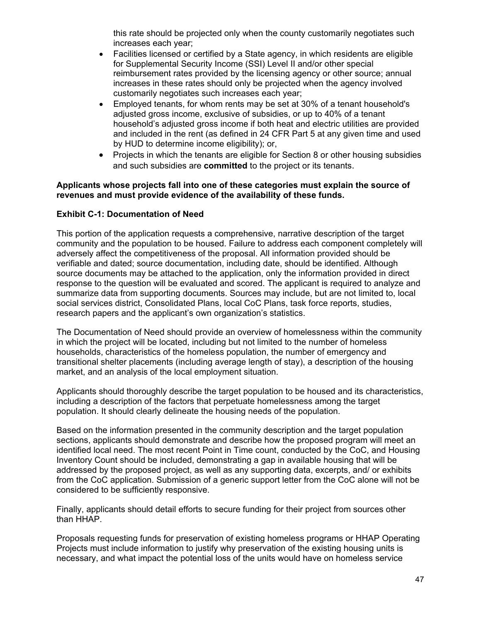this rate should be projected only when the county customarily negotiates such increases each year;

- Facilities licensed or certified by a State agency, in which residents are eligible for Supplemental Security Income (SSI) Level II and/or other special reimbursement rates provided by the licensing agency or other source; annual increases in these rates should only be projected when the agency involved customarily negotiates such increases each year;
- by HUD to determine income eligibility); or, • Employed tenants, for whom rents may be set at 30% of a tenant household's adjusted gross income, exclusive of subsidies, or up to 40% of a tenant household's adjusted gross income if both heat and electric utilities are provided and included in the rent (as defined in 24 CFR Part 5 at any given time and used
- Projects in which the tenants are eligible for Section 8 or other housing subsidies and such subsidies are **committed** to the project or its tenants.

#### **Applicants whose projects fall into one of these categories must explain the source of revenues and must provide evidence of the availability of these funds.**

#### **Exhibit C-1: Documentation of Need**

This portion of the application requests a comprehensive, narrative description of the target community and the population to be housed. Failure to address each component completely will adversely affect the competitiveness of the proposal. All information provided should be verifiable and dated; source documentation, including date, should be identified. Although source documents may be attached to the application, only the information provided in direct response to the question will be evaluated and scored. The applicant is required to analyze and summarize data from supporting documents. Sources may include, but are not limited to, local social services district, Consolidated Plans, local CoC Plans, task force reports, studies, research papers and the applicant's own organization's statistics.

 market, and an analysis of the local employment situation. The Documentation of Need should provide an overview of homelessness within the community in which the project will be located, including but not limited to the number of homeless households, characteristics of the homeless population, the number of emergency and transitional shelter placements (including average length of stay), a description of the housing

 including a description of the factors that perpetuate homelessness among the target Applicants should thoroughly describe the target population to be housed and its characteristics, population. It should clearly delineate the housing needs of the population.

 addressed by the proposed project, as well as any supporting data, excerpts, and/ or exhibits Based on the information presented in the community description and the target population sections, applicants should demonstrate and describe how the proposed program will meet an identified local need. The most recent Point in Time count, conducted by the CoC, and Housing Inventory Count should be included, demonstrating a gap in available housing that will be from the CoC application. Submission of a generic support letter from the CoC alone will not be considered to be sufficiently responsive.

Finally, applicants should detail efforts to secure funding for their project from sources other than HHAP.

 necessary, and what impact the potential loss of the units would have on homeless service Proposals requesting funds for preservation of existing homeless programs or HHAP Operating Projects must include information to justify why preservation of the existing housing units is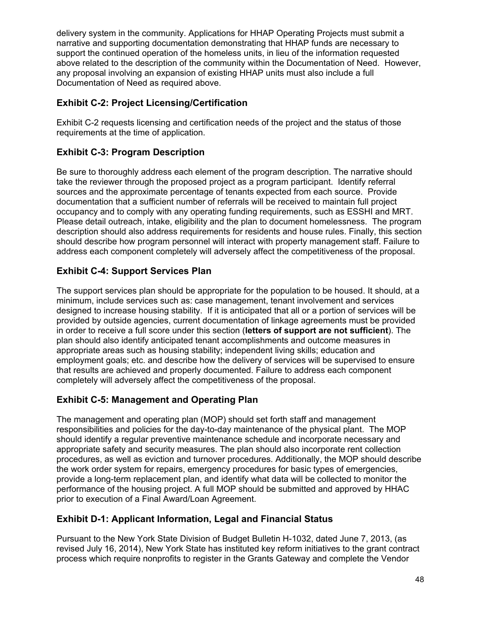delivery system in the community. Applications for HHAP Operating Projects must submit a narrative and supporting documentation demonstrating that HHAP funds are necessary to support the continued operation of the homeless units, in lieu of the information requested above related to the description of the community within the Documentation of Need. However, any proposal involving an expansion of existing HHAP units must also include a full Documentation of Need as required above.

## **Exhibit C-2: Project Licensing/Certification**

Exhibit C-2 requests licensing and certification needs of the project and the status of those requirements at the time of application.

## **Exhibit C-3: Program Description**

 sources and the approximate percentage of tenants expected from each source. Provide Be sure to thoroughly address each element of the program description. The narrative should take the reviewer through the proposed project as a program participant. Identify referral documentation that a sufficient number of referrals will be received to maintain full project occupancy and to comply with any operating funding requirements, such as ESSHI and MRT. Please detail outreach, intake, eligibility and the plan to document homelessness. The program description should also address requirements for residents and house rules. Finally, this section should describe how program personnel will interact with property management staff. Failure to address each component completely will adversely affect the competitiveness of the proposal.

## **Exhibit C-4: Support Services Plan**

The support services plan should be appropriate for the population to be housed. It should, at a minimum, include services such as: case management, tenant involvement and services designed to increase housing stability. If it is anticipated that all or a portion of services will be provided by outside agencies, current documentation of linkage agreements must be provided in order to receive a full score under this section (**letters of support are not sufficient**). The plan should also identify anticipated tenant accomplishments and outcome measures in appropriate areas such as housing stability; independent living skills; education and employment goals; etc. and describe how the delivery of services will be supervised to ensure that results are achieved and properly documented. Failure to address each component completely will adversely affect the competitiveness of the proposal.

## **Exhibit C-5: Management and Operating Plan**

The management and operating plan (MOP) should set forth staff and management responsibilities and policies for the day-to-day maintenance of the physical plant. The MOP should identify a regular preventive maintenance schedule and incorporate necessary and appropriate safety and security measures. The plan should also incorporate rent collection procedures, as well as eviction and turnover procedures. Additionally, the MOP should describe the work order system for repairs, emergency procedures for basic types of emergencies, provide a long-term replacement plan, and identify what data will be collected to monitor the performance of the housing project. A full MOP should be submitted and approved by HHAC prior to execution of a Final Award/Loan Agreement.

## **Exhibit D-1: Applicant Information, Legal and Financial Status**

Pursuant to the New York State Division of Budget Bulletin H-1032, dated June 7, 2013, (as revised July 16, 2014), New York State has instituted key reform initiatives to the grant contract process which require nonprofits to register in the Grants Gateway and complete the Vendor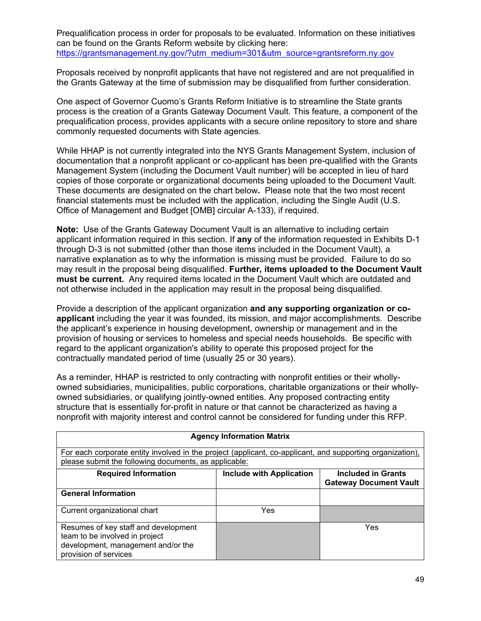Prequalification process in order for proposals to be evaluated. Information on these initiatives can be found on the Grants Reform website by clicking here: [https://grantsmanagement.ny.gov/?utm\\_medium=301&utm\\_source=grantsreform.ny.gov](https://grantsmanagement.ny.gov/?utm_medium=301&utm_source=grantsreform.ny.gov) 

Proposals received by nonprofit applicants that have not registered and are not prequalified in the Grants Gateway at the time of submission may be disqualified from further consideration.

One aspect of Governor Cuomo's Grants Reform Initiative is to streamline the State grants process is the creation of a Grants Gateway Document Vault. This feature, a component of the prequalification process, provides applicants with a secure online repository to store and share commonly requested documents with State agencies.

While HHAP is not currently integrated into the NYS Grants Management System, inclusion of documentation that a nonprofit applicant or co-applicant has been pre-qualified with the Grants Management System (including the Document Vault number) will be accepted in lieu of hard copies of those corporate or organizational documents being uploaded to the Document Vault. These documents are designated on the chart below**.** Please note that the two most recent financial statements must be included with the application, including the Single Audit (U.S. Office of Management and Budget [OMB] circular A-133), if required.

 **Note:** Use of the Grants Gateway Document Vault is an alternative to including certain applicant information required in this section. If **any** of the information requested in Exhibits D-1 **must be current.** Any required items located in the Document Vault which are outdated and through D-3 is not submitted (other than those items included in the Document Vault), a narrative explanation as to why the information is missing must be provided. Failure to do so may result in the proposal being disqualified. **Further, items uploaded to the Document Vault**  not otherwise included in the application may result in the proposal being disqualified.

Provide a description of the applicant organization **and any supporting organization or coapplicant** including the year it was founded, its mission, and major accomplishments. Describe the applicant's experience in housing development, ownership or management and in the provision of housing or services to homeless and special needs households. Be specific with regard to the applicant organization's ability to operate this proposed project for the contractually mandated period of time (usually 25 or 30 years).

As a reminder, HHAP is restricted to only contracting with nonprofit entities or their whollyowned subsidiaries, municipalities, public corporations, charitable organizations or their whollyowned subsidiaries, or qualifying jointly-owned entities. Any proposed contracting entity structure that is essentially for-profit in nature or that cannot be characterized as having a nonprofit with majority interest and control cannot be considered for funding under this RFP.

| <b>Agency Information Matrix</b>                                                                                                      |                                 |                                                            |  |  |  |  |
|---------------------------------------------------------------------------------------------------------------------------------------|---------------------------------|------------------------------------------------------------|--|--|--|--|
| For each corporate entity involved in the project (applicant, co-applicant, and supporting organization),                             |                                 |                                                            |  |  |  |  |
| please submit the following documents, as applicable:                                                                                 |                                 |                                                            |  |  |  |  |
| <b>Required Information</b>                                                                                                           | <b>Include with Application</b> | <b>Included in Grants</b><br><b>Gateway Document Vault</b> |  |  |  |  |
| <b>General Information</b>                                                                                                            |                                 |                                                            |  |  |  |  |
| Current organizational chart                                                                                                          | Yes                             |                                                            |  |  |  |  |
| Resumes of key staff and development<br>team to be involved in project<br>development, management and/or the<br>provision of services |                                 | Yes                                                        |  |  |  |  |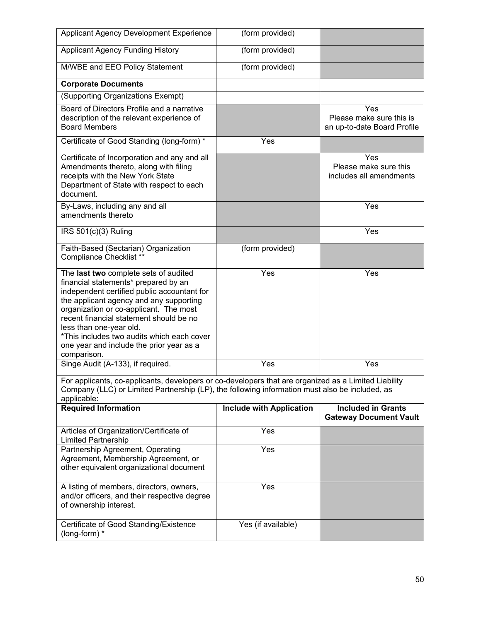| Applicant Agency Development Experience                                                                                                                                                                                                                                                                                                                                                          | (form provided)                 |                                                                |  |  |
|--------------------------------------------------------------------------------------------------------------------------------------------------------------------------------------------------------------------------------------------------------------------------------------------------------------------------------------------------------------------------------------------------|---------------------------------|----------------------------------------------------------------|--|--|
| <b>Applicant Agency Funding History</b>                                                                                                                                                                                                                                                                                                                                                          | (form provided)                 |                                                                |  |  |
| M/WBE and EEO Policy Statement                                                                                                                                                                                                                                                                                                                                                                   | (form provided)                 |                                                                |  |  |
| <b>Corporate Documents</b>                                                                                                                                                                                                                                                                                                                                                                       |                                 |                                                                |  |  |
| (Supporting Organizations Exempt)                                                                                                                                                                                                                                                                                                                                                                |                                 |                                                                |  |  |
| Board of Directors Profile and a narrative<br>description of the relevant experience of<br><b>Board Members</b>                                                                                                                                                                                                                                                                                  |                                 | Yes<br>Please make sure this is<br>an up-to-date Board Profile |  |  |
| Certificate of Good Standing (long-form) *                                                                                                                                                                                                                                                                                                                                                       | Yes                             |                                                                |  |  |
| Certificate of Incorporation and any and all<br>Amendments thereto, along with filing<br>receipts with the New York State<br>Department of State with respect to each<br>document.                                                                                                                                                                                                               |                                 | Yes<br>Please make sure this<br>includes all amendments        |  |  |
| By-Laws, including any and all<br>amendments thereto                                                                                                                                                                                                                                                                                                                                             |                                 | Yes                                                            |  |  |
| IRS $501(c)(3)$ Ruling                                                                                                                                                                                                                                                                                                                                                                           |                                 | Yes                                                            |  |  |
| Faith-Based (Sectarian) Organization<br><b>Compliance Checklist **</b>                                                                                                                                                                                                                                                                                                                           | (form provided)                 |                                                                |  |  |
| The last two complete sets of audited<br>financial statements* prepared by an<br>independent certified public accountant for<br>the applicant agency and any supporting<br>organization or co-applicant. The most<br>recent financial statement should be no<br>less than one-year old.<br>*This includes two audits which each cover<br>one year and include the prior year as a<br>comparison. | Yes                             | Yes                                                            |  |  |
| Singe Audit (A-133), if required.                                                                                                                                                                                                                                                                                                                                                                | Yes                             | Yes                                                            |  |  |
| For applicants, co-applicants, developers or co-developers that are organized as a Limited Liability<br>Company (LLC) or Limited Partnership (LP), the following information must also be included, as<br>applicable:                                                                                                                                                                            |                                 |                                                                |  |  |
| <b>Required Information</b>                                                                                                                                                                                                                                                                                                                                                                      | <b>Include with Application</b> | <b>Included in Grants</b><br><b>Gateway Document Vault</b>     |  |  |
| Articles of Organization/Certificate of<br><b>Limited Partnership</b>                                                                                                                                                                                                                                                                                                                            | Yes                             |                                                                |  |  |
| Partnership Agreement, Operating<br>Agreement, Membership Agreement, or<br>other equivalent organizational document                                                                                                                                                                                                                                                                              | Yes                             |                                                                |  |  |
| A listing of members, directors, owners,<br>and/or officers, and their respective degree<br>of ownership interest.                                                                                                                                                                                                                                                                               | Yes                             |                                                                |  |  |
| Certificate of Good Standing/Existence<br>(long-form) *                                                                                                                                                                                                                                                                                                                                          | Yes (if available)              |                                                                |  |  |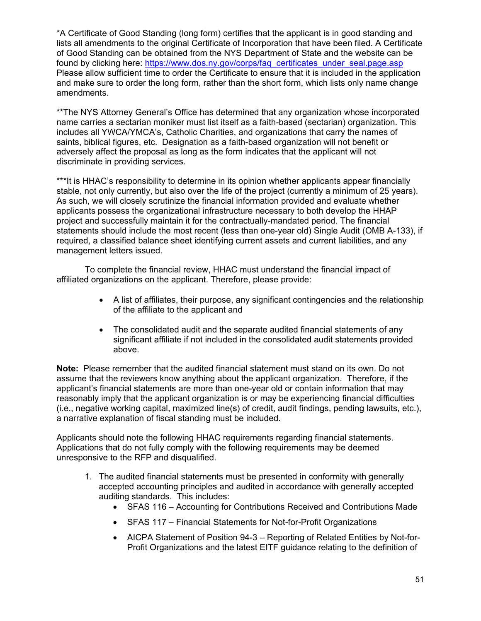\*A Certificate of Good Standing (long form) certifies that the applicant is in good standing and lists all amendments to the original Certificate of Incorporation that have been filed. A Certificate of Good Standing can be obtained from the NYS Department of State and the website can be found by clicking here: https://www.dos.ny.gov/corps/fag\_certificates\_under\_seal.page.asp Please allow sufficient time to order the Certificate to ensure that it is included in the application and make sure to order the long form, rather than the short form, which lists only name change amendments.

\*\*The NYS Attorney General's Office has determined that any organization whose incorporated name carries a sectarian moniker must list itself as a faith-based (sectarian) organization. This includes all YWCA/YMCA's, Catholic Charities, and organizations that carry the names of saints, biblical figures, etc. Designation as a faith-based organization will not benefit or adversely affect the proposal as long as the form indicates that the applicant will not discriminate in providing services.

stable, not only currently, but also over the life of the project (currently a minimum of 25 years). \*\*\*It is HHAC's responsibility to determine in its opinion whether applicants appear financially As such, we will closely scrutinize the financial information provided and evaluate whether applicants possess the organizational infrastructure necessary to both develop the HHAP project and successfully maintain it for the contractually-mandated period. The financial statements should include the most recent (less than one-year old) Single Audit (OMB A-133), if required, a classified balance sheet identifying current assets and current liabilities, and any management letters issued.

To complete the financial review, HHAC must understand the financial impact of affiliated organizations on the applicant. Therefore, please provide:

- $\bullet$ • A list of affiliates, their purpose, any significant contingencies and the relationship of the affiliate to the applicant and
- The consolidated audit and the separate audited financial statements of any significant affiliate if not included in the consolidated audit statements provided above.

 **Note:** Please remember that the audited financial statement must stand on its own. Do not reasonably imply that the applicant organization is or may be experiencing financial difficulties assume that the reviewers know anything about the applicant organization. Therefore, if the applicant's financial statements are more than one-year old or contain information that may (i.e., negative working capital, maximized line(s) of credit, audit findings, pending lawsuits, etc.), a narrative explanation of fiscal standing must be included.

Applicants should note the following HHAC requirements regarding financial statements. Applications that do not fully comply with the following requirements may be deemed unresponsive to the RFP and disqualified.

- 1. The audited financial statements must be presented in conformity with generally accepted accounting principles and audited in accordance with generally accepted auditing standards. This includes:
	- SFAS 116 Accounting for Contributions Received and Contributions Made
	- SFAS 117 Financial Statements for Not-for-Profit Organizations
	- AICPA Statement of Position 94-3 Reporting of Related Entities by Not-for-Profit Organizations and the latest EITF guidance relating to the definition of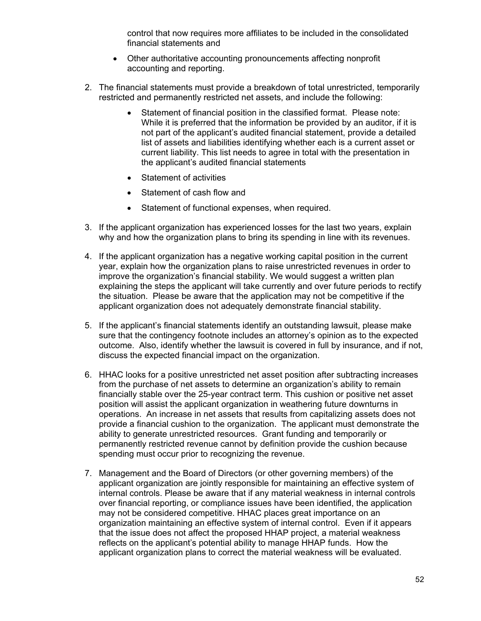control that now requires more affiliates to be included in the consolidated financial statements and

- Other authoritative accounting pronouncements affecting nonprofit accounting and reporting.
- 2. The financial statements must provide a breakdown of total unrestricted, temporarily restricted and permanently restricted net assets, and include the following:
	- Statement of financial position in the classified format. Please note: While it is preferred that the information be provided by an auditor, if it is not part of the applicant's audited financial statement, provide a detailed list of assets and liabilities identifying whether each is a current asset or current liability. This list needs to agree in total with the presentation in the applicant's audited financial statements
	- Statement of activities
	- Statement of cash flow and
	- Statement of functional expenses, when required.
- 3. If the applicant organization has experienced losses for the last two years, explain why and how the organization plans to bring its spending in line with its revenues.
- 4. If the applicant organization has a negative working capital position in the current year, explain how the organization plans to raise unrestricted revenues in order to improve the organization's financial stability. We would suggest a written plan explaining the steps the applicant will take currently and over future periods to rectify the situation. Please be aware that the application may not be competitive if the applicant organization does not adequately demonstrate financial stability.
- 5. If the applicant's financial statements identify an outstanding lawsuit, please make sure that the contingency footnote includes an attorney's opinion as to the expected outcome. Also, identify whether the lawsuit is covered in full by insurance, and if not, discuss the expected financial impact on the organization.
- 6. HHAC looks for a positive unrestricted net asset position after subtracting increases from the purchase of net assets to determine an organization's ability to remain financially stable over the 25-year contract term. This cushion or positive net asset position will assist the applicant organization in weathering future downturns in operations. An increase in net assets that results from capitalizing assets does not provide a financial cushion to the organization. The applicant must demonstrate the ability to generate unrestricted resources. Grant funding and temporarily or permanently restricted revenue cannot by definition provide the cushion because spending must occur prior to recognizing the revenue.
- 7. Management and the Board of Directors (or other governing members) of the applicant organization are jointly responsible for maintaining an effective system of internal controls. Please be aware that if any material weakness in internal controls over financial reporting, or compliance issues have been identified, the application may not be considered competitive. HHAC places great importance on an organization maintaining an effective system of internal control. Even if it appears that the issue does not affect the proposed HHAP project, a material weakness reflects on the applicant's potential ability to manage HHAP funds. How the applicant organization plans to correct the material weakness will be evaluated.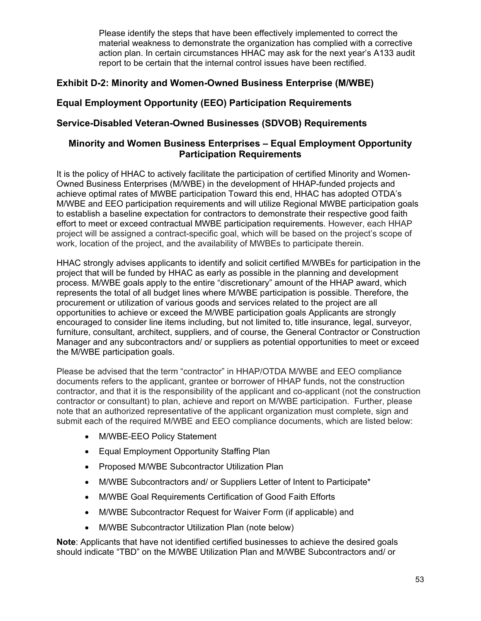action plan. In certain circumstances HHAC may ask for the next year's A133 audit Please identify the steps that have been effectively implemented to correct the material weakness to demonstrate the organization has complied with a corrective report to be certain that the internal control issues have been rectified.

## **Exhibit D-2: Minority and Women-Owned Business Enterprise (M/WBE)**

## **Equal Employment Opportunity (EEO) Participation Requirements**

## **Service-Disabled Veteran-Owned Businesses (SDVOB) Requirements**

#### **Minority and Women Business Enterprises – Equal Employment Opportunity Participation Requirements**

It is the policy of HHAC to actively facilitate the participation of certified Minority and Women-Owned Business Enterprises (M/WBE) in the development of HHAP-funded projects and achieve optimal rates of MWBE participation Toward this end, HHAC has adopted OTDA's M/WBE and EEO participation requirements and will utilize Regional MWBE participation goals to establish a baseline expectation for contractors to demonstrate their respective good faith effort to meet or exceed contractual MWBE participation requirements. However, each HHAP project will be assigned a contract-specific goal, which will be based on the project's scope of work, location of the project, and the availability of MWBEs to participate therein.

 project that will be funded by HHAC as early as possible in the planning and development HHAC strongly advises applicants to identify and solicit certified M/WBEs for participation in the process. M/WBE goals apply to the entire "discretionary" amount of the HHAP award, which represents the total of all budget lines where M/WBE participation is possible. Therefore, the procurement or utilization of various goods and services related to the project are all opportunities to achieve or exceed the M/WBE participation goals Applicants are strongly encouraged to consider line items including, but not limited to, title insurance, legal, surveyor, furniture, consultant, architect, suppliers, and of course, the General Contractor or Construction Manager and any subcontractors and/ or suppliers as potential opportunities to meet or exceed the M/WBE participation goals.

Please be advised that the term "contractor" in HHAP/OTDA M/WBE and EEO compliance documents refers to the applicant, grantee or borrower of HHAP funds, not the construction contractor, and that it is the responsibility of the applicant and co-applicant (not the construction contractor or consultant) to plan, achieve and report on M/WBE participation. Further, please note that an authorized representative of the applicant organization must complete, sign and submit each of the required M/WBE and EEO compliance documents, which are listed below:

- M/WBE-EEO Policy Statement
- Equal Employment Opportunity Staffing Plan
- Proposed M/WBE Subcontractor Utilization Plan
- M/WBE Subcontractors and/ or Suppliers Letter of Intent to Participate\*
- M/WBE Goal Requirements Certification of Good Faith Efforts
- M/WBE Subcontractor Request for Waiver Form (if applicable) and
- M/WBE Subcontractor Utilization Plan (note below)

**Note**: Applicants that have not identified certified businesses to achieve the desired goals should indicate "TBD" on the M/WBE Utilization Plan and M/WBE Subcontractors and/ or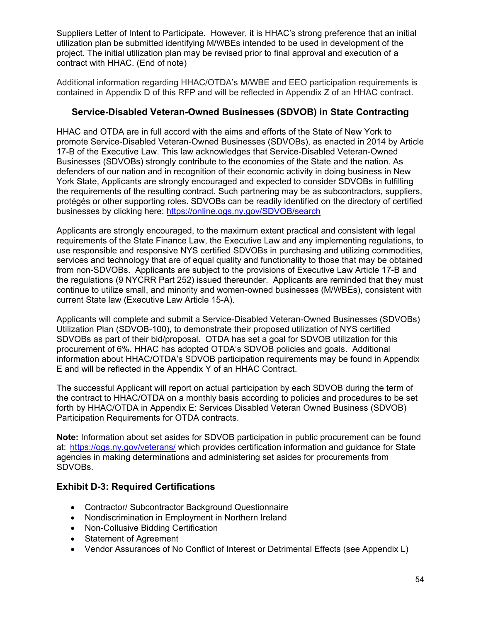Suppliers Letter of Intent to Participate. However, it is HHAC's strong preference that an initial utilization plan be submitted identifying M/WBEs intended to be used in development of the project. The initial utilization plan may be revised prior to final approval and execution of a contract with HHAC. (End of note)

Additional information regarding HHAC/OTDA's M/WBE and EEO participation requirements is contained in Appendix D of this RFP and will be reflected in Appendix Z of an HHAC contract.

#### **Service-Disabled Veteran-Owned Businesses (SDVOB) in State Contracting**

HHAC and OTDA are in full accord with the aims and efforts of the State of New York to promote Service-Disabled Veteran-Owned Businesses (SDVOBs), as enacted in 2014 by Article 17-B of the Executive Law. This law acknowledges that Service-Disabled Veteran-Owned Businesses (SDVOBs) strongly contribute to the economies of the State and the nation. As defenders of our nation and in recognition of their economic activity in doing business in New York State, Applicants are strongly encouraged and expected to consider SDVOBs in fulfilling the requirements of the resulting contract. Such partnering may be as subcontractors, suppliers, protégés or other supporting roles. SDVOBs can be readily identified on the directory of certified businesses by clicking here: https://online.ogs.ny.gov/SDVOB/search

Applicants are strongly encouraged, to the maximum extent practical and consistent with legal requirements of the State Finance Law, the Executive Law and any implementing regulations, to use responsible and responsive NYS certified SDVOBs in purchasing and utilizing commodities, services and technology that are of equal quality and functionality to those that may be obtained from non-SDVOBs. Applicants are subject to the provisions of Executive Law Article 17-B and the regulations (9 NYCRR Part 252) issued thereunder. Applicants are reminded that they must continue to utilize small, and minority and women-owned businesses (M/WBEs), consistent with current State law (Executive Law Article 15-A).

 SDVOBs as part of their bid/proposal. OTDA has set a goal for SDVOB utilization for this Applicants will complete and submit a Service-Disabled Veteran-Owned Businesses (SDVOBs) Utilization Plan (SDVOB-100), to demonstrate their proposed utilization of NYS certified procurement of 6%. HHAC has adopted OTDA's SDVOB policies and goals. Additional information about HHAC/OTDA's SDVOB participation requirements may be found in Appendix E and will be reflected in the Appendix Y of an HHAC Contract.

The successful Applicant will report on actual participation by each SDVOB during the term of the contract to HHAC/OTDA on a monthly basis according to policies and procedures to be set forth by HHAC/OTDA in Appendix E: Services Disabled Veteran Owned Business (SDVOB) Participation Requirements for OTDA contracts.

 **Note:** Information about set asides for SDVOB participation in public procurement can be found at: <u>https://ogs.ny.gov/veterans/</u> which provides certification information and guidance for State agencies in making determinations and administering set asides for procurements from SDVOBs.

#### **Exhibit D-3: Required Certifications**

- Contractor/ Subcontractor Background Questionnaire
- Nondiscrimination in Employment in Northern Ireland
- Non-Collusive Bidding Certification
- Statement of Agreement
- Vendor Assurances of No Conflict of Interest or Detrimental Effects (see Appendix L)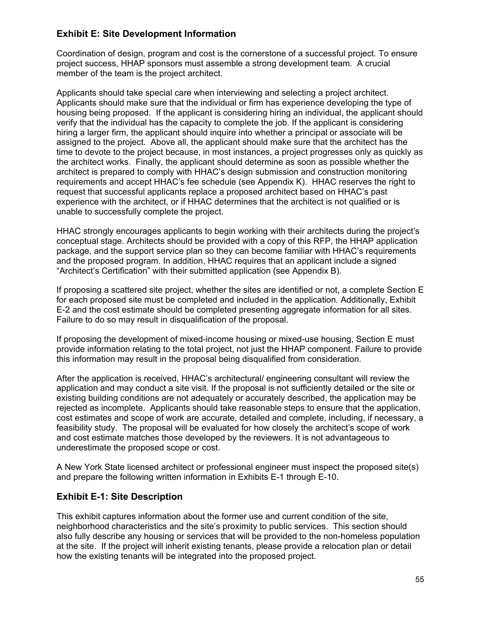## **Exhibit E: Site Development Information**

Coordination of design, program and cost is the cornerstone of a successful project. To ensure project success, HHAP sponsors must assemble a strong development team. A crucial member of the team is the project architect.

Applicants should take special care when interviewing and selecting a project architect. Applicants should make sure that the individual or firm has experience developing the type of housing being proposed. If the applicant is considering hiring an individual, the applicant should verify that the individual has the capacity to complete the job. If the applicant is considering hiring a larger firm, the applicant should inquire into whether a principal or associate will be assigned to the project. Above all, the applicant should make sure that the architect has the time to devote to the project because, in most instances, a project progresses only as quickly as the architect works. Finally, the applicant should determine as soon as possible whether the architect is prepared to comply with HHAC's design submission and construction monitoring requirements and accept HHAC's fee schedule (see Appendix K). HHAC reserves the right to request that successful applicants replace a proposed architect based on HHAC's past experience with the architect, or if HHAC determines that the architect is not qualified or is unable to successfully complete the project.

HHAC strongly encourages applicants to begin working with their architects during the project's conceptual stage. Architects should be provided with a copy of this RFP, the HHAP application package, and the support service plan so they can become familiar with HHAC's requirements and the proposed program. In addition, HHAC requires that an applicant include a signed "Architect's Certification" with their submitted application (see Appendix B).

If proposing a scattered site project, whether the sites are identified or not, a complete Section E for each proposed site must be completed and included in the application. Additionally, Exhibit E-2 and the cost estimate should be completed presenting aggregate information for all sites. Failure to do so may result in disqualification of the proposal.

If proposing the development of mixed-income housing or mixed-use housing, Section E must provide information relating to the total project, not just the HHAP component. Failure to provide this information may result in the proposal being disqualified from consideration.

After the application is received, HHAC's architectural/ engineering consultant will review the application and may conduct a site visit. If the proposal is not sufficiently detailed or the site or existing building conditions are not adequately or accurately described, the application may be rejected as incomplete. Applicants should take reasonable steps to ensure that the application, cost estimates and scope of work are accurate, detailed and complete, including, if necessary, a feasibility study. The proposal will be evaluated for how closely the architect's scope of work and cost estimate matches those developed by the reviewers. It is not advantageous to underestimate the proposed scope or cost.

A New York State licensed architect or professional engineer must inspect the proposed site(s) and prepare the following written information in Exhibits E-1 through E-10.

#### **Exhibit E-1: Site Description**

This exhibit captures information about the former use and current condition of the site, neighborhood characteristics and the site's proximity to public services. This section should also fully describe any housing or services that will be provided to the non-homeless population at the site. If the project will inherit existing tenants, please provide a relocation plan or detail how the existing tenants will be integrated into the proposed project.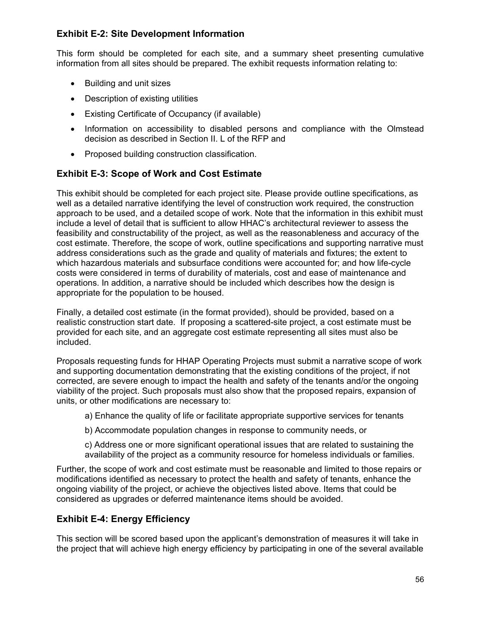## **Exhibit E-2: Site Development Information**

This form should be completed for each site, and a summary sheet presenting cumulative information from all sites should be prepared. The exhibit requests information relating to:

- Building and unit sizes
- Description of existing utilities
- Existing Certificate of Occupancy (if available)
- Information on accessibility to disabled persons and compliance with the Olmstead decision as described in Section II. L of the RFP and
- Proposed building construction classification.

#### **Exhibit E-3: Scope of Work and Cost Estimate**

This exhibit should be completed for each project site. Please provide outline specifications, as well as a detailed narrative identifying the level of construction work required, the construction approach to be used, and a detailed scope of work. Note that the information in this exhibit must include a level of detail that is sufficient to allow HHAC's architectural reviewer to assess the feasibility and constructability of the project, as well as the reasonableness and accuracy of the cost estimate. Therefore, the scope of work, outline specifications and supporting narrative must address considerations such as the grade and quality of materials and fixtures; the extent to which hazardous materials and subsurface conditions were accounted for; and how life-cycle costs were considered in terms of durability of materials, cost and ease of maintenance and operations. In addition, a narrative should be included which describes how the design is appropriate for the population to be housed.

Finally, a detailed cost estimate (in the format provided), should be provided, based on a realistic construction start date. If proposing a scattered-site project, a cost estimate must be provided for each site, and an aggregate cost estimate representing all sites must also be included.

Proposals requesting funds for HHAP Operating Projects must submit a narrative scope of work and supporting documentation demonstrating that the existing conditions of the project, if not corrected, are severe enough to impact the health and safety of the tenants and/or the ongoing viability of the project. Such proposals must also show that the proposed repairs, expansion of units, or other modifications are necessary to:

a) Enhance the quality of life or facilitate appropriate supportive services for tenants

b) Accommodate population changes in response to community needs, or

c) Address one or more significant operational issues that are related to sustaining the availability of the project as a community resource for homeless individuals or families.

Further, the scope of work and cost estimate must be reasonable and limited to those repairs or modifications identified as necessary to protect the health and safety of tenants, enhance the ongoing viability of the project, or achieve the objectives listed above. Items that could be considered as upgrades or deferred maintenance items should be avoided.

#### **Exhibit E-4: Energy Efficiency**

This section will be scored based upon the applicant's demonstration of measures it will take in the project that will achieve high energy efficiency by participating in one of the several available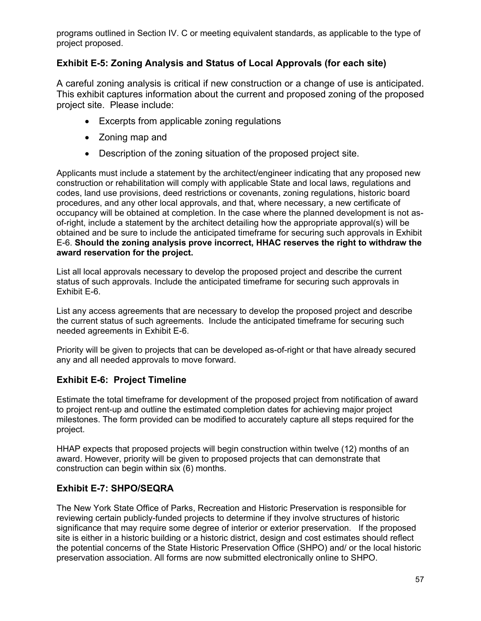programs outlined in Section IV. C or meeting equivalent standards, as applicable to the type of project proposed.

## **Exhibit E-5: Zoning Analysis and Status of Local Approvals (for each site)**

A careful zoning analysis is critical if new construction or a change of use is anticipated. This exhibit captures information about the current and proposed zoning of the proposed. project site. Please include:

- Excerpts from applicable zoning regulations
- Zoning map and
- Description of the zoning situation of the proposed project site.

Applicants must include a statement by the architect/engineer indicating that any proposed new construction or rehabilitation will comply with applicable State and local laws, regulations and codes, land use provisions, deed restrictions or covenants, zoning regulations, historic board procedures, and any other local approvals, and that, where necessary, a new certificate of occupancy will be obtained at completion. In the case where the planned development is not asof-right, include a statement by the architect detailing how the appropriate approval(s) will be obtained and be sure to include the anticipated timeframe for securing such approvals in Exhibit E-6. **Should the zoning analysis prove incorrect, HHAC reserves the right to withdraw the award reservation for the project.** 

List all local approvals necessary to develop the proposed project and describe the current status of such approvals. Include the anticipated timeframe for securing such approvals in Exhibit E-6.

 List any access agreements that are necessary to develop the proposed project and describe the current status of such agreements. Include the anticipated timeframe for securing such needed agreements in Exhibit E-6.

Priority will be given to projects that can be developed as-of-right or that have already secured any and all needed approvals to move forward.

## **Exhibit E-6: Project Timeline**

Estimate the total timeframe for development of the proposed project from notification of award to project rent-up and outline the estimated completion dates for achieving major project milestones. The form provided can be modified to accurately capture all steps required for the project.

HHAP expects that proposed projects will begin construction within twelve (12) months of an award. However, priority will be given to proposed projects that can demonstrate that construction can begin within six (6) months.

## **Exhibit E-7: SHPO/SEQRA**

 site is either in a historic building or a historic district, design and cost estimates should reflect The New York State Office of Parks, Recreation and Historic Preservation is responsible for reviewing certain publicly-funded projects to determine if they involve structures of historic significance that may require some degree of interior or exterior preservation. If the proposed the potential concerns of the State Historic Preservation Office (SHPO) and/ or the local historic preservation association. All forms are now submitted electronically online to SHPO.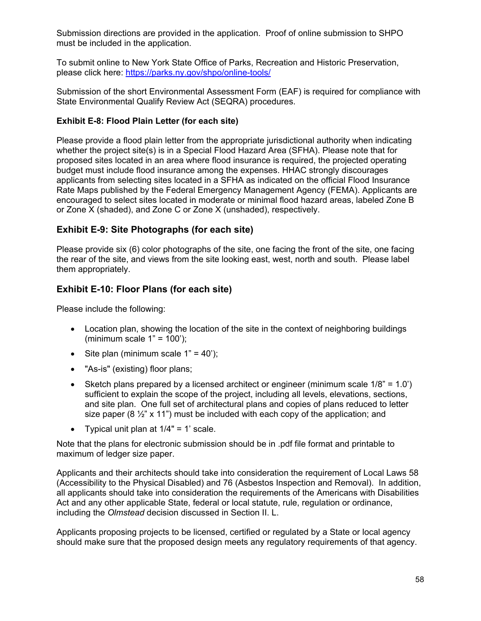Submission directions are provided in the application. Proof of online submission to SHPO must be included in the application.

To submit online to New York State Office of Parks, Recreation and Historic Preservation, please click here:<https://parks.ny.gov/shpo/online-tools/>

Submission of the short Environmental Assessment Form (EAF) is required for compliance with State Environmental Qualify Review Act (SEQRA) procedures.

#### **Exhibit E-8: Flood Plain Letter (for each site)**

Please provide a flood plain letter from the appropriate jurisdictional authority when indicating whether the project site(s) is in a Special Flood Hazard Area (SFHA). Please note that for proposed sites located in an area where flood insurance is required, the projected operating budget must include flood insurance among the expenses. HHAC strongly discourages applicants from selecting sites located in a SFHA as indicated on the official Flood Insurance Rate Maps published by the Federal Emergency Management Agency (FEMA). Applicants are encouraged to select sites located in moderate or minimal flood hazard areas, labeled Zone B or Zone X (shaded), and Zone C or Zone X (unshaded), respectively.

## **Exhibit E-9: Site Photographs (for each site)**

Please provide six (6) color photographs of the site, one facing the front of the site, one facing the rear of the site, and views from the site looking east, west, north and south. Please label them appropriately.

## **Exhibit E-10: Floor Plans (for each site)**

Please include the following:

- Location plan, showing the location of the site in the context of neighboring buildings (minimum scale  $1" = 100$ );
- Site plan (minimum scale  $1" = 40$ <sup>"</sup>);
- "As-is" (existing) floor plans;
- Sketch plans prepared by a licensed architect or engineer (minimum scale  $1/8$ " = 1.0') sufficient to explain the scope of the project, including all levels, elevations, sections, and site plan. One full set of architectural plans and copies of plans reduced to letter size paper (8  $\frac{1}{2}$ " x 11") must be included with each copy of the application; and
- Typical unit plan at  $1/4" = 1'$  scale.

Note that the plans for electronic submission should be in .pdf file format and printable to maximum of ledger size paper.

 Act and any other applicable State, federal or local statute, rule, regulation or ordinance, Applicants and their architects should take into consideration the requirement of Local Laws 58 (Accessibility to the Physical Disabled) and 76 (Asbestos Inspection and Removal). In addition, all applicants should take into consideration the requirements of the Americans with Disabilities including the *Olmstead* decision discussed in Section II. L.

 Applicants proposing projects to be licensed, certified or regulated by a State or local agency should make sure that the proposed design meets any regulatory requirements of that agency.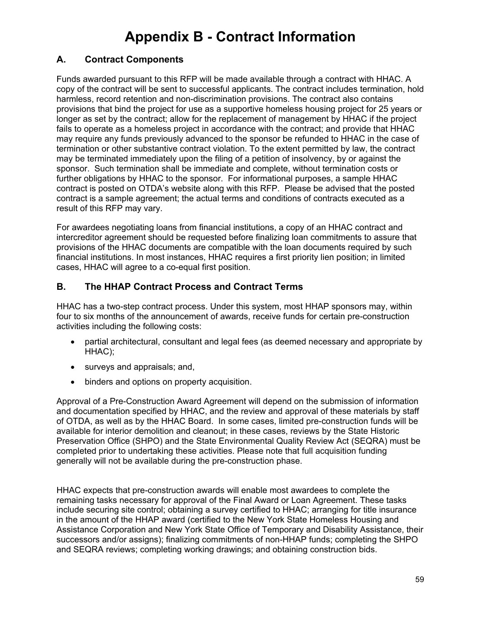## **Appendix B - Contract Information**

## **A. Contract Components**

Funds awarded pursuant to this RFP will be made available through a contract with HHAC. A copy of the contract will be sent to successful applicants. The contract includes termination, hold harmless, record retention and non-discrimination provisions. The contract also contains provisions that bind the project for use as a supportive homeless housing project for 25 years or longer as set by the contract; allow for the replacement of management by HHAC if the project fails to operate as a homeless project in accordance with the contract; and provide that HHAC may require any funds previously advanced to the sponsor be refunded to HHAC in the case of termination or other substantive contract violation. To the extent permitted by law, the contract may be terminated immediately upon the filing of a petition of insolvency, by or against the sponsor. Such termination shall be immediate and complete, without termination costs or further obligations by HHAC to the sponsor. For informational purposes, a sample HHAC contract is posted on OTDA's website along with this RFP. Please be advised that the posted contract is a sample agreement; the actual terms and conditions of contracts executed as a result of this RFP may vary.

For awardees negotiating loans from financial institutions, a copy of an HHAC contract and intercreditor agreement should be requested before finalizing loan commitments to assure that provisions of the HHAC documents are compatible with the loan documents required by such financial institutions. In most instances, HHAC requires a first priority lien position; in limited cases, HHAC will agree to a co-equal first position.

#### **B. The HHAP Contract Process and Contract Terms**

HHAC has a two-step contract process. Under this system, most HHAP sponsors may, within four to six months of the announcement of awards, receive funds for certain pre-construction activities including the following costs:

- partial architectural, consultant and legal fees (as deemed necessary and appropriate by HHAC);
- surveys and appraisals; and,
- binders and options on property acquisition.

Approval of a Pre-Construction Award Agreement will depend on the submission of information and documentation specified by HHAC, and the review and approval of these materials by staff of OTDA, as well as by the HHAC Board. In some cases, limited pre-construction funds will be available for interior demolition and cleanout; in these cases, reviews by the State Historic Preservation Office (SHPO) and the State Environmental Quality Review Act (SEQRA) must be completed prior to undertaking these activities. Please note that full acquisition funding generally will not be available during the pre-construction phase.

HHAC expects that pre-construction awards will enable most awardees to complete the remaining tasks necessary for approval of the Final Award or Loan Agreement. These tasks include securing site control; obtaining a survey certified to HHAC; arranging for title insurance in the amount of the HHAP award (certified to the New York State Homeless Housing and Assistance Corporation and New York State Office of Temporary and Disability Assistance, their successors and/or assigns); finalizing commitments of non-HHAP funds; completing the SHPO and SEQRA reviews; completing working drawings; and obtaining construction bids.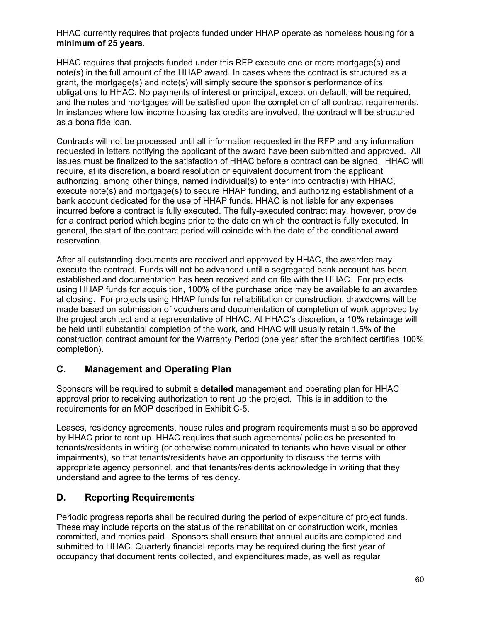HHAC currently requires that projects funded under HHAP operate as homeless housing for **a minimum of 25 years**.

HHAC requires that projects funded under this RFP execute one or more mortgage(s) and note(s) in the full amount of the HHAP award. In cases where the contract is structured as a grant, the mortgage(s) and note(s) will simply secure the sponsor's performance of its obligations to HHAC. No payments of interest or principal, except on default, will be required, and the notes and mortgages will be satisfied upon the completion of all contract requirements. In instances where low income housing tax credits are involved, the contract will be structured as a bona fide loan.

 issues must be finalized to the satisfaction of HHAC before a contract can be signed. HHAC will Contracts will not be processed until all information requested in the RFP and any information requested in letters notifying the applicant of the award have been submitted and approved. All require, at its discretion, a board resolution or equivalent document from the applicant authorizing, among other things, named individual(s) to enter into contract(s) with HHAC, execute note(s) and mortgage(s) to secure HHAP funding, and authorizing establishment of a bank account dedicated for the use of HHAP funds. HHAC is not liable for any expenses incurred before a contract is fully executed. The fully-executed contract may, however, provide for a contract period which begins prior to the date on which the contract is fully executed. In general, the start of the contract period will coincide with the date of the conditional award reservation.

After all outstanding documents are received and approved by HHAC, the awardee may execute the contract. Funds will not be advanced until a segregated bank account has been established and documentation has been received and on file with the HHAC. For projects using HHAP funds for acquisition, 100% of the purchase price may be available to an awardee at closing. For projects using HHAP funds for rehabilitation or construction, drawdowns will be made based on submission of vouchers and documentation of completion of work approved by the project architect and a representative of HHAC. At HHAC's discretion, a 10% retainage will be held until substantial completion of the work, and HHAC will usually retain 1.5% of the construction contract amount for the Warranty Period (one year after the architect certifies 100% completion).

## **C. Management and Operating Plan**

 Sponsors will be required to submit a **detailed** management and operating plan for HHAC requirements for an MOP described in Exhibit C-5. approval prior to receiving authorization to rent up the project. This is in addition to the

Leases, residency agreements, house rules and program requirements must also be approved by HHAC prior to rent up. HHAC requires that such agreements/ policies be presented to tenants/residents in writing (or otherwise communicated to tenants who have visual or other impairments), so that tenants/residents have an opportunity to discuss the terms with appropriate agency personnel, and that tenants/residents acknowledge in writing that they understand and agree to the terms of residency.

## **D. Reporting Requirements**

Periodic progress reports shall be required during the period of expenditure of project funds. These may include reports on the status of the rehabilitation or construction work, monies committed, and monies paid. Sponsors shall ensure that annual audits are completed and submitted to HHAC. Quarterly financial reports may be required during the first year of occupancy that document rents collected, and expenditures made, as well as regular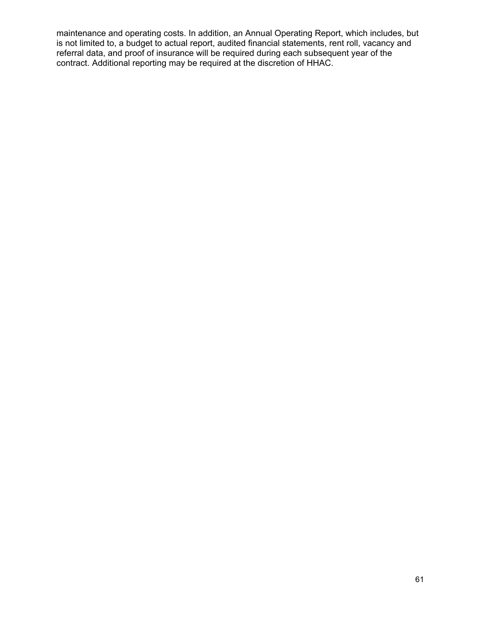maintenance and operating costs. In addition, an Annual Operating Report, which includes, but is not limited to, a budget to actual report, audited financial statements, rent roll, vacancy and referral data, and proof of insurance will be required during each subsequent year of the contract. Additional reporting may be required at the discretion of HHAC.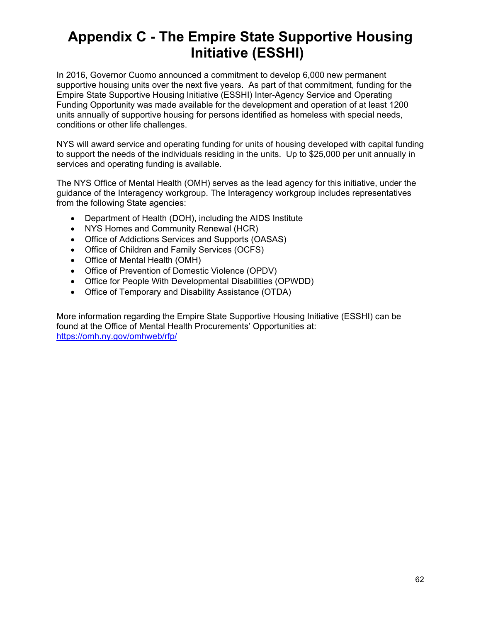## **Appendix C - The Empire State Supportive Housing Initiative (ESSHI)**

In 2016, Governor Cuomo announced a commitment to develop 6,000 new permanent supportive housing units over the next five years. As part of that commitment, funding for the Empire State Supportive Housing Initiative (ESSHI) Inter-Agency Service and Operating Funding Opportunity was made available for the development and operation of at least 1200 units annually of supportive housing for persons identified as homeless with special needs, conditions or other life challenges.

NYS will award service and operating funding for units of housing developed with capital funding to support the needs of the individuals residing in the units. Up to \$25,000 per unit annually in services and operating funding is available.

The NYS Office of Mental Health (OMH) serves as the lead agency for this initiative, under the guidance of the Interagency workgroup. The Interagency workgroup includes representatives from the following State agencies:

- Department of Health (DOH), including the AIDS Institute
- NYS Homes and Community Renewal (HCR)
- Office of Addictions Services and Supports (OASAS)
- Office of Children and Family Services (OCFS)
- Office of Mental Health (OMH)
- Office of Prevention of Domestic Violence (OPDV)
- Office for People With Developmental Disabilities (OPWDD)
- Office of Temporary and Disability Assistance (OTDA)

More information regarding the Empire State Supportive Housing Initiative (ESSHI) can be found at the Office of Mental Health Procurements' Opportunities at: <https://omh.ny.gov/omhweb/rfp/>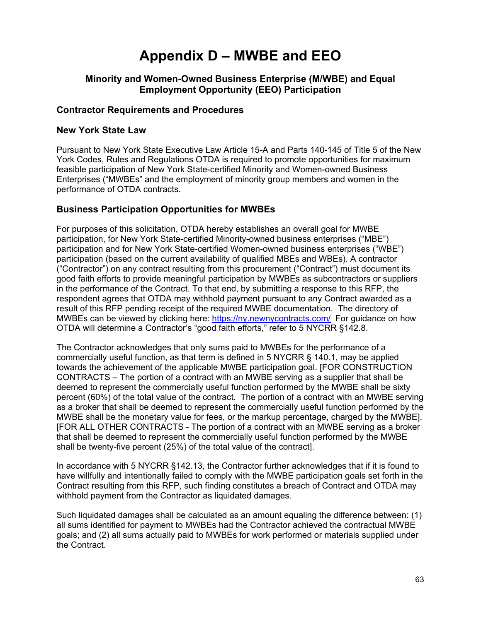# **Appendix D – MWBE and EEO**

#### **Minority and Women-Owned Business Enterprise (M/WBE) and Equal Employment Opportunity (EEO) Participation**

#### **Contractor Requirements and Procedures**

#### **New York State Law**

Pursuant to New York State Executive Law Article 15-A and Parts 140-145 of Title 5 of the New York Codes, Rules and Regulations OTDA is required to promote opportunities for maximum feasible participation of New York State-certified Minority and Women-owned Business Enterprises ("MWBEs" and the employment of minority group members and women in the performance of OTDA contracts.

#### **Business Participation Opportunities for MWBEs**

 good faith efforts to provide meaningful participation by MWBEs as subcontractors or suppliers MWBEs can be viewed by clicking here: <u>https://ny.newnycontracts.com/</u> For guidance on how For purposes of this solicitation, OTDA hereby establishes an overall goal for MWBE participation, for New York State-certified Minority-owned business enterprises ("MBE") participation and for New York State-certified Women-owned business enterprises ("WBE") participation (based on the current availability of qualified MBEs and WBEs). A contractor ("Contractor") on any contract resulting from this procurement ("Contract") must document its in the performance of the Contract. To that end, by submitting a response to this RFP, the respondent agrees that OTDA may withhold payment pursuant to any Contract awarded as a result of this RFP pending receipt of the required MWBE documentation. The directory of OTDA will determine a Contractor's "good faith efforts," refer to 5 NYCRR §142.8.

The Contractor acknowledges that only sums paid to MWBEs for the performance of a commercially useful function, as that term is defined in 5 NYCRR § 140.1, may be applied towards the achievement of the applicable MWBE participation goal. [FOR CONSTRUCTION CONTRACTS – The portion of a contract with an MWBE serving as a supplier that shall be deemed to represent the commercially useful function performed by the MWBE shall be sixty percent (60%) of the total value of the contract. The portion of a contract with an MWBE serving as a broker that shall be deemed to represent the commercially useful function performed by the MWBE shall be the monetary value for fees, or the markup percentage, charged by the MWBE]. [FOR ALL OTHER CONTRACTS - The portion of a contract with an MWBE serving as a broker that shall be deemed to represent the commercially useful function performed by the MWBE shall be twenty-five percent (25%) of the total value of the contract].

 Contract resulting from this RFP, such finding constitutes a breach of Contract and OTDA may In accordance with 5 NYCRR §142.13, the Contractor further acknowledges that if it is found to have willfully and intentionally failed to comply with the MWBE participation goals set forth in the withhold payment from the Contractor as liquidated damages.

 goals; and (2) all sums actually paid to MWBEs for work performed or materials supplied under Such liquidated damages shall be calculated as an amount equaling the difference between: (1) all sums identified for payment to MWBEs had the Contractor achieved the contractual MWBE the Contract.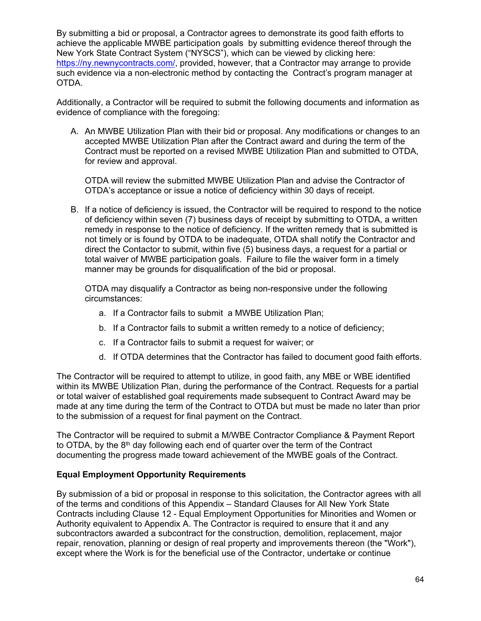By submitting a bid or proposal, a Contractor agrees to demonstrate its good faith efforts to achieve the applicable MWBE participation goals by submitting evidence thereof through the New York State Contract System ("NYSCS"), which can be viewed by clicking here: [https://ny.newnycontracts.com/,](https://ny.newnycontracts.com/) provided, however, that a Contractor may arrange to provide such evidence via a non-electronic method by contacting the Contract's program manager at OTDA.

Additionally, a Contractor will be required to submit the following documents and information as evidence of compliance with the foregoing:

A. An MWBE Utilization Plan with their bid or proposal. Any modifications or changes to an accepted MWBE Utilization Plan after the Contract award and during the term of the Contract must be reported on a revised MWBE Utilization Plan and submitted to OTDA, for review and approval.

OTDA will review the submitted MWBE Utilization Plan and advise the Contractor of OTDA's acceptance or issue a notice of deficiency within 30 days of receipt.

B. If a notice of deficiency is issued, the Contractor will be required to respond to the notice of deficiency within seven (7) business days of receipt by submitting to OTDA, a written remedy in response to the notice of deficiency. If the written remedy that is submitted is not timely or is found by OTDA to be inadequate, OTDA shall notify the Contractor and direct the Contactor to submit, within five (5) business days, a request for a partial or total waiver of MWBE participation goals. Failure to file the waiver form in a timely manner may be grounds for disqualification of the bid or proposal.

OTDA may disqualify a Contractor as being non-responsive under the following circumstances:

- a. If a Contractor fails to submit a MWBE Utilization Plan;
- b. If a Contractor fails to submit a written remedy to a notice of deficiency;
- c. If a Contractor fails to submit a request for waiver; or
- d. If OTDA determines that the Contractor has failed to document good faith efforts.

The Contractor will be required to attempt to utilize, in good faith, any MBE or WBE identified within its MWBE Utilization Plan, during the performance of the Contract. Requests for a partial or total waiver of established goal requirements made subsequent to Contract Award may be made at any time during the term of the Contract to OTDA but must be made no later than prior to the submission of a request for final payment on the Contract.

The Contractor will be required to submit a M/WBE Contractor Compliance & Payment Report to OTDA, by the  $8<sup>th</sup>$  day following each end of quarter over the term of the Contract documenting the progress made toward achievement of the MWBE goals of the Contract.

#### **Equal Employment Opportunity Requirements**

By submission of a bid or proposal in response to this solicitation, the Contractor agrees with all of the terms and conditions of this Appendix – Standard Clauses for All New York State Contracts including Clause 12 - Equal Employment Opportunities for Minorities and Women or Authority equivalent to Appendix A. The Contractor is required to ensure that it and any subcontractors awarded a subcontract for the construction, demolition, replacement, major repair, renovation, planning or design of real property and improvements thereon (the "Work"), except where the Work is for the beneficial use of the Contractor, undertake or continue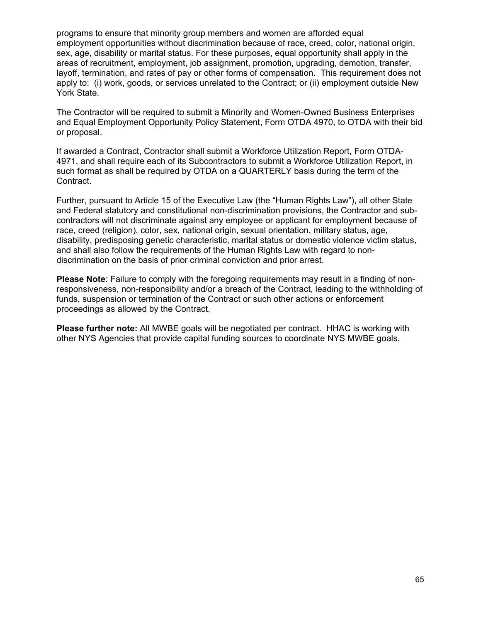programs to ensure that minority group members and women are afforded equal employment opportunities without discrimination because of race, creed, color, national origin, sex, age, disability or marital status. For these purposes, equal opportunity shall apply in the areas of recruitment, employment, job assignment, promotion, upgrading, demotion, transfer, layoff, termination, and rates of pay or other forms of compensation. This requirement does not apply to: (i) work, goods, or services unrelated to the Contract; or (ii) employment outside New York State.

The Contractor will be required to submit a Minority and Women-Owned Business Enterprises and Equal Employment Opportunity Policy Statement, Form OTDA 4970, to OTDA with their bid or proposal.

If awarded a Contract, Contractor shall submit a Workforce Utilization Report, Form OTDA-4971, and shall require each of its Subcontractors to submit a Workforce Utilization Report, in such format as shall be required by OTDA on a QUARTERLY basis during the term of the Contract.

Further, pursuant to Article 15 of the Executive Law (the "Human Rights Law"), all other State and Federal statutory and constitutional non-discrimination provisions, the Contractor and subcontractors will not discriminate against any employee or applicant for employment because of race, creed (religion), color, sex, national origin, sexual orientation, military status, age, disability, predisposing genetic characteristic, marital status or domestic violence victim status, and shall also follow the requirements of the Human Rights Law with regard to nondiscrimination on the basis of prior criminal conviction and prior arrest.

**Please Note**: Failure to comply with the foregoing requirements may result in a finding of nonresponsiveness, non-responsibility and/or a breach of the Contract, leading to the withholding of funds, suspension or termination of the Contract or such other actions or enforcement proceedings as allowed by the Contract.

 other NYS Agencies that provide capital funding sources to coordinate NYS MWBE goals. **Please further note:** All MWBE goals will be negotiated per contract. HHAC is working with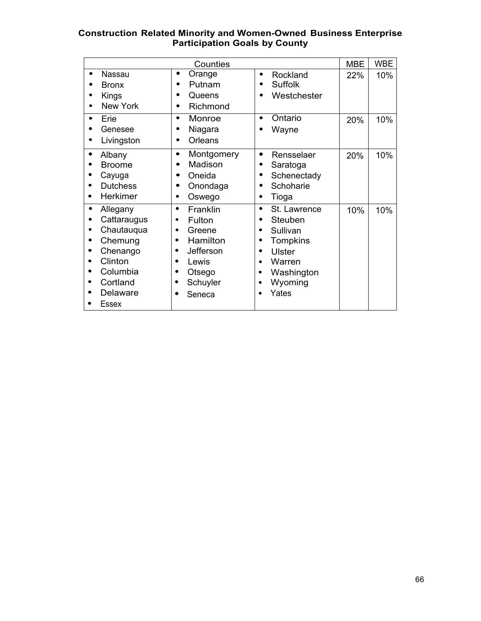#### **Construction Related Minority and Women-Owned Business Enterprise Participation Goals by County**

| Counties                                                                                                             |                                                                                                                                      | <b>MBE</b>                                                                                                                                                                    | <b>WBE</b> |     |
|----------------------------------------------------------------------------------------------------------------------|--------------------------------------------------------------------------------------------------------------------------------------|-------------------------------------------------------------------------------------------------------------------------------------------------------------------------------|------------|-----|
| Nassau<br><b>Bronx</b><br>Kings<br>New York                                                                          | Orange<br>$\bullet$<br>Putnam<br>$\bullet$<br>Queens<br>Richmond                                                                     | Rockland<br>$\bullet$<br><b>Suffolk</b><br>$\bullet$<br>Westchester<br>$\bullet$                                                                                              | 22%        | 10% |
| Erie<br>$\bullet$<br>Genesee<br>Livingston                                                                           | Monroe<br>$\bullet$<br>Niagara<br>$\bullet$<br>Orleans<br>$\bullet$                                                                  | Ontario<br>$\bullet$<br>Wayne                                                                                                                                                 | 20%        | 10% |
| Albany<br><b>Broome</b><br>Cayuga<br><b>Dutchess</b><br>Herkimer                                                     | Montgomery<br>٠<br>Madison<br>Oneida<br>Onondaga<br>Oswego<br>٠                                                                      | Rensselaer<br>$\bullet$<br>Saratoga<br>Schenectady<br>٠<br>Schoharie<br>Tioga<br>$\bullet$                                                                                    | 20%        | 10% |
| Allegany<br>Cattaraugus<br>Chautauqua<br>Chemung<br>Chenango<br>Clinton<br>Columbia<br>Cortland<br>Delaware<br>Essex | Franklin<br>$\bullet$<br>Fulton<br>٠<br>Greene<br>٠<br>Hamilton<br>٠<br>Jefferson<br>Lewis<br>Otsego<br>٠<br>Schuyler<br>٠<br>Seneca | St. Lawrence<br>$\bullet$<br>Steuben<br>Sullivan<br>Tompkins<br><b>Ulster</b><br>$\bullet$<br>Warren<br>$\bullet$<br>Washington<br>$\bullet$<br>Wyoming<br>$\bullet$<br>Yates | 10%        | 10% |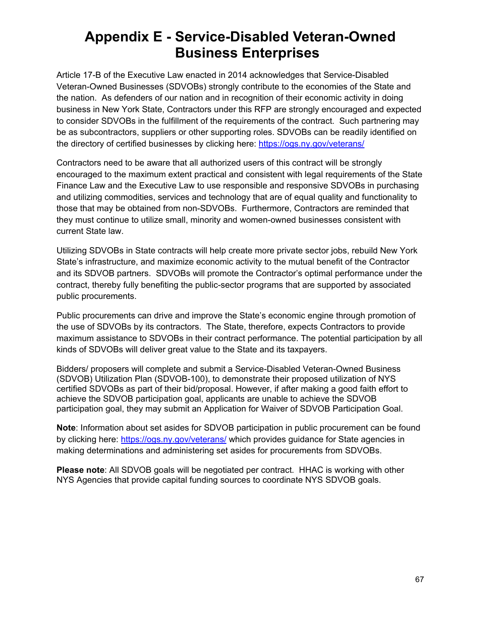## **Appendix E - Service-Disabled Veteran-Owned Business Enterprises**

Article 17-B of the Executive Law enacted in 2014 acknowledges that Service-Disabled Veteran-Owned Businesses (SDVOBs) strongly contribute to the economies of the State and the nation. As defenders of our nation and in recognition of their economic activity in doing business in New York State, Contractors under this RFP are strongly encouraged and expected to consider SDVOBs in the fulfillment of the requirements of the contract. Such partnering may be as subcontractors, suppliers or other supporting roles. SDVOBs can be readily identified on the directory of certified businesses by clicking here:<https://ogs.ny.gov/veterans/>

Contractors need to be aware that all authorized users of this contract will be strongly encouraged to the maximum extent practical and consistent with legal requirements of the State Finance Law and the Executive Law to use responsible and responsive SDVOBs in purchasing and utilizing commodities, services and technology that are of equal quality and functionality to those that may be obtained from non-SDVOBs. Furthermore, Contractors are reminded that they must continue to utilize small, minority and women-owned businesses consistent with current State law.

Utilizing SDVOBs in State contracts will help create more private sector jobs, rebuild New York State's infrastructure, and maximize economic activity to the mutual benefit of the Contractor and its SDVOB partners. SDVOBs will promote the Contractor's optimal performance under the contract, thereby fully benefiting the public-sector programs that are supported by associated public procurements.

Public procurements can drive and improve the State's economic engine through promotion of the use of SDVOBs by its contractors. The State, therefore, expects Contractors to provide maximum assistance to SDVOBs in their contract performance. The potential participation by all kinds of SDVOBs will deliver great value to the State and its taxpayers.

Bidders/ proposers will complete and submit a Service-Disabled Veteran-Owned Business (SDVOB) Utilization Plan (SDVOB-100), to demonstrate their proposed utilization of NYS certified SDVOBs as part of their bid/proposal. However, if after making a good faith effort to achieve the SDVOB participation goal, applicants are unable to achieve the SDVOB participation goal, they may submit an Application for Waiver of SDVOB Participation Goal.

 **Note**: Information about set asides for SDVOB participation in public procurement can be found by clicking here:<https://ogs.ny.gov/veterans/>which provides guidance for State agencies in making determinations and administering set asides for procurements from SDVOBs.

**Please note**: All SDVOB goals will be negotiated per contract. HHAC is working with other NYS Agencies that provide capital funding sources to coordinate NYS SDVOB goals.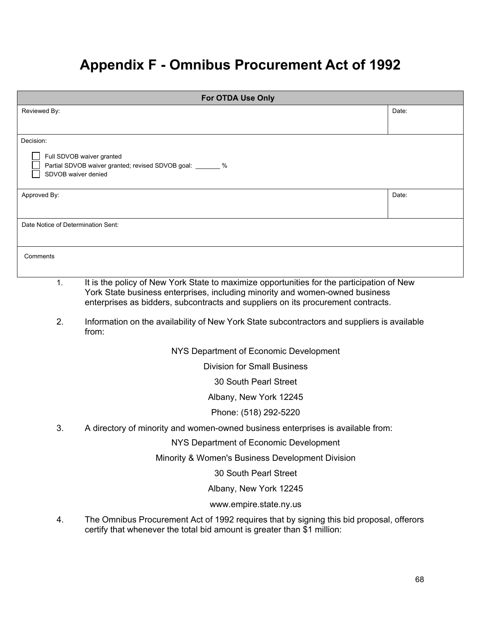## **Appendix F - Omnibus Procurement Act of 1992**

| <b>For OTDA Use Only</b>           |                                                                                                                                                                     |       |  |  |
|------------------------------------|---------------------------------------------------------------------------------------------------------------------------------------------------------------------|-------|--|--|
| Reviewed By:                       |                                                                                                                                                                     | Date: |  |  |
|                                    |                                                                                                                                                                     |       |  |  |
| Decision:                          |                                                                                                                                                                     |       |  |  |
|                                    | Full SDVOB waiver granted                                                                                                                                           |       |  |  |
| SDVOB waiver denied                | Partial SDVOB waiver granted; revised SDVOB goal: _______ %                                                                                                         |       |  |  |
|                                    |                                                                                                                                                                     |       |  |  |
| Approved By:                       |                                                                                                                                                                     | Date: |  |  |
|                                    |                                                                                                                                                                     |       |  |  |
| Date Notice of Determination Sent: |                                                                                                                                                                     |       |  |  |
|                                    |                                                                                                                                                                     |       |  |  |
| Comments                           |                                                                                                                                                                     |       |  |  |
| 1.                                 | It is the policy of New York State to maximize opportunities for the participation of New                                                                           |       |  |  |
|                                    | York State business enterprises, including minority and women-owned business                                                                                        |       |  |  |
|                                    | enterprises as bidders, subcontracts and suppliers on its procurement contracts.                                                                                    |       |  |  |
| 2.                                 | Information on the availability of New York State subcontractors and suppliers is available<br>from:                                                                |       |  |  |
|                                    | NYS Department of Economic Development                                                                                                                              |       |  |  |
|                                    | <b>Division for Small Business</b>                                                                                                                                  |       |  |  |
|                                    | <b>30 South Pearl Street</b>                                                                                                                                        |       |  |  |
|                                    | Albany, New York 12245                                                                                                                                              |       |  |  |
|                                    | Phone: (518) 292-5220                                                                                                                                               |       |  |  |
| 3.                                 | A directory of minority and women-owned business enterprises is available from:                                                                                     |       |  |  |
|                                    | NYS Department of Economic Development                                                                                                                              |       |  |  |
|                                    | Minority & Women's Business Development Division                                                                                                                    |       |  |  |
|                                    | 30 South Pearl Street                                                                                                                                               |       |  |  |
|                                    | Albany, New York 12245                                                                                                                                              |       |  |  |
|                                    | www.empire.state.ny.us                                                                                                                                              |       |  |  |
| 4.                                 | The Omnibus Procurement Act of 1992 requires that by signing this bid proposal, offerors<br>certify that whenever the total bid amount is greater than \$1 million: |       |  |  |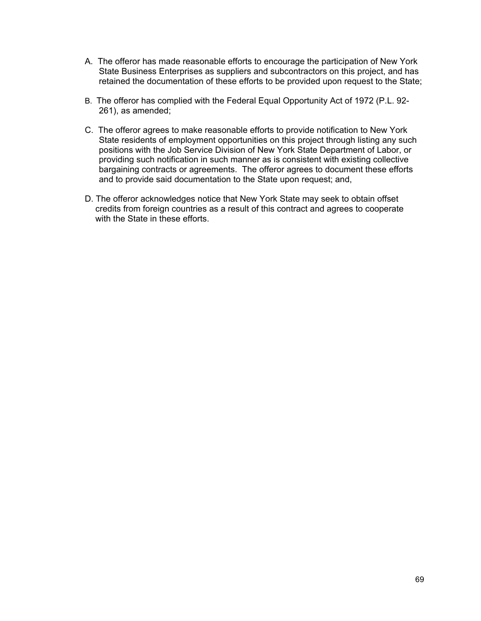- A. The offeror has made reasonable efforts to encourage the participation of New York State Business Enterprises as suppliers and subcontractors on this project, and has retained the documentation of these efforts to be provided upon request to the State;
- B. The offeror has complied with the Federal Equal Opportunity Act of 1972 (P.L. 92- 261), as amended;
- C. The offeror agrees to make reasonable efforts to provide notification to New York State residents of employment opportunities on this project through listing any such positions with the Job Service Division of New York State Department of Labor, or providing such notification in such manner as is consistent with existing collective bargaining contracts or agreements. The offeror agrees to document these efforts and to provide said documentation to the State upon request; and,
- D. The offeror acknowledges notice that New York State may seek to obtain offset credits from foreign countries as a result of this contract and agrees to cooperate with the State in these efforts.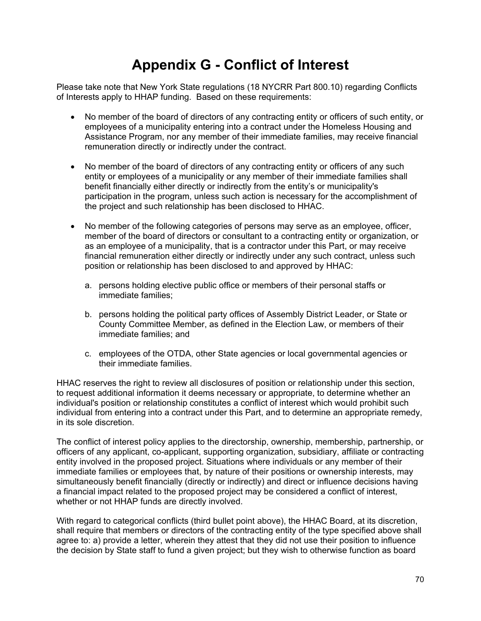# **Appendix G - Conflict of Interest**

Please take note that New York State regulations (18 NYCRR Part 800.10) regarding Conflicts of Interests apply to HHAP funding. Based on these requirements:

- • No member of the board of directors of any contracting entity or officers of such entity, or remuneration directly or indirectly under the contract. employees of a municipality entering into a contract under the Homeless Housing and Assistance Program, nor any member of their immediate families, may receive financial
- • No member of the board of directors of any contracting entity or officers of any such benefit financially either directly or indirectly from the entity's or municipality's entity or employees of a municipality or any member of their immediate families shall participation in the program, unless such action is necessary for the accomplishment of the project and such relationship has been disclosed to HHAC.
- No member of the following categories of persons may serve as an employee, officer, member of the board of directors or consultant to a contracting entity or organization, or as an employee of a municipality, that is a contractor under this Part, or may receive financial remuneration either directly or indirectly under any such contract, unless such position or relationship has been disclosed to and approved by HHAC:
	- a. persons holding elective public office or members of their personal staffs or immediate families;
	- b. persons holding the political party offices of Assembly District Leader, or State or County Committee Member, as defined in the Election Law, or members of their immediate families; and
	- c. employees of the OTDA, other State agencies or local governmental agencies or their immediate families.

HHAC reserves the right to review all disclosures of position or relationship under this section, to request additional information it deems necessary or appropriate, to determine whether an individual's position or relationship constitutes a conflict of interest which would prohibit such individual from entering into a contract under this Part, and to determine an appropriate remedy, in its sole discretion.

 entity involved in the proposed project. Situations where individuals or any member of their The conflict of interest policy applies to the directorship, ownership, membership, partnership, or officers of any applicant, co-applicant, supporting organization, subsidiary, affiliate or contracting immediate families or employees that, by nature of their positions or ownership interests, may simultaneously benefit financially (directly or indirectly) and direct or influence decisions having a financial impact related to the proposed project may be considered a conflict of interest, whether or not HHAP funds are directly involved.

With regard to categorical conflicts (third bullet point above), the HHAC Board, at its discretion, shall require that members or directors of the contracting entity of the type specified above shall agree to: a) provide a letter, wherein they attest that they did not use their position to influence the decision by State staff to fund a given project; but they wish to otherwise function as board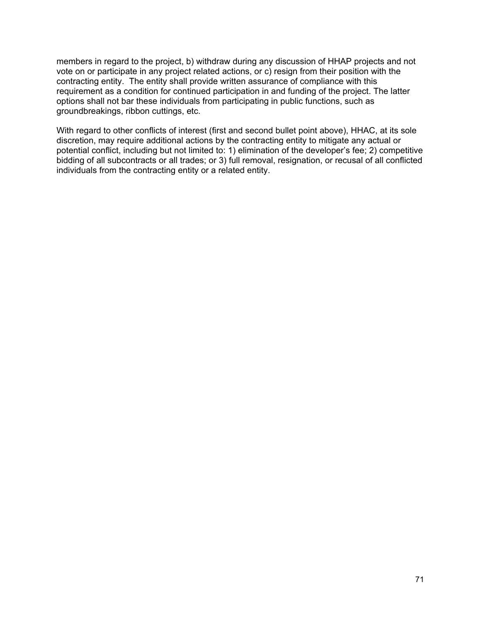members in regard to the project, b) withdraw during any discussion of HHAP projects and not vote on or participate in any project related actions, or c) resign from their position with the contracting entity. The entity shall provide written assurance of compliance with this requirement as a condition for continued participation in and funding of the project. The latter options shall not bar these individuals from participating in public functions, such as groundbreakings, ribbon cuttings, etc.

With regard to other conflicts of interest (first and second bullet point above), HHAC, at its sole discretion, may require additional actions by the contracting entity to mitigate any actual or potential conflict, including but not limited to: 1) elimination of the developer's fee; 2) competitive bidding of all subcontracts or all trades; or 3) full removal, resignation, or recusal of all conflicted individuals from the contracting entity or a related entity.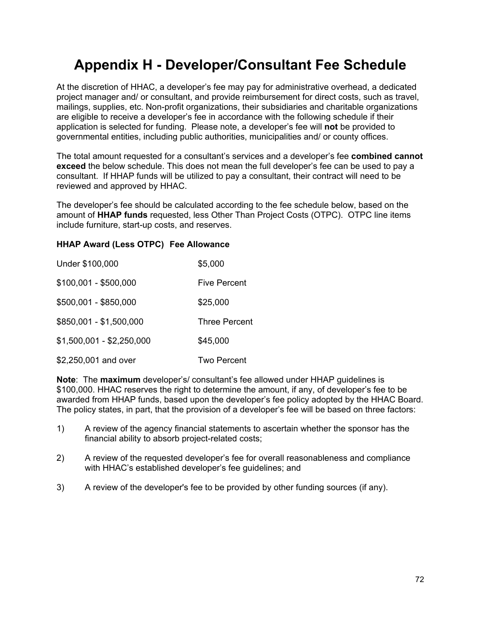# **Appendix H - Developer/Consultant Fee Schedule**

At the discretion of HHAC, a developer's fee may pay for administrative overhead, a dedicated project manager and/ or consultant, and provide reimbursement for direct costs, such as travel, mailings, supplies, etc. Non-profit organizations, their subsidiaries and charitable organizations are eligible to receive a developer's fee in accordance with the following schedule if their application is selected for funding. Please note, a developer's fee will **not** be provided to governmental entities, including public authorities, municipalities and/ or county offices.

The total amount requested for a consultant's services and a developer's fee **combined cannot exceed** the below schedule. This does not mean the full developer's fee can be used to pay a consultant. If HHAP funds will be utilized to pay a consultant, their contract will need to be reviewed and approved by HHAC.

 include furniture, start-up costs, and reserves. The developer's fee should be calculated according to the fee schedule below, based on the amount of **HHAP funds** requested, less Other Than Project Costs (OTPC). OTPC line items

#### **HHAP Award (Less OTPC) Fee Allowance**

| Under \$100,000           | \$5,000              |
|---------------------------|----------------------|
| \$100,001 - \$500,000     | <b>Five Percent</b>  |
| \$500,001 - \$850,000     | \$25,000             |
| \$850,001 - \$1,500,000   | <b>Three Percent</b> |
| \$1,500,001 - \$2,250,000 | \$45,000             |
| \$2,250,001 and over      | Two Percent          |

**Note**: The **maximum** developer's/ consultant's fee allowed under HHAP guidelines is \$100,000. HHAC reserves the right to determine the amount, if any, of developer's fee to be awarded from HHAP funds, based upon the developer's fee policy adopted by the HHAC Board. The policy states, in part, that the provision of a developer's fee will be based on three factors:

- $1)$ A review of the agency financial statements to ascertain whether the sponsor has the financial ability to absorb project-related costs;
- $2)$ 2) A review of the requested developer's fee for overall reasonableness and compliance with HHAC's established developer's fee guidelines; and
- $3)$ A review of the developer's fee to be provided by other funding sources (if any).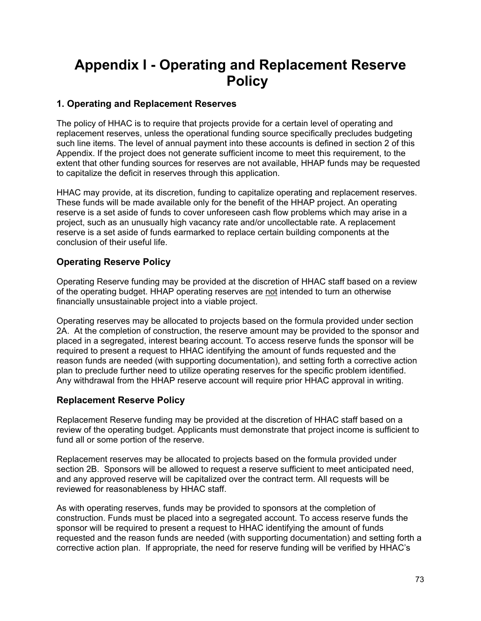## **Appendix I - Operating and Replacement Reserve Policy**

#### **1. Operating and Replacement Reserves**

The policy of HHAC is to require that projects provide for a certain level of operating and replacement reserves, unless the operational funding source specifically precludes budgeting such line items. The level of annual payment into these accounts is defined in section 2 of this Appendix. If the project does not generate sufficient income to meet this requirement, to the extent that other funding sources for reserves are not available, HHAP funds may be requested to capitalize the deficit in reserves through this application.

 HHAC may provide, at its discretion, funding to capitalize operating and replacement reserves. These funds will be made available only for the benefit of the HHAP project. An operating reserve is a set aside of funds to cover unforeseen cash flow problems which may arise in a project, such as an unusually high vacancy rate and/or uncollectable rate. A replacement reserve is a set aside of funds earmarked to replace certain building components at the conclusion of their useful life.

#### **Operating Reserve Policy**

Operating Reserve funding may be provided at the discretion of HHAC staff based on a review of the operating budget. HHAP operating reserves are not intended to turn an otherwise financially unsustainable project into a viable project.

Operating reserves may be allocated to projects based on the formula provided under section 2A. At the completion of construction, the reserve amount may be provided to the sponsor and placed in a segregated, interest bearing account. To access reserve funds the sponsor will be required to present a request to HHAC identifying the amount of funds requested and the reason funds are needed (with supporting documentation), and setting forth a corrective action plan to preclude further need to utilize operating reserves for the specific problem identified. Any withdrawal from the HHAP reserve account will require prior HHAC approval in writing.

#### **Replacement Reserve Policy**

Replacement Reserve funding may be provided at the discretion of HHAC staff based on a review of the operating budget. Applicants must demonstrate that project income is sufficient to fund all or some portion of the reserve.

Replacement reserves may be allocated to projects based on the formula provided under section 2B. Sponsors will be allowed to request a reserve sufficient to meet anticipated need, and any approved reserve will be capitalized over the contract term. All requests will be reviewed for reasonableness by HHAC staff.

As with operating reserves, funds may be provided to sponsors at the completion of construction. Funds must be placed into a segregated account. To access reserve funds the sponsor will be required to present a request to HHAC identifying the amount of funds requested and the reason funds are needed (with supporting documentation) and setting forth a corrective action plan. If appropriate, the need for reserve funding will be verified by HHAC's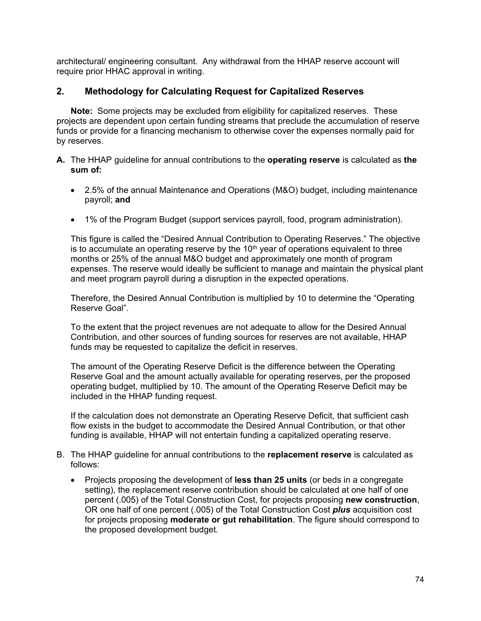architectural/ engineering consultant. Any withdrawal from the HHAP reserve account will require prior HHAC approval in writing.

#### **2. Methodology for Calculating Request for Capitalized Reserves**

 **Note:** Some projects may be excluded from eligibility for capitalized reserves. These projects are dependent upon certain funding streams that preclude the accumulation of reserve funds or provide for a financing mechanism to otherwise cover the expenses normally paid for by reserves.

- **A.** The HHAP guideline for annual contributions to the **operating reserve** is calculated as **the sum of:** 
	- 2.5% of the annual Maintenance and Operations (M&O) budget, including maintenance payroll; **and**
	- 1% of the Program Budget (support services payroll, food, program administration).

This figure is called the "Desired Annual Contribution to Operating Reserves." The objective is to accumulate an operating reserve by the  $10<sup>th</sup>$  year of operations equivalent to three months or 25% of the annual M&O budget and approximately one month of program expenses. The reserve would ideally be sufficient to manage and maintain the physical plant and meet program payroll during a disruption in the expected operations.

Therefore, the Desired Annual Contribution is multiplied by 10 to determine the "Operating Reserve Goal".

To the extent that the project revenues are not adequate to allow for the Desired Annual Contribution, and other sources of funding sources for reserves are not available, HHAP funds may be requested to capitalize the deficit in reserves.

The amount of the Operating Reserve Deficit is the difference between the Operating Reserve Goal and the amount actually available for operating reserves, per the proposed operating budget, multiplied by 10. The amount of the Operating Reserve Deficit may be included in the HHAP funding request.

If the calculation does not demonstrate an Operating Reserve Deficit, that sufficient cash flow exists in the budget to accommodate the Desired Annual Contribution, or that other funding is available, HHAP will not entertain funding a capitalized operating reserve.

- B. The HHAP guideline for annual contributions to the **replacement reserve** is calculated as follows:
	- Projects proposing the development of **less than 25 units** (or beds in a congregate setting), the replacement reserve contribution should be calculated at one half of one percent (.005) of the Total Construction Cost, for projects proposing **new construction**, OR one half of one percent (.005) of the Total Construction Cost *plus* acquisition cost for projects proposing **moderate or gut rehabilitation**. The figure should correspond to the proposed development budget.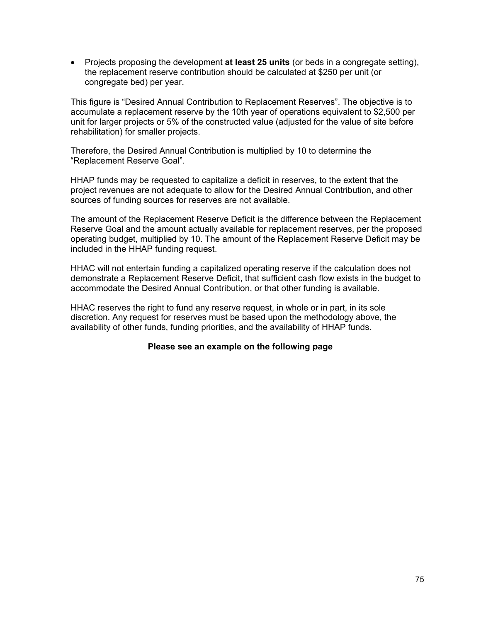• Projects proposing the development **at least 25 units** (or beds in a congregate setting), the replacement reserve contribution should be calculated at \$250 per unit (or congregate bed) per year.

This figure is "Desired Annual Contribution to Replacement Reserves". The objective is to accumulate a replacement reserve by the 10th year of operations equivalent to \$2,500 per unit for larger projects or 5% of the constructed value (adjusted for the value of site before rehabilitation) for smaller projects.

Therefore, the Desired Annual Contribution is multiplied by 10 to determine the "Replacement Reserve Goal".

HHAP funds may be requested to capitalize a deficit in reserves, to the extent that the project revenues are not adequate to allow for the Desired Annual Contribution, and other sources of funding sources for reserves are not available.

The amount of the Replacement Reserve Deficit is the difference between the Replacement Reserve Goal and the amount actually available for replacement reserves, per the proposed operating budget, multiplied by 10. The amount of the Replacement Reserve Deficit may be included in the HHAP funding request.

HHAC will not entertain funding a capitalized operating reserve if the calculation does not demonstrate a Replacement Reserve Deficit, that sufficient cash flow exists in the budget to accommodate the Desired Annual Contribution, or that other funding is available.

HHAC reserves the right to fund any reserve request, in whole or in part, in its sole discretion. Any request for reserves must be based upon the methodology above, the availability of other funds, funding priorities, and the availability of HHAP funds.

#### **Please see an example on the following page**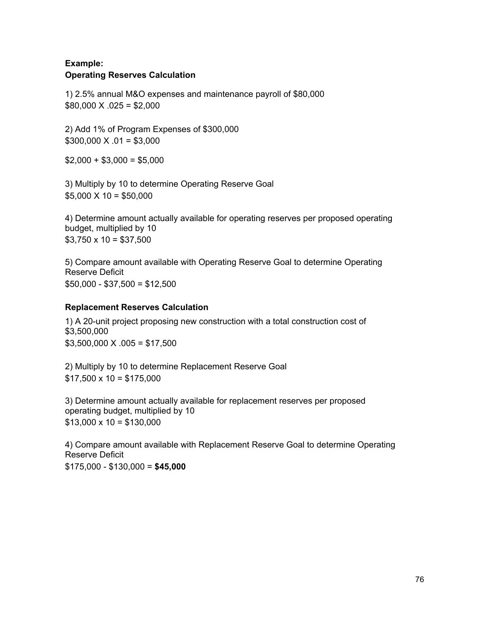#### **Example: Operating Reserves Calculation**

1) 2.5% annual M&O expenses and maintenance payroll of \$80,000  $$80,000 \times .025 = $2,000$ 

2) Add 1% of Program Expenses of \$300,000  $$300,000 \times .01 = $3,000$ 

 $$2,000 + $3,000 = $5,000$ 

3) Multiply by 10 to determine Operating Reserve Goal  $$5,000 \times 10 = $50,000$ 

4) Determine amount actually available for operating reserves per proposed operating budget, multiplied by 10  $$3,750 \times 10 = $37,500$ 

5) Compare amount available with Operating Reserve Goal to determine Operating Reserve Deficit  $$50,000 - $37,500 = $12,500$ 

#### **Replacement Reserves Calculation**

1) A 20-unit project proposing new construction with a total construction cost of \$3,500,000  $$3,500,000 \times .005 = $17,500$ 

2) Multiply by 10 to determine Replacement Reserve Goal  $$17,500 \times 10 = $175,000$ 

3) Determine amount actually available for replacement reserves per proposed operating budget, multiplied by 10  $$13,000 \times 10 = $130,000$ 

4) Compare amount available with Replacement Reserve Goal to determine Operating Reserve Deficit \$175,000 - \$130,000 = **\$45,000**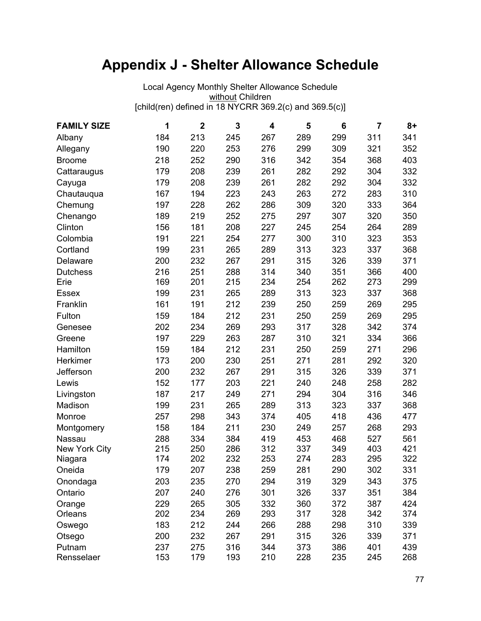# **Appendix J - Shelter Allowance Schedule**

<u>without</u> Children Local Agency Monthly Shelter Allowance Schedule [child(ren) defined in 18 NYCRR 369.2(c) and 369.5(c)]

| <b>FAMILY SIZE</b> | 1   | $\mathbf{2}$ | 3   | 4   | 5   | 6   | $\overline{7}$ | $8+$ |
|--------------------|-----|--------------|-----|-----|-----|-----|----------------|------|
| Albany             | 184 | 213          | 245 | 267 | 289 | 299 | 311            | 341  |
| Allegany           | 190 | 220          | 253 | 276 | 299 | 309 | 321            | 352  |
| <b>Broome</b>      | 218 | 252          | 290 | 316 | 342 | 354 | 368            | 403  |
| Cattaraugus        | 179 | 208          | 239 | 261 | 282 | 292 | 304            | 332  |
| Cayuga             | 179 | 208          | 239 | 261 | 282 | 292 | 304            | 332  |
| Chautauqua         | 167 | 194          | 223 | 243 | 263 | 272 | 283            | 310  |
| Chemung            | 197 | 228          | 262 | 286 | 309 | 320 | 333            | 364  |
| Chenango           | 189 | 219          | 252 | 275 | 297 | 307 | 320            | 350  |
| Clinton            | 156 | 181          | 208 | 227 | 245 | 254 | 264            | 289  |
| Colombia           | 191 | 221          | 254 | 277 | 300 | 310 | 323            | 353  |
| Cortland           | 199 | 231          | 265 | 289 | 313 | 323 | 337            | 368  |
| Delaware           | 200 | 232          | 267 | 291 | 315 | 326 | 339            | 371  |
| <b>Dutchess</b>    | 216 | 251          | 288 | 314 | 340 | 351 | 366            | 400  |
| Erie               | 169 | 201          | 215 | 234 | 254 | 262 | 273            | 299  |
| <b>Essex</b>       | 199 | 231          | 265 | 289 | 313 | 323 | 337            | 368  |
| Franklin           | 161 | 191          | 212 | 239 | 250 | 259 | 269            | 295  |
| Fulton             | 159 | 184          | 212 | 231 | 250 | 259 | 269            | 295  |
| Genesee            | 202 | 234          | 269 | 293 | 317 | 328 | 342            | 374  |
| Greene             | 197 | 229          | 263 | 287 | 310 | 321 | 334            | 366  |
| Hamilton           | 159 | 184          | 212 | 231 | 250 | 259 | 271            | 296  |
| Herkimer           | 173 | 200          | 230 | 251 | 271 | 281 | 292            | 320  |
| Jefferson          | 200 | 232          | 267 | 291 | 315 | 326 | 339            | 371  |
| Lewis              | 152 | 177          | 203 | 221 | 240 | 248 | 258            | 282  |
| Livingston         | 187 | 217          | 249 | 271 | 294 | 304 | 316            | 346  |
| Madison            | 199 | 231          | 265 | 289 | 313 | 323 | 337            | 368  |
| Monroe             | 257 | 298          | 343 | 374 | 405 | 418 | 436            | 477  |
| Montgomery         | 158 | 184          | 211 | 230 | 249 | 257 | 268            | 293  |
| Nassau             | 288 | 334          | 384 | 419 | 453 | 468 | 527            | 561  |
| New York City      | 215 | 250          | 286 | 312 | 337 | 349 | 403            | 421  |
| Niagara            | 174 | 202          | 232 | 253 | 274 | 283 | 295            | 322  |
| Oneida             | 179 | 207          | 238 | 259 | 281 | 290 | 302            | 331  |
| Onondaga           | 203 | 235          | 270 | 294 | 319 | 329 | 343            | 375  |
| Ontario            | 207 | 240          | 276 | 301 | 326 | 337 | 351            | 384  |
| Orange             | 229 | 265          | 305 | 332 | 360 | 372 | 387            | 424  |
| Orleans            | 202 | 234          | 269 | 293 | 317 | 328 | 342            | 374  |
| Oswego             | 183 | 212          | 244 | 266 | 288 | 298 | 310            | 339  |
| Otsego             | 200 | 232          | 267 | 291 | 315 | 326 | 339            | 371  |
| Putnam             | 237 | 275          | 316 | 344 | 373 | 386 | 401            | 439  |
| Rensselaer         | 153 | 179          | 193 | 210 | 228 | 235 | 245            | 268  |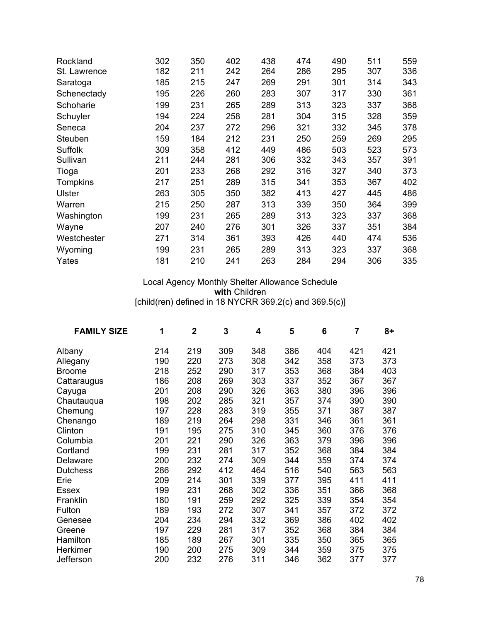| Rockland      | 302 | 350 | 402 | 438 | 474 | 490 | 511 | 559 |
|---------------|-----|-----|-----|-----|-----|-----|-----|-----|
| St. Lawrence  | 182 | 211 | 242 | 264 | 286 | 295 | 307 | 336 |
| Saratoga      | 185 | 215 | 247 | 269 | 291 | 301 | 314 | 343 |
| Schenectady   | 195 | 226 | 260 | 283 | 307 | 317 | 330 | 361 |
| Schoharie     | 199 | 231 | 265 | 289 | 313 | 323 | 337 | 368 |
| Schuyler      | 194 | 224 | 258 | 281 | 304 | 315 | 328 | 359 |
| Seneca        | 204 | 237 | 272 | 296 | 321 | 332 | 345 | 378 |
| Steuben       | 159 | 184 | 212 | 231 | 250 | 259 | 269 | 295 |
| Suffolk       | 309 | 358 | 412 | 449 | 486 | 503 | 523 | 573 |
| Sullivan      | 211 | 244 | 281 | 306 | 332 | 343 | 357 | 391 |
| Tioga         | 201 | 233 | 268 | 292 | 316 | 327 | 340 | 373 |
| Tompkins      | 217 | 251 | 289 | 315 | 341 | 353 | 367 | 402 |
| <b>Ulster</b> | 263 | 305 | 350 | 382 | 413 | 427 | 445 | 486 |
| Warren        | 215 | 250 | 287 | 313 | 339 | 350 | 364 | 399 |
| Washington    | 199 | 231 | 265 | 289 | 313 | 323 | 337 | 368 |
| Wayne         | 207 | 240 | 276 | 301 | 326 | 337 | 351 | 384 |
| Westchester   | 271 | 314 | 361 | 393 | 426 | 440 | 474 | 536 |
| Wyoming       | 199 | 231 | 265 | 289 | 313 | 323 | 337 | 368 |
| Yates         | 181 | 210 | 241 | 263 | 284 | 294 | 306 | 335 |

Local Agency Monthly Shelter Allowance Schedule **with** Children [child(ren) defined in 18 NYCRR 369.2(c) and 369.5(c)]

| <b>FAMILY SIZE</b> | 1   | $\overline{2}$ | 3   | 4   | 5   | 6   | 7   | $8+$ |
|--------------------|-----|----------------|-----|-----|-----|-----|-----|------|
| Albany             | 214 | 219            | 309 | 348 | 386 | 404 | 421 | 421  |
| Allegany           | 190 | 220            | 273 | 308 | 342 | 358 | 373 | 373  |
| <b>Broome</b>      | 218 | 252            | 290 | 317 | 353 | 368 | 384 | 403  |
| Cattaraugus        | 186 | 208            | 269 | 303 | 337 | 352 | 367 | 367  |
| Cayuga             | 201 | 208            | 290 | 326 | 363 | 380 | 396 | 396  |
| Chautauqua         | 198 | 202            | 285 | 321 | 357 | 374 | 390 | 390  |
| Chemung            | 197 | 228            | 283 | 319 | 355 | 371 | 387 | 387  |
| Chenango           | 189 | 219            | 264 | 298 | 331 | 346 | 361 | 361  |
| Clinton            | 191 | 195            | 275 | 310 | 345 | 360 | 376 | 376  |
| Columbia           | 201 | 221            | 290 | 326 | 363 | 379 | 396 | 396  |
| Cortland           | 199 | 231            | 281 | 317 | 352 | 368 | 384 | 384  |
| <b>Delaware</b>    | 200 | 232            | 274 | 309 | 344 | 359 | 374 | 374  |
| <b>Dutchess</b>    | 286 | 292            | 412 | 464 | 516 | 540 | 563 | 563  |
| Erie               | 209 | 214            | 301 | 339 | 377 | 395 | 411 | 411  |
| <b>Essex</b>       | 199 | 231            | 268 | 302 | 336 | 351 | 366 | 368  |
| Franklin           | 180 | 191            | 259 | 292 | 325 | 339 | 354 | 354  |
| Fulton             | 189 | 193            | 272 | 307 | 341 | 357 | 372 | 372  |
| Genesee            | 204 | 234            | 294 | 332 | 369 | 386 | 402 | 402  |
| Greene             | 197 | 229            | 281 | 317 | 352 | 368 | 384 | 384  |
| Hamilton           | 185 | 189            | 267 | 301 | 335 | 350 | 365 | 365  |
| Herkimer           | 190 | 200            | 275 | 309 | 344 | 359 | 375 | 375  |
| Jefferson          | 200 | 232            | 276 | 311 | 346 | 362 | 377 | 377  |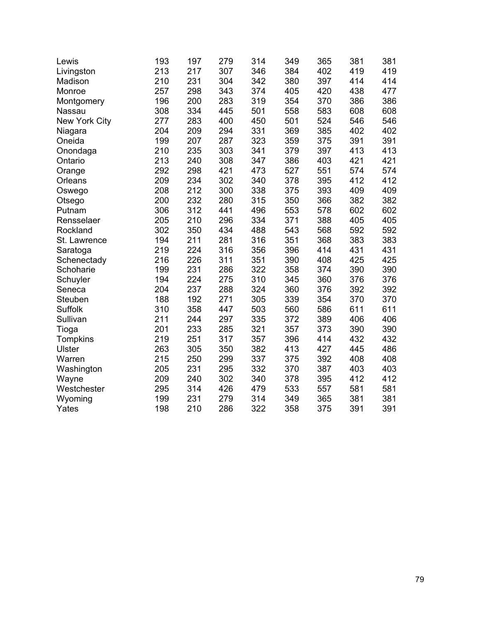| Lewis         | 193 | 197 | 279 | 314 | 349 | 365 | 381 | 381 |
|---------------|-----|-----|-----|-----|-----|-----|-----|-----|
| Livingston    | 213 | 217 | 307 | 346 | 384 | 402 | 419 | 419 |
| Madison       | 210 | 231 | 304 | 342 | 380 | 397 | 414 | 414 |
| Monroe        | 257 | 298 | 343 | 374 | 405 | 420 | 438 | 477 |
| Montgomery    | 196 | 200 | 283 | 319 | 354 | 370 | 386 | 386 |
| Nassau        | 308 | 334 | 445 | 501 | 558 | 583 | 608 | 608 |
| New York City | 277 | 283 | 400 | 450 | 501 | 524 | 546 | 546 |
| Niagara       | 204 | 209 | 294 | 331 | 369 | 385 | 402 | 402 |
| Oneida        | 199 | 207 | 287 | 323 | 359 | 375 | 391 | 391 |
| Onondaga      | 210 | 235 | 303 | 341 | 379 | 397 | 413 | 413 |
| Ontario       | 213 | 240 | 308 | 347 | 386 | 403 | 421 | 421 |
| Orange        | 292 | 298 | 421 | 473 | 527 | 551 | 574 | 574 |
| Orleans       | 209 | 234 | 302 | 340 | 378 | 395 | 412 | 412 |
| Oswego        | 208 | 212 | 300 | 338 | 375 | 393 | 409 | 409 |
| Otsego        | 200 | 232 | 280 | 315 | 350 | 366 | 382 | 382 |
| Putnam        | 306 | 312 | 441 | 496 | 553 | 578 | 602 | 602 |
| Rensselaer    | 205 | 210 | 296 | 334 | 371 | 388 | 405 | 405 |
| Rockland      | 302 | 350 | 434 | 488 | 543 | 568 | 592 | 592 |
| St. Lawrence  | 194 | 211 | 281 | 316 | 351 | 368 | 383 | 383 |
| Saratoga      | 219 | 224 | 316 | 356 | 396 | 414 | 431 | 431 |
| Schenectady   | 216 | 226 | 311 | 351 | 390 | 408 | 425 | 425 |
| Schoharie     | 199 | 231 | 286 | 322 | 358 | 374 | 390 | 390 |
| Schuyler      | 194 | 224 | 275 | 310 | 345 | 360 | 376 | 376 |
| Seneca        | 204 | 237 | 288 | 324 | 360 | 376 | 392 | 392 |
| Steuben       | 188 | 192 | 271 | 305 | 339 | 354 | 370 | 370 |
| Suffolk       | 310 | 358 | 447 | 503 | 560 | 586 | 611 | 611 |
| Sullivan      | 211 | 244 | 297 | 335 | 372 | 389 | 406 | 406 |
| Tioga         | 201 | 233 | 285 | 321 | 357 | 373 | 390 | 390 |
| Tompkins      | 219 | 251 | 317 | 357 | 396 | 414 | 432 | 432 |
| Ulster        | 263 | 305 | 350 | 382 | 413 | 427 | 445 | 486 |
| Warren        | 215 | 250 | 299 | 337 | 375 | 392 | 408 | 408 |
| Washington    | 205 | 231 | 295 | 332 | 370 | 387 | 403 | 403 |
| Wayne         | 209 | 240 | 302 | 340 | 378 | 395 | 412 | 412 |
| Westchester   | 295 | 314 | 426 | 479 | 533 | 557 | 581 | 581 |
| Wyoming       | 199 | 231 | 279 | 314 | 349 | 365 | 381 | 381 |
| Yates         | 198 | 210 | 286 | 322 | 358 | 375 | 391 | 391 |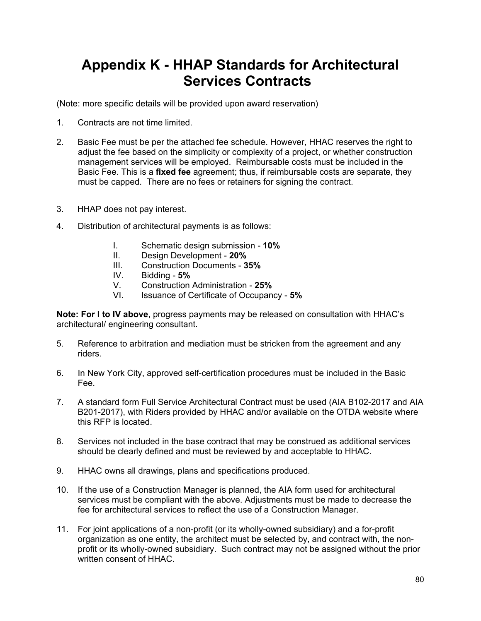## **Appendix K - HHAP Standards for Architectural Services Contracts**

(Note: more specific details will be provided upon award reservation)

- 1. Contracts are not time limited.
- 2. Basic Fee must be per the attached fee schedule. However, HHAC reserves the right to adjust the fee based on the simplicity or complexity of a project, or whether construction management services will be employed. Reimbursable costs must be included in the Basic Fee. This is a **fixed fee** agreement; thus, if reimbursable costs are separate, they must be capped. There are no fees or retainers for signing the contract.
- $3_{-}$ HHAP does not pay interest.
- 4. Distribution of architectural payments is as follows:
	- I. Schematic design submission **10%**
	- II. Design Development **20%**
	- III. Construction Documents **35%**
	- IV. Bidding **5%**
	- V. Construction Administration **25%**
	- VI. Issuance of Certificate of Occupancy **5%**

**Note: For I to IV above**, progress payments may be released on consultation with HHAC's architectural/ engineering consultant.

- 5. Reference to arbitration and mediation must be stricken from the agreement and any riders.
- 6. In New York City, approved self-certification procedures must be included in the Basic Fee.
- 7. A standard form Full Service Architectural Contract must be used (AIA B102-2017 and AIA B201-2017), with Riders provided by HHAC and/or available on the OTDA website where this RFP is located.
- 8. Services not included in the base contract that may be construed as additional services should be clearly defined and must be reviewed by and acceptable to HHAC.
- 9. HHAC owns all drawings, plans and specifications produced.
- 10. If the use of a Construction Manager is planned, the AIA form used for architectural services must be compliant with the above. Adjustments must be made to decrease the fee for architectural services to reflect the use of a Construction Manager.
- 11. For joint applications of a non-profit (or its wholly-owned subsidiary) and a for-profit organization as one entity, the architect must be selected by, and contract with, the nonprofit or its wholly-owned subsidiary. Such contract may not be assigned without the prior written consent of HHAC.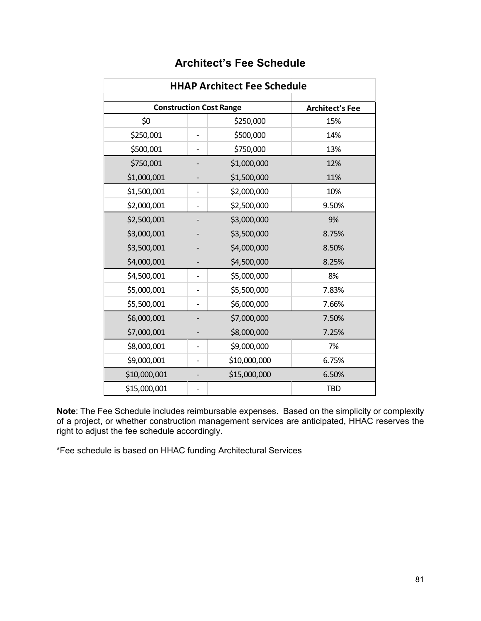| <b>HHAP Architect Fee Schedule</b> |                        |              |            |  |  |  |
|------------------------------------|------------------------|--------------|------------|--|--|--|
| <b>Construction Cost Range</b>     | <b>Architect's Fee</b> |              |            |  |  |  |
| \$0                                |                        | \$250,000    | 15%        |  |  |  |
| \$250,001                          |                        | \$500,000    | 14%        |  |  |  |
| \$500,001                          |                        | \$750,000    | 13%        |  |  |  |
| \$750,001                          |                        | \$1,000,000  | 12%        |  |  |  |
| \$1,000,001                        |                        | \$1,500,000  | 11%        |  |  |  |
| \$1,500,001                        |                        | \$2,000,000  | 10%        |  |  |  |
| \$2,000,001                        |                        | \$2,500,000  | 9.50%      |  |  |  |
| \$2,500,001                        |                        | \$3,000,000  | 9%         |  |  |  |
| \$3,000,001                        |                        | \$3,500,000  | 8.75%      |  |  |  |
| \$3,500,001                        |                        | \$4,000,000  | 8.50%      |  |  |  |
| \$4,000,001                        |                        | \$4,500,000  | 8.25%      |  |  |  |
| \$4,500,001                        |                        | \$5,000,000  | 8%         |  |  |  |
| \$5,000,001                        |                        | \$5,500,000  | 7.83%      |  |  |  |
| \$5,500,001                        |                        | \$6,000,000  | 7.66%      |  |  |  |
| \$6,000,001                        |                        | \$7,000,000  | 7.50%      |  |  |  |
| \$7,000,001                        |                        | \$8,000,000  | 7.25%      |  |  |  |
| \$8,000,001                        |                        | \$9,000,000  | 7%         |  |  |  |
| \$9,000,001                        |                        | \$10,000,000 | 6.75%      |  |  |  |
| \$10,000,001                       |                        | \$15,000,000 | 6.50%      |  |  |  |
| \$15,000,001                       |                        |              | <b>TBD</b> |  |  |  |

### **Architect's Fee Schedule**

 **Note**: The Fee Schedule includes reimbursable expenses. Based on the simplicity or complexity of a project, or whether construction management services are anticipated, HHAC reserves the right to adjust the fee schedule accordingly.

\*Fee schedule is based on HHAC funding Architectural Services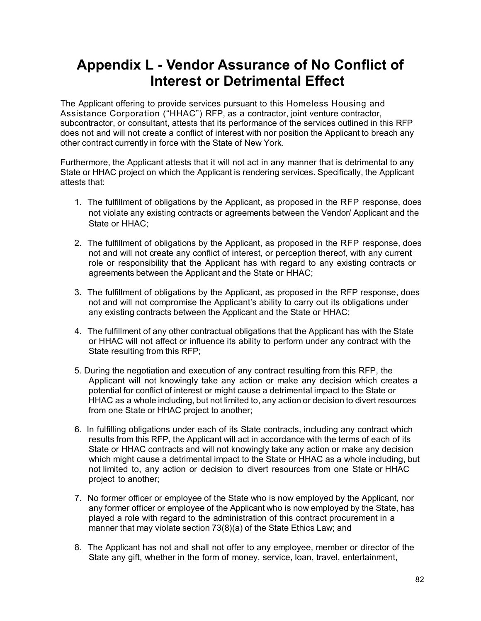### **Appendix L - Vendor Assurance of No Conflict of Interest or Detrimental Effect**

 The Applicant offering to provide services pursuant to this Homeless Housing and Assistance Corporation ("HHAC") RFP, as a contractor, joint venture contractor, subcontractor, or consultant, attests that its performance of the services outlined in this RFP does not and will not create a conflict of interest with nor position the Applicant to breach any other contract currently in force with the State of New York.

 Furthermore, the Applicant attests that it will not act in any manner that is detrimental to any State or HHAC project on which the Applicant is rendering services. Specifically, the Applicant attests that:

- 1. The fulfillment of obligations by the Applicant, as proposed in the RFP response, does not violate any existing contracts or agreements between the Vendor/ Applicant and the State or HHAC;
- 2. The fulfillment of obligations by the Applicant, as proposed in the RFP response, does not and will not create any conflict of interest, or perception thereof, with any current role or responsibility that the Applicant has with regard to any existing contracts or agreements between the Applicant and the State or HHAC;
- 3. The fulfillment of obligations by the Applicant, as proposed in the RFP response, does not and will not compromise the Applicant's ability to carry out its obligations under any existing contracts between the Applicant and the State or HHAC;
- 4. The fulfillment of any other contractual obligations that the Applicant has with the State or HHAC will not affect or influence its ability to perform under any contract with the State resulting from this RFP;
- 5. During the negotiation and execution of any contract resulting from this RFP, the Applicant will not knowingly take any action or make any decision which creates a potential for conflict of interest or might cause a detrimental impact to the State or HHAC as a whole including, but not limited to, any action or decision to divert resources from one State or HHAC project to another;
- 6. In fulfilling obligations under each of its State contracts, including any contract which results from this RFP, the Applicant will act in accordance with the terms of each of its State or HHAC contracts and will not knowingly take any action or make any decision which might cause a detrimental impact to the State or HHAC as a whole including, but not limited to, any action or decision to divert resources from one State or HHAC project to another;
- 7. No former officer or employee of the State who is now employed by the Applicant, nor any former officer or employee of the Applicant who is now employed by the State, has played a role with regard to the administration of this contract procurement in a manner that may violate section 73(8)(a) of the State Ethics Law; and
- 8. The Applicant has not and shall not offer to any employee, member or director of the State any gift, whether in the form of money, service, loan, travel, entertainment,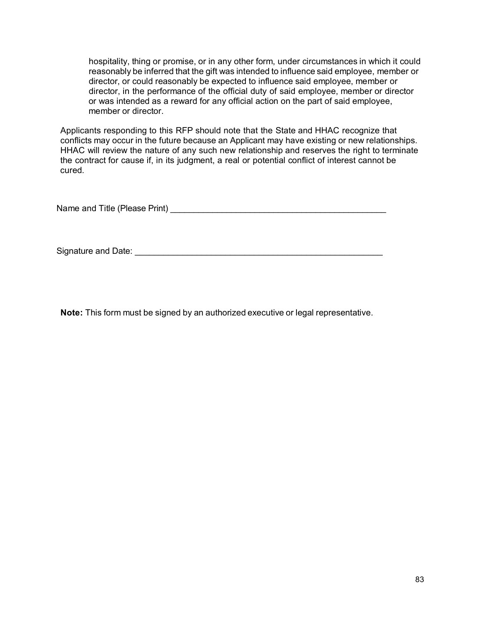hospitality, thing or promise, or in any other form, under circumstances in which it could reasonably be inferred that the gift was intended to influence said employee, member or director, or could reasonably be expected to influence said employee, member or director, in the performance of the official duty of said employee, member or director or was intended as a reward for any official action on the part of said employee, member or director.

 Applicants responding to this RFP should note that the State and HHAC recognize that conflicts may occur in the future because an Applicant may have existing or new relationships. HHAC will review the nature of any such new relationship and reserves the right to terminate the contract for cause if, in its judgment, a real or potential conflict of interest cannot be cured.

Name and Title (Please Print) \_\_\_\_\_\_\_\_\_\_\_\_\_\_\_\_\_\_\_\_\_\_\_\_\_\_\_\_\_\_\_\_\_\_\_\_\_\_\_\_\_\_\_\_\_\_

Signature and Date: \_\_\_\_\_\_\_\_\_\_\_\_\_\_\_\_\_\_\_\_\_\_\_\_\_\_\_\_\_\_\_\_\_\_\_\_\_\_\_\_\_\_\_\_\_\_\_\_\_\_\_\_

**Note:** This form must be signed by an authorized executive or legal representative.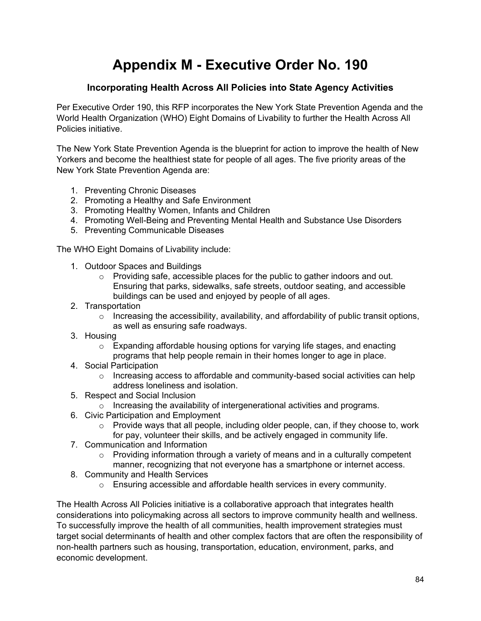# **Appendix M - Executive Order No. 190**

#### **Incorporating Health Across All Policies into State Agency Activities**

Per Executive Order 190, this RFP incorporates the New York State Prevention Agenda and the World Health Organization (WHO) Eight Domains of Livability to further the Health Across All Policies initiative.

The New York State Prevention Agenda is the blueprint for action to improve the health of New Yorkers and become the healthiest state for people of all ages. The five priority areas of the New York State Prevention Agenda are:

- 1. Preventing Chronic Diseases
- 2. Promoting a Healthy and Safe Environment
- 3. Promoting Healthy Women, Infants and Children
- 4. Promoting Well-Being and Preventing Mental Health and Substance Use Disorders
- 5. Preventing Communicable Diseases

The WHO Eight Domains of Livability include:

- 1. Outdoor Spaces and Buildings
	- o Providing safe, accessible places for the public to gather indoors and out. Ensuring that parks, sidewalks, safe streets, outdoor seating, and accessible buildings can be used and enjoyed by people of all ages.
- 2. Transportation
	- $\circ$  Increasing the accessibility, availability, and affordability of public transit options, as well as ensuring safe roadways.
- 3. Housing
	- $\circ$  Expanding affordable housing options for varying life stages, and enacting programs that help people remain in their homes longer to age in place.
- 4. Social Participation
	- $\circ$  Increasing access to affordable and community-based social activities can help address loneliness and isolation.
- 5. Respect and Social Inclusion
	- o Increasing the availability of intergenerational activities and programs.
- 6. Civic Participation and Employment
	- $\circ$  Provide ways that all people, including older people, can, if they choose to, work for pay, volunteer their skills, and be actively engaged in community life.
- 7. Communication and Information
	- $\circ$  Providing information through a variety of means and in a culturally competent manner, recognizing that not everyone has a smartphone or internet access.
- 8. Community and Health Services
	- o Ensuring accessible and affordable health services in every community.

The Health Across All Policies initiative is a collaborative approach that integrates health considerations into policymaking across all sectors to improve community health and wellness. To successfully improve the health of all communities, health improvement strategies must target social determinants of health and other complex factors that are often the responsibility of non-health partners such as housing, transportation, education, environment, parks, and economic development.